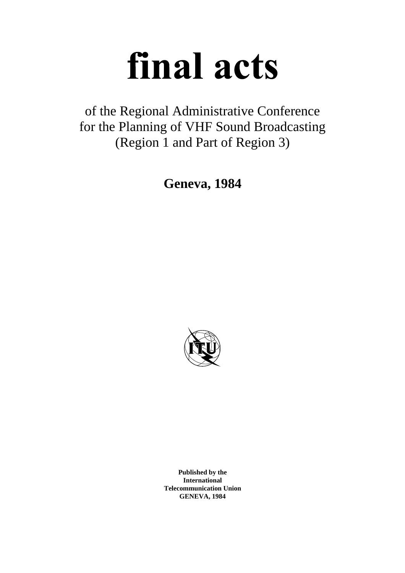# final acts

of the Regional Administrative Conference for the Planning of VHF Sound Broadcasting (Region 1 and Part of Region 3)

**Geneva, 1984**



**Published by the International Telecommunication Union GENEVA, 1984**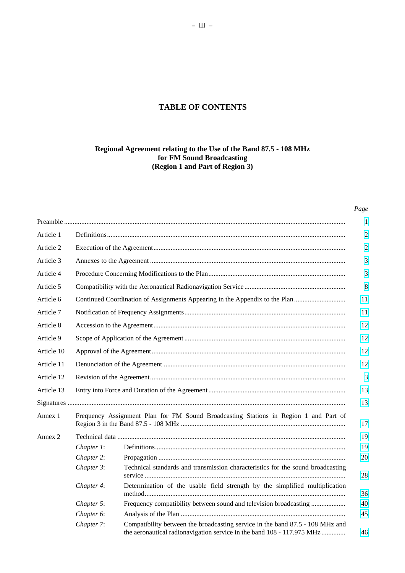# **TABLE OF CONTENTS**

# **Regional Agreement relating to the Use of the Band 87.5 - 108 MHz for FM Sound Broadcasting (Region 1 and Part of Region 3)**

# *Page*

| Article 1  |                                                                             |                                                                                                                                                         |  |
|------------|-----------------------------------------------------------------------------|---------------------------------------------------------------------------------------------------------------------------------------------------------|--|
| Article 2  |                                                                             |                                                                                                                                                         |  |
| Article 3  |                                                                             |                                                                                                                                                         |  |
| Article 4  |                                                                             |                                                                                                                                                         |  |
| Article 5  |                                                                             |                                                                                                                                                         |  |
| Article 6  | Continued Coordination of Assignments Appearing in the Appendix to the Plan |                                                                                                                                                         |  |
| Article 7  |                                                                             | 11                                                                                                                                                      |  |
| Article 8  | 12                                                                          |                                                                                                                                                         |  |
| Article 9  | 12                                                                          |                                                                                                                                                         |  |
| Article 10 | 12                                                                          |                                                                                                                                                         |  |
| Article 11 |                                                                             |                                                                                                                                                         |  |
| Article 12 |                                                                             |                                                                                                                                                         |  |
| Article 13 |                                                                             |                                                                                                                                                         |  |
|            |                                                                             |                                                                                                                                                         |  |
| Annex 1    |                                                                             | Frequency Assignment Plan for FM Sound Broadcasting Stations in Region 1 and Part of                                                                    |  |
| Annex 2    |                                                                             |                                                                                                                                                         |  |
|            | Chapter 1:                                                                  |                                                                                                                                                         |  |
|            | Chapter 2:                                                                  |                                                                                                                                                         |  |
|            | Chapter 3:                                                                  | Technical standards and transmission characteristics for the sound broadcasting                                                                         |  |
|            | Chapter 4:                                                                  | Determination of the usable field strength by the simplified multiplication                                                                             |  |
|            | Chapter 5:                                                                  | Frequency compatibility between sound and television broadcasting                                                                                       |  |
|            | Chapter 6:                                                                  |                                                                                                                                                         |  |
|            | Chapter 7:                                                                  | Compatibility between the broadcasting service in the band 87.5 - 108 MHz and<br>the aeronautical radionavigation service in the band 108 - 117.975 MHz |  |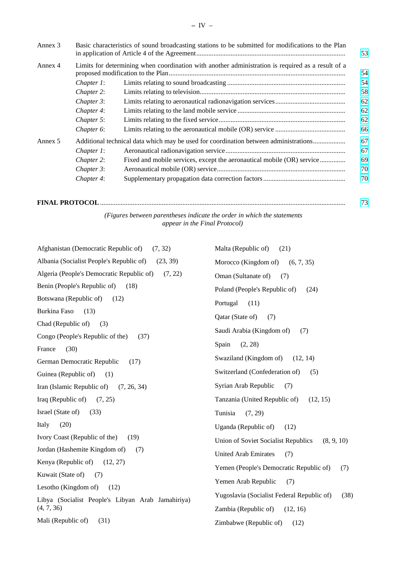| Annex 3 | Basic characteristics of sound broadcasting stations to be submitted for modifications to the Plan |                                                                                                   | 53 |
|---------|----------------------------------------------------------------------------------------------------|---------------------------------------------------------------------------------------------------|----|
| Annex 4 |                                                                                                    | Limits for determining when coordination with another administration is required as a result of a | 54 |
|         | Chapter 1:                                                                                         |                                                                                                   | 54 |
|         | Chapter 2:                                                                                         |                                                                                                   | 58 |
|         | Chapter 3:                                                                                         |                                                                                                   | 62 |
|         | Chapter 4:                                                                                         |                                                                                                   | 62 |
|         | Chapter 5:                                                                                         |                                                                                                   | 62 |
|         | Chapter 6:                                                                                         |                                                                                                   | 66 |
| Annex 5 | Additional technical data which may be used for coordination between administrations               |                                                                                                   | 67 |
|         | Chapter 1:                                                                                         |                                                                                                   | 67 |
|         | Chapter 2:                                                                                         | Fixed and mobile services, except the aeronautical mobile (OR) service                            | 69 |
|         | Chapter 3:                                                                                         |                                                                                                   | 70 |
|         | Chapter 4:                                                                                         |                                                                                                   | 70 |

| (Figures between parentheses indicate the order in which the statements) |  |
|--------------------------------------------------------------------------|--|

*appear in the Final Protocol)*

| Malta (Republic of)<br>(21)                        |
|----------------------------------------------------|
| Morocco (Kingdom of)<br>(6, 7, 35)                 |
| Oman (Sultanate of)<br>(7)                         |
| Poland (People's Republic of)<br>(24)              |
| Portugal<br>(11)                                   |
| Qatar (State of)<br>(7)                            |
| Saudi Arabia (Kingdom of)<br>(7)                   |
|                                                    |
| Spain<br>(2, 28)                                   |
| Swaziland (Kingdom of)<br>(12, 14)                 |
| Switzerland (Confederation of)<br>(5)              |
| Syrian Arab Republic<br>(7)                        |
| Tanzania (United Republic of)<br>(12, 15)          |
| Tunisia<br>(7, 29)                                 |
| Uganda (Republic of)<br>(12)                       |
| Union of Soviet Socialist Republics<br>(8, 9, 10)  |
| <b>United Arab Emirates</b><br>(7)                 |
| Yemen (People's Democratic Republic of)<br>(7)     |
| Yemen Arab Republic<br>(7)                         |
|                                                    |
| Yugoslavia (Socialist Federal Republic of)<br>(38) |
| Zambia (Republic of)<br>(12, 16)                   |
| Zimbabwe (Republic of)<br>(12)                     |
|                                                    |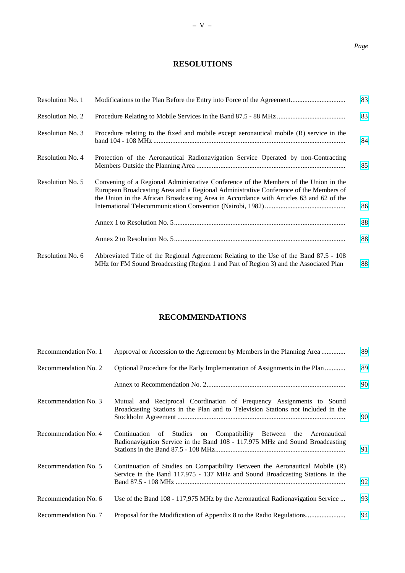# *Page*

# **RESOLUTIONS**

| Resolution No. 1 |                                                                                                                                                                                                                                                                          | 83 |
|------------------|--------------------------------------------------------------------------------------------------------------------------------------------------------------------------------------------------------------------------------------------------------------------------|----|
| Resolution No. 2 |                                                                                                                                                                                                                                                                          | 83 |
| Resolution No. 3 | Procedure relating to the fixed and mobile except aeronautical mobile (R) service in the                                                                                                                                                                                 | 84 |
| Resolution No. 4 | Protection of the Aeronautical Radionavigation Service Operated by non-Contracting                                                                                                                                                                                       | 85 |
| Resolution No. 5 | Convening of a Regional Administrative Conference of the Members of the Union in the<br>European Broadcasting Area and a Regional Administrative Conference of the Members of<br>the Union in the African Broadcasting Area in Accordance with Articles 63 and 62 of the | 86 |
|                  |                                                                                                                                                                                                                                                                          | 88 |
|                  |                                                                                                                                                                                                                                                                          | 88 |
| Resolution No. 6 | Abbreviated Title of the Regional Agreement Relating to the Use of the Band 87.5 - 108<br>MHz for FM Sound Broadcasting (Region 1 and Part of Region 3) and the Associated Plan                                                                                          | 88 |

# **RECOMMENDATIONS**

| Recommendation No. 1 | Approval or Accession to the Agreement by Members in the Planning Area                                                                                       | 89 |
|----------------------|--------------------------------------------------------------------------------------------------------------------------------------------------------------|----|
| Recommendation No. 2 | Optional Procedure for the Early Implementation of Assignments in the Plan                                                                                   | 89 |
|                      |                                                                                                                                                              | 90 |
| Recommendation No. 3 | Mutual and Reciprocal Coordination of Frequency Assignments to Sound<br>Broadcasting Stations in the Plan and to Television Stations not included in the     | 90 |
| Recommendation No. 4 | of Studies on Compatibility Between the Aeronautical<br>Continuation<br>Radionavigation Service in the Band 108 - 117.975 MHz and Sound Broadcasting         | 91 |
| Recommendation No. 5 | Continuation of Studies on Compatibility Between the Aeronautical Mobile (R)<br>Service in the Band 117.975 - 137 MHz and Sound Broadcasting Stations in the | 92 |
| Recommendation No. 6 | Use of the Band 108 - 117,975 MHz by the Aeronautical Radionavigation Service                                                                                | 93 |
| Recommendation No. 7 | Proposal for the Modification of Appendix 8 to the Radio Regulations                                                                                         | 94 |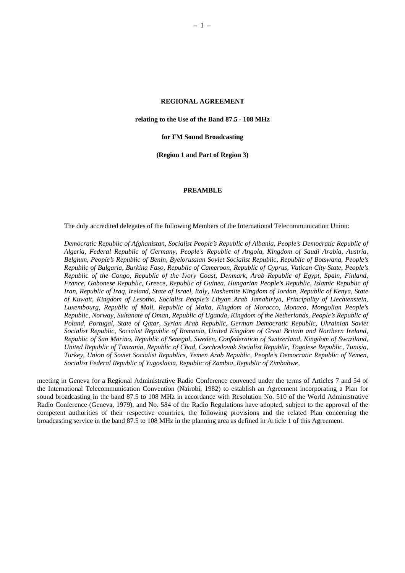# **REGIONAL AGREEMENT**

<span id="page-6-0"></span>**relating to the Use of the Band 87.5 - 108 MHz**

**for FM Sound Broadcasting**

**(Region 1 and Part of Region 3)**

#### **PREAMBLE**

The duly accredited delegates of the following Members of the International Telecommunication Union:

*Democratic Republic of Afghanistan, Socialist People's Republic of Albania, People's Democratic Republic of Algeria, Federal Republic of Germany, People's Republic of Angola, Kingdom of Saudi Arabia, Austria, Belgium, People's Republic of Benin, Byelorussian Soviet Socialist Republic, Republic of Botswana, People's Republic of Bulgaria, Burkina Faso, Republic of Cameroon, Republic of Cyprus, Vatican City State, People's Republic of the Congo, Republic of the Ivory Coast, Denmark, Arab Republic of Egypt, Spain, Finland, France, Gabonese Republic, Greece, Republic of Guinea, Hungarian People's Republic, Islamic Republic of Iran, Republic of Iraq, Ireland, State of Israel, Italy, Hashemite Kingdom of Jordan, Republic of Kenya, State of Kuwait, Kingdom of Lesotho, Socialist People's Libyan Arab Jamahiriya, Principality of Liechtenstein, Luxembourg, Republic of Mali, Republic of Malta, Kingdom of Morocco, Monaco, Mongolian People's Republic, Norway, Sultanate of Oman, Republic of Uganda, Kingdom of the Netherlands, People's Republic of Poland, Portugal, State of Qatar, Syrian Arab Republic, German Democratic Republic, Ukrainian Soviet Socialist Republic, Socialist Republic of Romania, United Kingdom of Great Britain and Northern Ireland, Republic of San Marino, Republic of Senegal, Sweden, Confederation of Switzerland, Kingdom of Swaziland, United Republic of Tanzania, Republic of Chad, Czechoslovak Socialist Republic, Togolese Republic, Tunisia, Turkey, Union of Soviet Socialist Republics, Yemen Arab Republic, People's Democratic Republic of Yemen, Socialist Federal Republic of Yugoslavia, Republic of Zambia, Republic of Zimbabwe*,

meeting in Geneva for a Regional Administrative Radio Conference convened under the terms of Articles 7 and 54 of the International Telecommunication Convention (Nairobi, 1982) to establish an Agreement incorporating a Plan for sound broadcasting in the band 87.5 to 108 MHz in accordance with Resolution No. 510 of the World Administrative Radio Conference (Geneva, 1979), and No. 584 of the Radio Regulations have adopted, subject to the approval of the competent authorities of their respective countries, the following provisions and the related Plan concerning the broadcasting service in the band 87.5 to 108 MHz in the planning area as defined in Article 1 of this Agreement.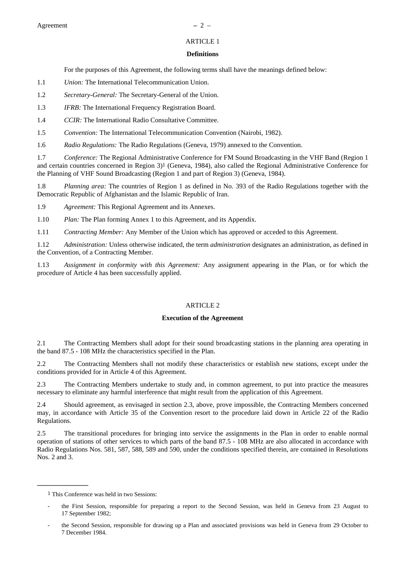# ARTICLE 1

#### **Definitions**

For the purposes of this Agreement, the following terms shall have the meanings defined below:

- <span id="page-7-0"></span>1.1 *Union:* The International Telecommunication Union.
- 1.2 *Secretary-General:* The Secretary-General of the Union.
- 1.3 *IFRB:* The International Frequency Registration Board.
- 1.4 *CCIR:* The International Radio Consultative Committee.
- 1.5 *Convention:* The International Telecommunication Convention (Nairobi, 1982).

1.6 *Radio Regulations:* The Radio Regulations (Geneva, 1979) annexed to the Convention.

1.7 *Conference:* The Regional Administrative Conference for FM Sound Broadcasting in the VHF Band (Region 1 and certain countries concerned in Region 3)1 (Geneva, 1984), also called the Regional Administrative Conference for the Planning of VHF Sound Broadcasting (Region 1 and part of Region 3) (Geneva, 1984).

1.8 *Planning area:* The countries of Region 1 as defined in No. 393 of the Radio Regulations together with the Democratic Republic of Afghanistan and the Islamic Republic of Iran.

1.9 *Agreement:* This Regional Agreement and its Annexes.

1.10 *Plan:* The Plan forming Annex 1 to this Agreement, and its Appendix.

1.11 *Contracting Member:* Any Member of the Union which has approved or acceded to this Agreement.

1.12 *Administration:* Unless otherwise indicated, the term *administration* designates an administration, as defined in the Convention, of a Contracting Member.

1.13 *Assignment in conformity with this Agreement:* Any assignment appearing in the Plan, or for which the procedure of Article 4 has been successfully applied.

#### ARTICLE 2

# **Execution of the Agreement**

2.1 The Contracting Members shall adopt for their sound broadcasting stations in the planning area operating in the band 87.5 - 108 MHz the characteristics specified in the Plan.

2.2 The Contracting Members shall not modify these characteristics or establish new stations, except under the conditions provided for in Article 4 of this Agreement.

2.3 The Contracting Members undertake to study and, in common agreement, to put into practice the measures necessary to eliminate any harmful interference that might result from the application of this Agreement.

2.4 Should agreement, as envisaged in section 2.3, above, prove impossible, the Contracting Members concerned may, in accordance with Article 35 of the Convention resort to the procedure laid down in Article 22 of the Radio Regulations.

2.5 The transitional procedures for bringing into service the assignments in the Plan in order to enable normal operation of stations of other services to which parts of the band 87.5 - 108 MHz are also allocated in accordance with Radio Regulations Nos. 581, 587, 588, 589 and 590, under the conditions specified therein, are contained in Resolutions Nos. 2 and 3.

**\_\_\_\_\_\_\_\_\_\_\_\_\_\_\_**

<sup>1</sup> This Conference was held in two Sessions:

the First Session, responsible for preparing a report to the Second Session, was held in Geneva from 23 August to 17 September 1982;

the Second Session, responsible for drawing up a Plan and associated provisions was held in Geneva from 29 October to 7 December 1984.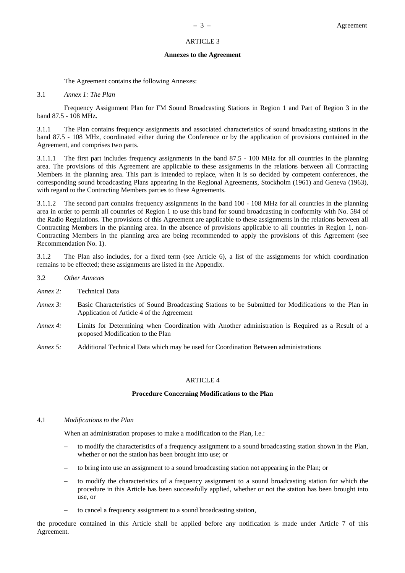#### ARTICLE 3

#### **Annexes to the Agreement**

The Agreement contains the following Annexes:

# <span id="page-8-0"></span>3.1 *Annex 1: The Plan*

Frequency Assignment Plan for FM Sound Broadcasting Stations in Region 1 and Part of Region 3 in the band 87.5 - 108 MHz.

3.1.1 The Plan contains frequency assignments and associated characteristics of sound broadcasting stations in the band 87.5 - 108 MHz, coordinated either during the Conference or by the application of provisions contained in the Agreement, and comprises two parts.

3.1.1.1 The first part includes frequency assignments in the band 87.5 - 100 MHz for all countries in the planning area. The provisions of this Agreement are applicable to these assignments in the relations between all Contracting Members in the planning area. This part is intended to replace, when it is so decided by competent conferences, the corresponding sound broadcasting Plans appearing in the Regional Agreements, Stockholm (1961) and Geneva (1963), with regard to the Contracting Members parties to these Agreements.

3.1.1.2 The second part contains frequency assignments in the band 100 - 108 MHz for all countries in the planning area in order to permit all countries of Region 1 to use this band for sound broadcasting in conformity with No. 584 of the Radio Regulations. The provisions of this Agreement are applicable to these assignments in the relations between all Contracting Members in the planning area. In the absence of provisions applicable to all countries in Region 1, non-Contracting Members in the planning area are being recommended to apply the provisions of this Agreement (see Recommendation No. 1).

3.1.2 The Plan also includes, for a fixed term (see Article 6), a list of the assignments for which coordination remains to be effected; these assignments are listed in the Appendix.

- 3.2 *Other Annexes*
- *Annex 2:* Technical Data
- *Annex 3:* Basic Characteristics of Sound Broadcasting Stations to be Submitted for Modifications to the Plan in Application of Article 4 of the Agreement
- *Annex 4:* Limits for Determining when Coordination with Another administration is Required as a Result of a proposed Modification to the Plan
- *Annex 5:* Additional Technical Data which may be used for Coordination Between administrations

#### ARTICLE 4

#### **Procedure Concerning Modifications to the Plan**

#### 4.1 *Modifications to the Plan*

When an administration proposes to make a modification to the Plan, i.e.:

- to modify the characteristics of a frequency assignment to a sound broadcasting station shown in the Plan, whether or not the station has been brought into use; or
- to bring into use an assignment to a sound broadcasting station not appearing in the Plan; or
- to modify the characteristics of a frequency assignment to a sound broadcasting station for which the procedure in this Article has been successfully applied, whether or not the station has been brought into use, or
- to cancel a frequency assignment to a sound broadcasting station,

the procedure contained in this Article shall be applied before any notification is made under Article 7 of this Agreement.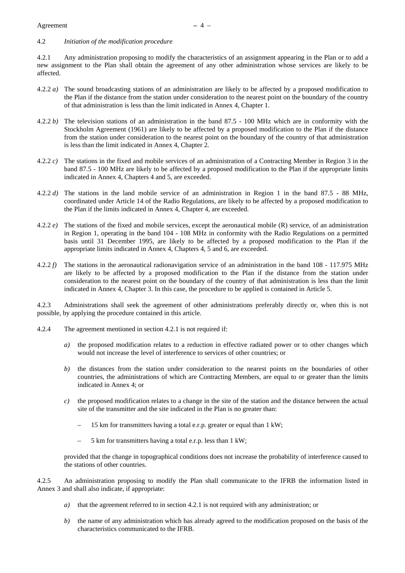# 4.2 *Initiation of the modification procedure*

4.2.1 Any administration proposing to modify the characteristics of an assignment appearing in the Plan or to add a new assignment to the Plan shall obtain the agreement of any other administration whose services are likely to be affected.

- 4.2.2 *a)* The sound broadcasting stations of an administration are likely to be affected by a proposed modification to the Plan if the distance from the station under consideration to the nearest point on the boundary of the country of that administration is less than the limit indicated in Annex 4, Chapter 1.
- 4.2.2 *b)* The television stations of an administration in the band 87.5 100 MHz which are in conformity with the Stockholm Agreement (1961) are likely to be affected by a proposed modification to the Plan if the distance from the station under consideration to the nearest point on the boundary of the country of that administration is less than the limit indicated in Annex 4, Chapter 2.
- 4.2.2 *c)* The stations in the fixed and mobile services of an administration of a Contracting Member in Region 3 in the band 87.5 - 100 MHz are likely to be affected by a proposed modification to the Plan if the appropriate limits indicated in Annex 4, Chapters 4 and 5, are exceeded.
- 4.2.2 *d)* The stations in the land mobile service of an administration in Region 1 in the band 87.5 88 MHz, coordinated under Article 14 of the Radio Regulations, are likely to be affected by a proposed modification to the Plan if the limits indicated in Annex 4, Chapter 4, are exceeded.
- 4.2.2 *e)* The stations of the fixed and mobile services, except the aeronautical mobile (R) service, of an administration in Region 1, operating in the band 104 - 108 MHz in conformity with the Radio Regulations on a permitted basis until 31 December 1995, are likely to be affected by a proposed modification to the Plan if the appropriate limits indicated in Annex 4, Chapters 4, 5 and 6, are exceeded.
- 4.2.2 *f)* The stations in the aeronautical radionavigation service of an administration in the band 108 117.975 MHz are likely to be affected by a proposed modification to the Plan if the distance from the station under consideration to the nearest point on the boundary of the country of that administration is less than the limit indicated in Annex 4, Chapter 3. In this case, the procedure to be applied is contained in Article 5.

4.2.3 Administrations shall seek the agreement of other administrations preferably directly or, when this is not possible, by applying the procedure contained in this article.

- 4.2.4 The agreement mentioned in section 4.2.1 is not required if:
	- *a*) the proposed modification relates to a reduction in effective radiated power or to other changes which would not increase the level of interference to services of other countries; or
	- *b)* the distances from the station under consideration to the nearest points on the boundaries of other countries, the administrations of which are Contracting Members, are equal to or greater than the limits indicated in Annex 4; or
	- *c)* the proposed modification relates to a change in the site of the station and the distance between the actual site of the transmitter and the site indicated in the Plan is no greater than:
		- 15 km for transmitters having a total e.r.p. greater or equal than 1 kW;
		- 5 km for transmitters having a total e.r.p. less than 1 kW;

provided that the change in topographical conditions does not increase the probability of interference caused to the stations of other countries.

4.2.5 An administration proposing to modify the Plan shall communicate to the IFRB the information listed in Annex 3 and shall also indicate, if appropriate:

- *a)* that the agreement referred to in section 4.2.1 is not required with any administration; or
- *b)* the name of any administration which has already agreed to the modification proposed on the basis of the characteristics communicated to the IFRB.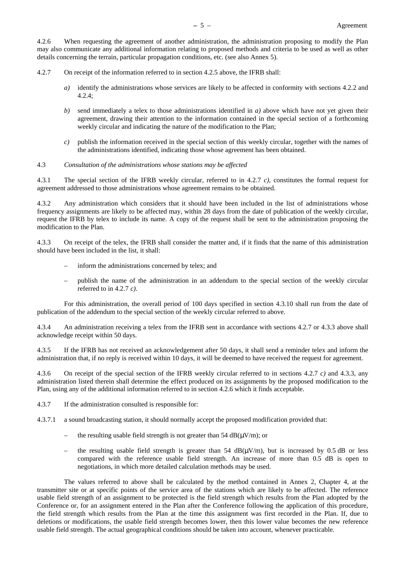4.2.6 When requesting the agreement of another administration, the administration proposing to modify the Plan may also communicate any additional information relating to proposed methods and criteria to be used as well as other details concerning the terrain, particular propagation conditions, etc. (see also Annex 5).

- 4.2.7 On receipt of the information referred to in section 4.2.5 above, the IFRB shall:
	- *a)* identify the administrations whose services are likely to be affected in conformity with sections 4.2.2 and 4.2.4;
	- *b)* send immediately a telex to those administrations identified in *a)* above which have not yet given their agreement, drawing their attention to the information contained in the special section of a forthcoming weekly circular and indicating the nature of the modification to the Plan;
	- *c)* publish the information received in the special section of this weekly circular, together with the names of the administrations identified, indicating those whose agreement has been obtained.

#### 4.3 *Consultation of the administrations whose stations may be affected*

4.3.1 The special section of the IFRB weekly circular, referred to in 4.2.7 *c)*, constitutes the formal request for agreement addressed to those administrations whose agreement remains to be obtained.

4.3.2 Any administration which considers that it should have been included in the list of administrations whose frequency assignments are likely to be affected may, within 28 days from the date of publication of the weekly circular, request the IFRB by telex to include its name. A copy of the request shall be sent to the administration proposing the modification to the Plan.

4.3.3 On receipt of the telex, the IFRB shall consider the matter and, if it finds that the name of this administration should have been included in the list, it shall:

- inform the administrations concerned by telex; and
- publish the name of the administration in an addendum to the special section of the weekly circular referred to in 4.2.7 *c)*.

For this administration, the overall period of 100 days specified in section 4.3.10 shall run from the date of publication of the addendum to the special section of the weekly circular referred to above.

4.3.4 An administration receiving a telex from the IFRB sent in accordance with sections 4.2.7 or 4.3.3 above shall acknowledge receipt within 50 days.

4.3.5 If the IFRB has not received an acknowledgement after 50 days, it shall send a reminder telex and inform the administration that, if no reply is received within 10 days, it will be deemed to have received the request for agreement.

4.3.6 On receipt of the special section of the IFRB weekly circular referred to in sections 4.2.7 *c)* and 4.3.3, any administration listed therein shall determine the effect produced on its assignments by the proposed modification to the Plan, using any of the additional information referred to in section 4.2.6 which it finds acceptable.

- 4.3.7 If the administration consulted is responsible for:
- 4.3.7.1 a sound broadcasting station, it should normally accept the proposed modification provided that:
	- the resulting usable field strength is not greater than 54  $dB(\mu V/m)$ ; or
	- the resulting usable field strength is greater than  $54 \text{ dB}(\mu\text{V/m})$ , but is increased by 0.5 dB or less compared with the reference usable field strength. An increase of more than 0.5 dB is open to negotiations, in which more detailed calculation methods may be used.

The values referred to above shall be calculated by the method contained in Annex 2, Chapter 4, at the transmitter site or at specific points of the service area of the stations which are likely to be affected. The reference usable field strength of an assignment to be protected is the field strength which results from the Plan adopted by the Conference or, for an assignment entered in the Plan after the Conference following the application of this procedure, the field strength which results from the Plan at the time this assignment was first recorded in the Plan. If, due to deletions or modifications, the usable field strength becomes lower, then this lower value becomes the new reference usable field strength. The actual geographical conditions should be taken into account, whenever practicable.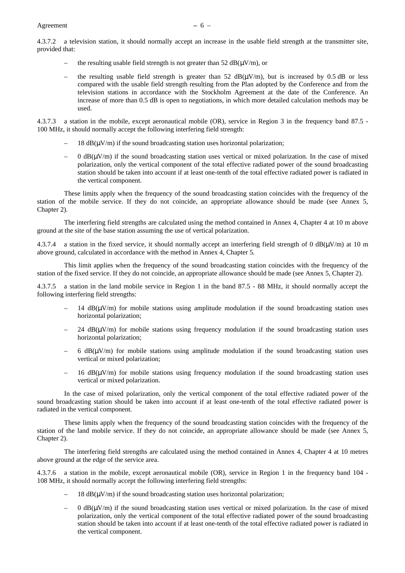4.3.7.2 a television station, it should normally accept an increase in the usable field strength at the transmitter site, provided that:

- the resulting usable field strength is not greater than 52  $dB(\mu V/m)$ , or
- the resulting usable field strength is greater than 52  $dB(uV/m)$ , but is increased by 0.5 dB or less compared with the usable field strength resulting from the Plan adopted by the Conference and from the television stations in accordance with the Stockholm Agreement at the date of the Conference. An increase of more than 0.5 dB is open to negotiations, in which more detailed calculation methods may be used.

4.3.7.3 a station in the mobile, except aeronautical mobile (OR), service in Region 3 in the frequency band 87.5 - 100 MHz, it should normally accept the following interfering field strength:

- $18$  dB( $\mu$ V/m) if the sound broadcasting station uses horizontal polarization;
- $\theta$  dB( $\mu$ V/m) if the sound broadcasting station uses vertical or mixed polarization. In the case of mixed polarization, only the vertical component of the total effective radiated power of the sound broadcasting station should be taken into account if at least one-tenth of the total effective radiated power is radiated in the vertical component.

These limits apply when the frequency of the sound broadcasting station coincides with the frequency of the station of the mobile service. If they do not coincide, an appropriate allowance should be made (see Annex 5, Chapter 2).

The interfering field strengths are calculated using the method contained in Annex 4, Chapter 4 at 10 m above ground at the site of the base station assuming the use of vertical polarization.

a station in the fixed service, it should normally accept an interfering field strength of 0 dB( $\mu$ V/m) at 10 m above ground, calculated in accordance with the method in Annex 4, Chapter 5.

This limit applies when the frequency of the sound broadcasting station coincides with the frequency of the station of the fixed service. If they do not coincide, an appropriate allowance should be made (see Annex 5, Chapter 2).

4.3.7.5 a station in the land mobile service in Region 1 in the band 87.5 - 88 MHz, it should normally accept the following interfering field strengths:

- 14  $dB(\mu V/m)$  for mobile stations using amplitude modulation if the sound broadcasting station uses horizontal polarization;
- 24  $dB(\mu V/m)$  for mobile stations using frequency modulation if the sound broadcasting station uses horizontal polarization;
- 6  $dB(\mu V/m)$  for mobile stations using amplitude modulation if the sound broadcasting station uses vertical or mixed polarization;
- $16$  dB( $\mu$ V/m) for mobile stations using frequency modulation if the sound broadcasting station uses vertical or mixed polarization.

In the case of mixed polarization, only the vertical component of the total effective radiated power of the sound broadcasting station should be taken into account if at least one-tenth of the total effective radiated power is radiated in the vertical component.

These limits apply when the frequency of the sound broadcasting station coincides with the frequency of the station of the land mobile service. If they do not coincide, an appropriate allowance should be made (see Annex 5, Chapter 2).

The interfering field strengths are calculated using the method contained in Annex 4, Chapter 4 at 10 metres above ground at the edge of the service area.

4.3.7.6 a station in the mobile, except aeronautical mobile (OR), service in Region 1 in the frequency band 104 - 108 MHz, it should normally accept the following interfering field strengths:

- $18$  dB( $\mu$ V/m) if the sound broadcasting station uses horizontal polarization;
- $\theta$  dB( $\mu$ V/m) if the sound broadcasting station uses vertical or mixed polarization. In the case of mixed polarization, only the vertical component of the total effective radiated power of the sound broadcasting station should be taken into account if at least one-tenth of the total effective radiated power is radiated in the vertical component.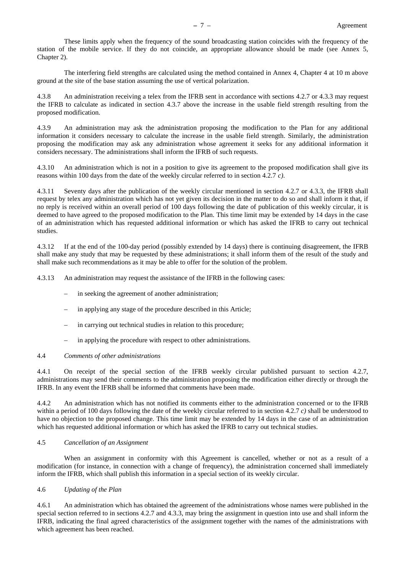These limits apply when the frequency of the sound broadcasting station coincides with the frequency of the station of the mobile service. If they do not coincide, an appropriate allowance should be made (see Annex 5, Chapter 2).

The interfering field strengths are calculated using the method contained in Annex 4, Chapter 4 at 10 m above ground at the site of the base station assuming the use of vertical polarization.

4.3.8 An administration receiving a telex from the IFRB sent in accordance with sections 4.2.7 or 4.3.3 may request the IFRB to calculate as indicated in section 4.3.7 above the increase in the usable field strength resulting from the proposed modification.

4.3.9 An administration may ask the administration proposing the modification to the Plan for any additional information it considers necessary to calculate the increase in the usable field strength. Similarly, the administration proposing the modification may ask any administration whose agreement it seeks for any additional information it considers necessary. The administrations shall inform the IFRB of such requests.

4.3.10 An administration which is not in a position to give its agreement to the proposed modification shall give its reasons within 100 days from the date of the weekly circular referred to in section 4.2.7 *c)*.

4.3.11 Seventy days after the publication of the weekly circular mentioned in section 4.2.7 or 4.3.3, the IFRB shall request by telex any administration which has not yet given its decision in the matter to do so and shall inform it that, if no reply is received within an overall period of 100 days following the date of publication of this weekly circular, it is deemed to have agreed to the proposed modification to the Plan. This time limit may be extended by 14 days in the case of an administration which has requested additional information or which has asked the IFRB to carry out technical studies.

4.3.12 If at the end of the 100-day period (possibly extended by 14 days) there is continuing disagreement, the IFRB shall make any study that may be requested by these administrations; it shall inform them of the result of the study and shall make such recommendations as it may be able to offer for the solution of the problem.

4.3.13 An administration may request the assistance of the IFRB in the following cases:

- in seeking the agreement of another administration;
- in applying any stage of the procedure described in this Article;
- in carrying out technical studies in relation to this procedure;
- in applying the procedure with respect to other administrations.

#### 4.4 *Comments of other administrations*

4.4.1 On receipt of the special section of the IFRB weekly circular published pursuant to section 4.2.7, administrations may send their comments to the administration proposing the modification either directly or through the IFRB. In any event the IFRB shall be informed that comments have been made.

4.4.2 An administration which has not notified its comments either to the administration concerned or to the IFRB within a period of 100 days following the date of the weekly circular referred to in section 4.2.7 *c)* shall be understood to have no objection to the proposed change. This time limit may be extended by 14 days in the case of an administration which has requested additional information or which has asked the IFRB to carry out technical studies.

# 4.5 *Cancellation of an Assignment*

When an assignment in conformity with this Agreement is cancelled, whether or not as a result of a modification (for instance, in connection with a change of frequency), the administration concerned shall immediately inform the IFRB, which shall publish this information in a special section of its weekly circular.

# 4.6 *Updating of the Plan*

4.6.1 An administration which has obtained the agreement of the administrations whose names were published in the special section referred to in sections 4.2.7 and 4.3.3, may bring the assignment in question into use and shall inform the IFRB, indicating the final agreed characteristics of the assignment together with the names of the administrations with which agreement has been reached.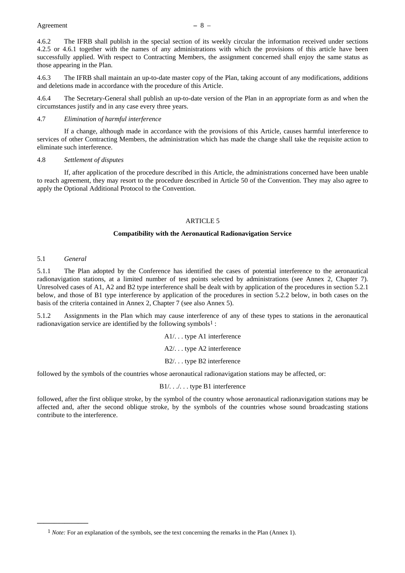<span id="page-13-0"></span>4.6.2 The IFRB shall publish in the special section of its weekly circular the information received under sections 4.2.5 or 4.6.1 together with the names of any administrations with which the provisions of this article have been successfully applied. With respect to Contracting Members, the assignment concerned shall enjoy the same status as those appearing in the Plan.

4.6.3 The IFRB shall maintain an up-to-date master copy of the Plan, taking account of any modifications, additions and deletions made in accordance with the procedure of this Article.

4.6.4 The Secretary-General shall publish an up-to-date version of the Plan in an appropriate form as and when the circumstances justify and in any case every three years.

# 4.7 *Elimination of harmful interference*

If a change, although made in accordance with the provisions of this Article, causes harmful interference to services of other Contracting Members, the administration which has made the change shall take the requisite action to eliminate such interference.

#### 4.8 *Settlement of disputes*

If, after application of the procedure described in this Article, the administrations concerned have been unable to reach agreement, they may resort to the procedure described in Article 50 of the Convention. They may also agree to apply the Optional Additional Protocol to the Convention.

# ARTICLE 5

#### **Compatibility with the Aeronautical Radionavigation Service**

#### 5.1 *General*

**\_\_\_\_\_\_\_\_\_\_\_\_\_\_\_**

5.1.1 The Plan adopted by the Conference has identified the cases of potential interference to the aeronautical radionavigation stations, at a limited number of test points selected by administrations (see Annex 2, Chapter 7). Unresolved cases of A1, A2 and B2 type interference shall be dealt with by application of the procedures in section 5.2.1 below, and those of B1 type interference by application of the procedures in section 5.2.2 below, in both cases on the basis of the criteria contained in Annex 2, Chapter 7 (see also Annex 5).

5.1.2 Assignments in the Plan which may cause interference of any of these types to stations in the aeronautical radionavigation service are identified by the following symbols1 :

> A1/. . . type A1 interference A2/. . . type A2 interference B2/. . . type B2 interference

followed by the symbols of the countries whose aeronautical radionavigation stations may be affected, or:

B<sub>1</sub>/. . . . . . type B<sub>1</sub> interference

followed, after the first oblique stroke, by the symbol of the country whose aeronautical radionavigation stations may be affected and, after the second oblique stroke, by the symbols of the countries whose sound broadcasting stations contribute to the interference.

<sup>1</sup> *Note:* For an explanation of the symbols, see the text concerning the remarks in the Plan (Annex 1).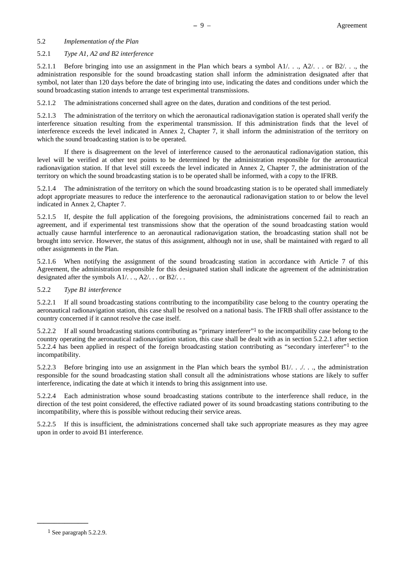# 5.2 *Implementation of the Plan*

# 5.2.1 *Type A1, A2 and B2 interference*

5.2.1.1 Before bringing into use an assignment in the Plan which bears a symbol  $A1/...$ ,  $A2/...$  or  $B2/...$ , the administration responsible for the sound broadcasting station shall inform the administration designated after that symbol, not later than 120 days before the date of bringing into use, indicating the dates and conditions under which the sound broadcasting station intends to arrange test experimental transmissions.

5.2.1.2 The administrations concerned shall agree on the dates, duration and conditions of the test period.

5.2.1.3 The administration of the territory on which the aeronautical radionavigation station is operated shall verify the interference situation resulting from the experimental transmission. If this administration finds that the level of interference exceeds the level indicated in Annex 2, Chapter 7, it shall inform the administration of the territory on which the sound broadcasting station is to be operated.

If there is disagreement on the level of interference caused to the aeronautical radionavigation station, this level will be verified at other test points to be determined by the administration responsible for the aeronautical radionavigation station. If that level still exceeds the level indicated in Annex 2, Chapter 7, the administration of the territory on which the sound broadcasting station is to be operated shall be informed, with a copy to the IFRB.

5.2.1.4 The administration of the territory on which the sound broadcasting station is to be operated shall immediately adopt appropriate measures to reduce the interference to the aeronautical radionavigation station to or below the level indicated in Annex 2, Chapter 7.

5.2.1.5 If, despite the full application of the foregoing provisions, the administrations concerned fail to reach an agreement, and if experimental test transmissions show that the operation of the sound broadcasting station would actually cause harmful interference to an aeronautical radionavigation station, the broadcasting station shall not be brought into service. However, the status of this assignment, although not in use, shall be maintained with regard to all other assignments in the Plan.

5.2.1.6 When notifying the assignment of the sound broadcasting station in accordance with Article 7 of this Agreement, the administration responsible for this designated station shall indicate the agreement of the administration designated after the symbols A1/. . ., A2/. . . or B2/. . .

# 5.2.2 *Type B1 interference*

5.2.2.1 If all sound broadcasting stations contributing to the incompatibility case belong to the country operating the aeronautical radionavigation station, this case shall be resolved on a national basis. The IFRB shall offer assistance to the country concerned if it cannot resolve the case itself.

5.2.2.2 If all sound broadcasting stations contributing as "primary interferer"1 to the incompatibility case belong to the country operating the aeronautical radionavigation station, this case shall be dealt with as in section 5.2.2.1 after section 5.2.2.4 has been applied in respect of the foreign broadcasting station contributing as "secondary interferer"1 to the incompatibility.

5.2.2.3 Before bringing into use an assignment in the Plan which bears the symbol B1/. . ./. . ., the administration responsible for the sound broadcasting station shall consult all the administrations whose stations are likely to suffer interference, indicating the date at which it intends to bring this assignment into use.

5.2.2.4 Each administration whose sound broadcasting stations contribute to the interference shall reduce, in the direction of the test point considered, the effective radiated power of its sound broadcasting stations contributing to the incompatibility, where this is possible without reducing their service areas.

5.2.2.5 If this is insufficient, the administrations concerned shall take such appropriate measures as they may agree upon in order to avoid B1 interference.

**\_\_\_\_\_\_\_\_\_\_\_\_\_\_\_**

<sup>1</sup> See paragraph 5.2.2.9.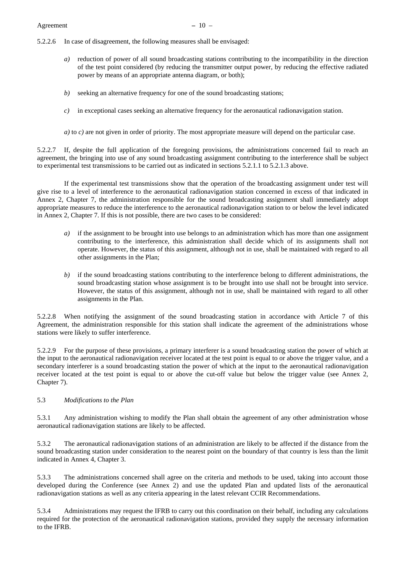- 5.2.2.6 In case of disagreement, the following measures shall be envisaged:
	- *a)* reduction of power of all sound broadcasting stations contributing to the incompatibility in the direction of the test point considered (by reducing the transmitter output power, by reducing the effective radiated power by means of an appropriate antenna diagram, or both);
	- *b)* seeking an alternative frequency for one of the sound broadcasting stations;
	- *c*) in exceptional cases seeking an alternative frequency for the aeronautical radionavigation station.
	- *a*) to *c*) are not given in order of priority. The most appropriate measure will depend on the particular case.

5.2.2.7 If, despite the full application of the foregoing provisions, the administrations concerned fail to reach an agreement, the bringing into use of any sound broadcasting assignment contributing to the interference shall be subject to experimental test transmissions to be carried out as indicated in sections 5.2.1.1 to 5.2.1.3 above.

If the experimental test transmissions show that the operation of the broadcasting assignment under test will give rise to a level of interference to the aeronautical radionavigation station concerned in excess of that indicated in Annex 2, Chapter 7, the administration responsible for the sound broadcasting assignment shall immediately adopt appropriate measures to reduce the interference to the aeronautical radionavigation station to or below the level indicated in Annex 2, Chapter 7. If this is not possible, there are two cases to be considered:

- *a)* if the assignment to be brought into use belongs to an administration which has more than one assignment contributing to the interference, this administration shall decide which of its assignments shall not operate. However, the status of this assignment, although not in use, shall be maintained with regard to all other assignments in the Plan;
- *b)* if the sound broadcasting stations contributing to the interference belong to different administrations, the sound broadcasting station whose assignment is to be brought into use shall not be brought into service. However, the status of this assignment, although not in use, shall be maintained with regard to all other assignments in the Plan.

5.2.2.8 When notifying the assignment of the sound broadcasting station in accordance with Article 7 of this Agreement, the administration responsible for this station shall indicate the agreement of the administrations whose stations were likely to suffer interference.

5.2.2.9 For the purpose of these provisions, a primary interferer is a sound broadcasting station the power of which at the input to the aeronautical radionavigation receiver located at the test point is equal to or above the trigger value, and a secondary interferer is a sound broadcasting station the power of which at the input to the aeronautical radionavigation receiver located at the test point is equal to or above the cut-off value but below the trigger value (see Annex 2, Chapter 7).

#### 5.3 *Modifications to the Plan*

5.3.1 Any administration wishing to modify the Plan shall obtain the agreement of any other administration whose aeronautical radionavigation stations are likely to be affected.

5.3.2 The aeronautical radionavigation stations of an administration are likely to be affected if the distance from the sound broadcasting station under consideration to the nearest point on the boundary of that country is less than the limit indicated in Annex 4, Chapter 3.

5.3.3 The administrations concerned shall agree on the criteria and methods to be used, taking into account those developed during the Conference (see Annex 2) and use the updated Plan and updated lists of the aeronautical radionavigation stations as well as any criteria appearing in the latest relevant CCIR Recommendations.

5.3.4 Administrations may request the IFRB to carry out this coordination on their behalf, including any calculations required for the protection of the aeronautical radionavigation stations, provided they supply the necessary information to the IFRB.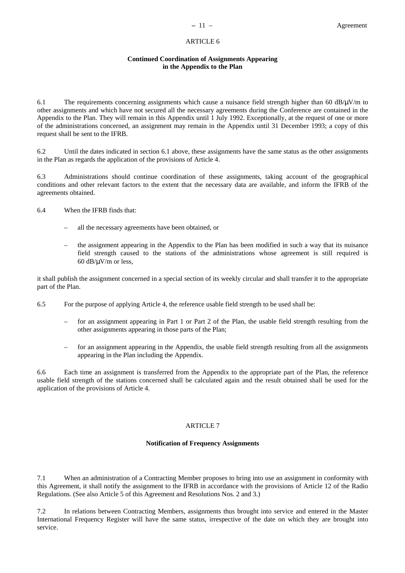# ARTICLE 6

#### **Continued Coordination of Assignments Appearing in the Appendix to the Plan**

<span id="page-16-0"></span>6.1 The requirements concerning assignments which cause a nuisance field strength higher than 60 dB/ $\mu$ V/m to other assignments and which have not secured all the necessary agreements during the Conference are contained in the Appendix to the Plan. They will remain in this Appendix until 1 July 1992. Exceptionally, at the request of one or more of the administrations concerned, an assignment may remain in the Appendix until 31 December 1993; a copy of this request shall be sent to the IFRB.

6.2 Until the dates indicated in section 6.1 above, these assignments have the same status as the other assignments in the Plan as regards the application of the provisions of Article 4.

6.3 Administrations should continue coordination of these assignments, taking account of the geographical conditions and other relevant factors to the extent that the necessary data are available, and inform the IFRB of the agreements obtained.

- 6.4 When the IFRB finds that:
	- all the necessary agreements have been obtained, or
	- the assignment appearing in the Appendix to the Plan has been modified in such a way that its nuisance field strength caused to the stations of the administrations whose agreement is still required is 60  $dB/\mu V/m$  or less,

it shall publish the assignment concerned in a special section of its weekly circular and shall transfer it to the appropriate part of the Plan.

- 6.5 For the purpose of applying Article 4, the reference usable field strength to be used shall be:
	- for an assignment appearing in Part 1 or Part 2 of the Plan, the usable field strength resulting from the other assignments appearing in those parts of the Plan;
	- for an assignment appearing in the Appendix, the usable field strength resulting from all the assignments appearing in the Plan including the Appendix.

6.6 Each time an assignment is transferred from the Appendix to the appropriate part of the Plan, the reference usable field strength of the stations concerned shall be calculated again and the result obtained shall be used for the application of the provisions of Article 4.

# ARTICLE 7

# **Notification of Frequency Assignments**

7.1 When an administration of a Contracting Member proposes to bring into use an assignment in conformity with this Agreement, it shall notify the assignment to the IFRB in accordance with the provisions of Article 12 of the Radio Regulations. (See also Article 5 of this Agreement and Resolutions Nos. 2 and 3.)

7.2 In relations between Contracting Members, assignments thus brought into service and entered in the Master International Frequency Register will have the same status, irrespective of the date on which they are brought into service.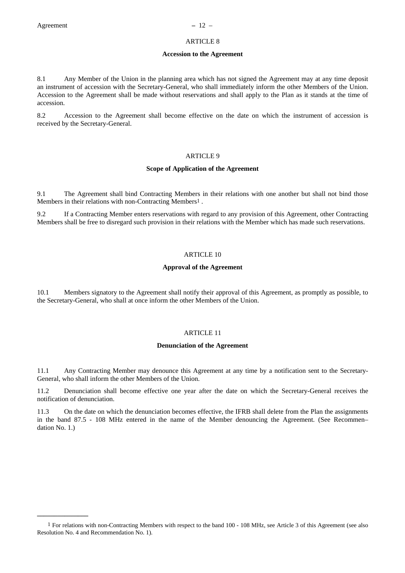**\_\_\_\_\_\_\_\_\_\_\_\_\_\_\_**

# ARTICLE 8

#### **Accession to the Agreement**

<span id="page-17-0"></span>8.1 Any Member of the Union in the planning area which has not signed the Agreement may at any time deposit an instrument of accession with the Secretary-General, who shall immediately inform the other Members of the Union. Accession to the Agreement shall be made without reservations and shall apply to the Plan as it stands at the time of accession.

8.2 Accession to the Agreement shall become effective on the date on which the instrument of accession is received by the Secretary-General.

# ARTICLE 9

#### **Scope of Application of the Agreement**

9.1 The Agreement shall bind Contracting Members in their relations with one another but shall not bind those Members in their relations with non-Contracting Members1 .

9.2 If a Contracting Member enters reservations with regard to any provision of this Agreement, other Contracting Members shall be free to disregard such provision in their relations with the Member which has made such reservations.

# ARTICLE 10

#### **Approval of the Agreement**

10.1 Members signatory to the Agreement shall notify their approval of this Agreement, as promptly as possible, to the Secretary-General, who shall at once inform the other Members of the Union.

## ARTICLE 11

# **Denunciation of the Agreement**

11.1 Any Contracting Member may denounce this Agreement at any time by a notification sent to the Secretary-General, who shall inform the other Members of the Union.

11.2 Denunciation shall become effective one year after the date on which the Secretary-General receives the notification of denunciation.

11.3 On the date on which the denunciation becomes effective, the IFRB shall delete from the Plan the assignments in the band 87.5 - 108 MHz entered in the name of the Member denouncing the Agreement. (See Recommen– dation No. 1.)

<sup>1</sup> For relations with non-Contracting Members with respect to the band 100 - 108 MHz, see Article 3 of this Agreement (see also Resolution No. 4 and Recommendation No. 1).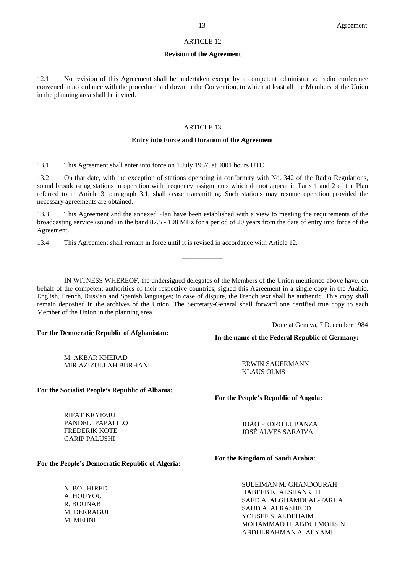# ARTICLE 12

#### **Revision of the Agreement**

<span id="page-18-0"></span>12.1 No revision of this Agreement shall be undertaken except by a competent administrative radio conference convened in accordance with the procedure laid down in the Convention, to which at least all the Members of the Union in the planning area shall be invited.

# ARTICLE 13

# **Entry into Force and Duration of the Agreement**

13.1 This Agreement shall enter into force on 1 July 1987, at 0001 hours UTC.

13.2 On that date, with the exception of stations operating in conformity with No. 342 of the Radio Regulations, sound broadcasting stations in operation with frequency assignments which do not appear in Parts 1 and 2 of the Plan referred to in Article 3, paragraph 3.1, shall cease transmitting. Such stations may resume operation provided the necessary agreements are obtained.

13.3 This Agreement and the annexed Plan have been established with a view to meeting the requirements of the broadcasting service (sound) in the band 87.5 - 108 MHz for a period of 20 years from the date of entry into force of the Agreement.

\_\_\_\_\_\_\_\_\_\_\_\_

13.4 This Agreement shall remain in force until it is revised in accordance with Article 12.

IN WITNESS WHEREOF, the undersigned delegates of the Members of the Union mentioned above have, on behalf of the competent authorities of their respective countries, signed this Agreement in a single copy in the Arabic, English, French, Russian and Spanish languages; in case of dispute, the French text shall be authentic. This copy shall remain deposited in the archives of the Union. The Secretary-General shall forward one certified true copy to each Member of the Union in the planning area.

Done at Geneva, 7 December 1984

# **For the Democratic Republic of Afghanistan:**

M. AKBAR KHERAD MIR AZIZULLAH BURHANI

ERWIN SAUERMANN KLAUS OLMS

**In the name of the Federal Republic of Germany:**

**For the Socialist People's Republic of Albania:**

RIFAT KRYEZIU PANDELI PAPALILO FREDERIK KOTE GARIP PALUSHI

**For the People's Democratic Republic of Algeria:**

N. BOUHIRED A. HOUYOU R. BOUNAB M. DERRAGUI M. MEHNI

**For the People's Republic of Angola:**

JOÃO PEDRO LUBANZA JOSÉ ALVES SARAIVA

**For the Kingdom of Saudi Arabia:**

SULEIMAN M. GHANDOURAH HABEEB K. ALSHANKITI SAED A. ALGHAMDI AL-FARHA SAUD A. ALRASHEED YOUSEF S. ALDEHAIM MOHAMMAD H. ABDULMOHSIN ABDULRAHMAN A. ALYAMI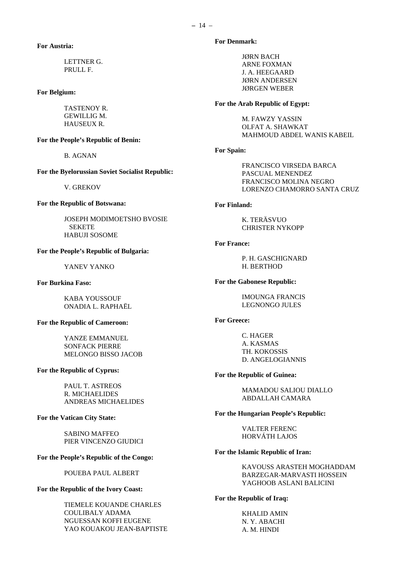# **For Austria:**

LETTNER G. PRULL F.

# **For Belgium:**

TASTENOY R. GEWILLIG M. HAUSEUX R.

# **For the People's Republic of Benin:**

B. AGNAN

#### **For the Byelorussian Soviet Socialist Republic:**

V. GREKOV

# **For the Republic of Botswana:**

JOSEPH MODIMOETSHO BVOSIE SEKETE HABUJI SOSOME

# **For the People's Republic of Bulgaria:**

YANEV YANKO

#### **For Burkina Faso:**

KABA YOUSSOUF ONADIA L. RAPHAËL

#### **For the Republic of Cameroon:**

YANZE EMMANUEL SONFACK PIERRE MELONGO BISSO JACOB

#### **For the Republic of Cyprus:**

PAUL T. ASTREOS R. MICHAELIDES ANDREAS MICHAELIDES

# **For the Vatican City State:**

SABINO MAFFEO PIER VINCENZO GIUDICI

# **For the People's Republic of the Congo:**

POUEBA PAUL ALBERT

## **For the Republic of the Ivory Coast:**

TIEMELE KOUANDE CHARLES COULIBALY ADAMA NGUESSAN KOFFI EUGENE YAO KOUAKOU JEAN-BAPTISTE

## **For Denmark:**

JØRN BACH ARNE FOXMAN J. A. HEEGAARD JØRN ANDERSEN JØRGEN WEBER

# **For the Arab Republic of Egypt:**

M. FAWZY YASSIN OLFAT A. SHAWKAT MAHMOUD ABDEL WANIS KABEIL

#### **For Spain:**

FRANCISCO VIRSEDA BARCA PASCUAL MENENDEZ FRANCISCO MOLINA NEGRO LORENZO CHAMORRO SANTA CRUZ

# **For Finland:**

K. TERÄSVUO CHRISTER NYKOPP

## **For France:**

P. H. GASCHIGNARD H. BERTHOD

# **For the Gabonese Republic:**

IMOUNGA FRANCIS LEGNONGO JULES

#### **For Greece:**

C. HAGER A. KASMAS TH. KOKOSSIS D. ANGELOGIANNIS

# **For the Republic of Guinea:**

MAMADOU SALIOU DIALLO ABDALLAH CAMARA

#### **For the Hungarian People's Republic:**

VALTER FERENC HORVÁTH LAJOS

# **For the Islamic Republic of Iran:**

KAVOUSS ARASTEH MOGHADDAM BARZEGAR-MARVASTI HOSSEIN YAGHOOB ASLANI BALICINI

#### **For the Republic of Iraq:**

KHALID AMIN N. Y. ABACHI A. M. HINDI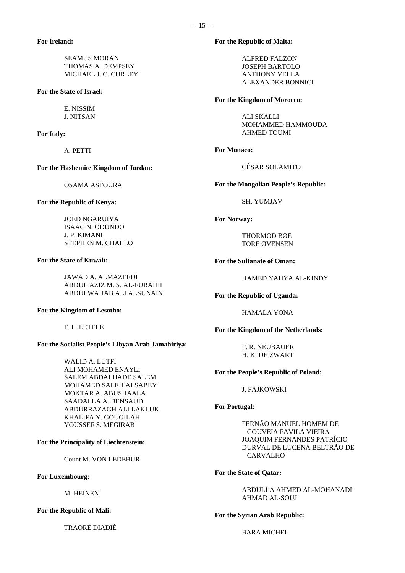SEAMUS MORAN THOMAS A. DEMPSEY MICHAEL J. C. CURLEY

**For the State of Israel:**

E. NISSIM J. NITSAN

**For Italy:**

A. PETTI

**For the Hashemite Kingdom of Jordan:**

OSAMA ASFOURA

**For the Republic of Kenya:**

JOED NGARUIYA ISAAC N. ODUNDO J. P. KIMANI STEPHEN M. CHALLO

**For the State of Kuwait:**

JAWAD A. ALMAZEEDI ABDUL AZIZ M. S. AL-FURAIHI ABDULWAHAB ALI ALSUNAIN

**For the Kingdom of Lesotho:**

F. L. LETELE

**For the Socialist People's Libyan Arab Jamahiriya:**

WALID A. LUTFI ALI MOHAMED ENAYLI SALEM ABDALHADE SALEM MOHAMED SALEH ALSABEY MOKTAR A. ABUSHAALA SAADALLA A. BENSAUD ABDURRAZAGH ALI LAKLUK KHALIFA Y. GOUGILAH YOUSSEF S. MEGIRAB

**For the Principality of Liechtenstein:**

Count M. VON LEDEBUR

**For Luxembourg:**

M. HEINEN

**For the Republic of Mali:**

TRAORÉ DIADIÉ

ALFRED FALZON JOSEPH BARTOLO ANTHONY VELLA ALEXANDER BONNICI

#### **For the Kingdom of Morocco:**

ALI SKALLI MOHAMMED HAMMOUDA AHMED TOUMI

**For Monaco:**

CÉSAR SOLAMITO

**For the Mongolian People's Republic:**

SH. YUMJAV

**For Norway:**

THORMOD BØE TORE ØVENSEN

**For the Sultanate of Oman:**

HAMED YAHYA AL-KINDY

**For the Republic of Uganda:**

HAMALA YONA

**For the Kingdom of the Netherlands:**

F. R. NEUBAUER H. K. DE ZWART

**For the People's Republic of Poland:**

J. FAJKOWSKI

#### **For Portugal:**

FERNÃO MANUEL HOMEM DE GOUVEIA FAVILA VIEIRA JOAQUIM FERNANDES PATRÍCIO DURVAL DE LUCENA BELTRÃO DE CARVALHO

**For the State of Qatar:**

ABDULLA AHMED AL-MOHANADI AHMAD AL-SOUJ

**For the Syrian Arab Republic:**

BARA MICHEL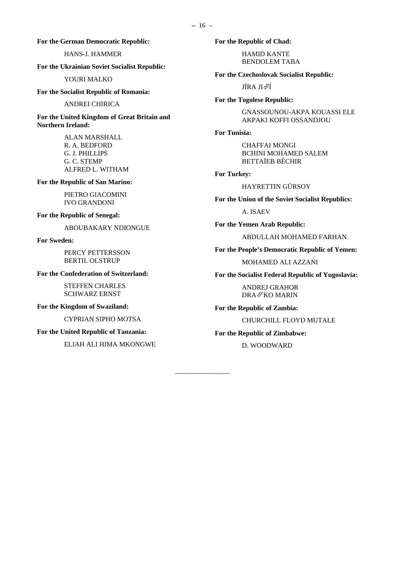**For the German Democratic Republic:**

# HANS-J. HAMMER

**For the Ukrainian Soviet Socialist Republic:**

YOURI MALKO

**For the Socialist Republic of Romania:**

#### ANDREI CHIRICA

**For the United Kingdom of Great Britain and Northern Ireland:**

> ALAN MARSHALL R. A. BEDFORD G. J. PHILLIPS G. C. STEMP ALFRED L. WITHAM

**For the Republic of San Marino:**

PIETRO GIACOMINI IVO GRANDONI

# **For the Republic of Senegal:**

ABOUBAKARY NDIONGUE

#### **For Sweden:**

PERCY PETTERSSON BERTIL OLSTRUP

#### **For the Confederation of Switzerland:**

STEFFEN CHARLES SCHWARZ ERNST

#### **For the Kingdom of Swaziland:**

CYPRIAN SIPHO MOTSA

# **For the United Republic of Tanzania:**

ELIAH ALI HIMA MKONGWE

**For the Republic of Chad:**

HAMID KANTE BENDOLEM TABA

**For the Czechoslovak Socialist Republic:**

JÍRA JI∉Í

#### **For the Togolese Republic:**

GNASSOUNOU-AKPA KOUASSI ELE AKPAKI KOFFI OSSANDJOU

#### **For Tunisia:**

CHAFFAI MONGI BCHINI MOHAMED SALEM BETTAÏEB BÉCHIR

# **For Turkey:**

HAYRETTIN GÜRSOY

**For the Union of the Soviet Socialist Republics:**

A. ISAEV

**For the Yemen Arab Republic:**

ABDULLAH MOHAMED FARHAN

**For the People's Democratic Republic of Yemen:**

MOHAMED ALI AZZANI

**For the Socialist Federal Republic of Yugoslavia:**

ANDREJ GRAHOR DRA®KO MARIN

**For the Republic of Zambia:**

CHURCHILL FLOYD MUTALE

#### **For the Republic of Zimbabwe:**

D. WOODWARD

*\_\_\_\_\_\_\_\_\_\_\_\_\_\_\_\_*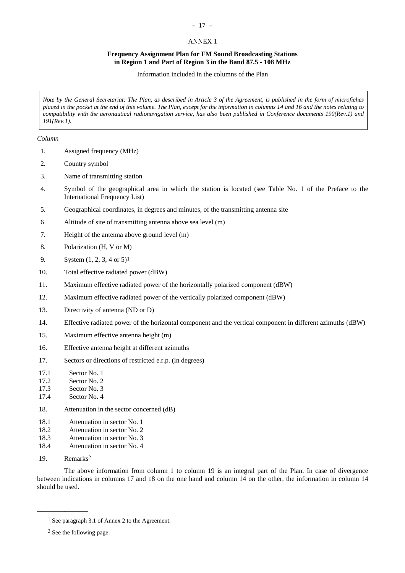# **–** 17 –

# ANNEX 1

# **Frequency Assignment Plan for FM Sound Broadcasting Stations in Region 1 and Part of Region 3 in the Band 87.5 - 108 MHz**

Information included in the columns of the Plan

<span id="page-22-0"></span>*Note by the General Secretariat: The Plan, as described in Article 3 of the Agreement, is published in the form of microfiches placed in the pocket at the end of this volume. The Plan, except for the information in columns 14 and 16 and the notes relating to compatibility with the aeronautical radionavigation service, has also been published in Conference documents 190(Rev.1) and 191(Rev.1).*

# *Column*

- 1. Assigned frequency (MHz)
- 2. Country symbol
- 3. Name of transmitting station
- 4. Symbol of the geographical area in which the station is located (see Table No. 1 of the Preface to the International Frequency List)
- 5. Geographical coordinates, in degrees and minutes, of the transmitting antenna site
- 6 Altitude of site of transmitting antenna above sea level (m)
- 7. Height of the antenna above ground level (m)
- 8. Polarization (H, V or M)
- 9. System (1, 2, 3, 4 or 5)1
- 10. Total effective radiated power (dBW)
- 11. Maximum effective radiated power of the horizontally polarized component (dBW)
- 12. Maximum effective radiated power of the vertically polarized component (dBW)
- 13. Directivity of antenna (ND or D)
- 14. Effective radiated power of the horizontal component and the vertical component in different azimuths (dBW)
- 15. Maximum effective antenna height (m)
- 16. Effective antenna height at different azimuths
- 17. Sectors or directions of restricted e.r.p. (in degrees)
- 17.1 Sector No. 1
- 17.2 Sector No. 2
- 17.3 Sector No. 3
- 17.4 Sector No. 4
- 18. Attenuation in the sector concerned (dB)
- 18.1 Attenuation in sector No. 1
- 18.2 Attenuation in sector No. 2
- 18.3 Attenuation in sector No. 3
- 18.4 Attenuation in sector No. 4
- 19. Remarks2

**\_\_\_\_\_\_\_\_\_\_\_\_\_\_\_**

The above information from column 1 to column 19 is an integral part of the Plan. In case of divergence between indications in columns 17 and 18 on the one hand and column 14 on the other, the information in column 14 should be used.

<sup>1</sup> See paragraph 3.1 of Annex 2 to the Agreement.

<sup>2</sup> See the following page.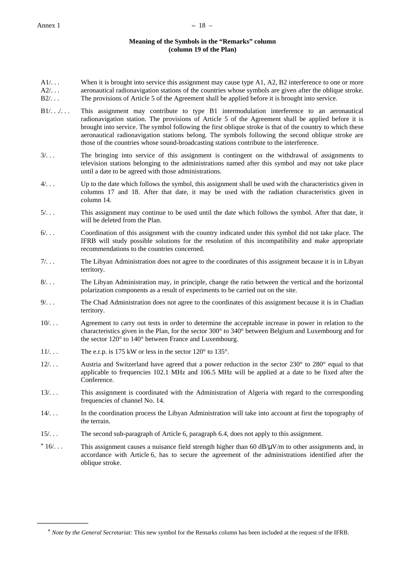# **Meaning of the Symbols in the "Remarks" column (column 19 of the Plan)**

- $A1/\ldots$ When it is brought into service this assignment may cause type A1, A2, B2 interference to one or more
- $A2/$ . . .  $B2/2$ . aeronautical radionavigation stations of the countries whose symbols are given after the oblique stroke. The provisions of Article 5 of the Agreement shall be applied before it is brought into service.
- B1/. . ... This assignment may contribute to type B1 intermodulation interference to an aeronautical radionavigation station. The provisions of Article 5 of the Agreement shall be applied before it is brought into service. The symbol following the first oblique stroke is that of the country to which these aeronautical radionavigation stations belong. The symbols following the second oblique stroke are those of the countries whose sound-broadcasting stations contribute to the interference.
- 3/. . . The bringing into service of this assignment is contingent on the withdrawal of assignments to television stations belonging to the administrations named after this symbol and may not take place until a date to be agreed with those administrations.
- 4/. . . Up to the date which follows the symbol, this assignment shall be used with the characteristics given in columns 17 and 18. After that date, it may be used with the radiation characteristics given in column 14.
- 5/. . . This assignment may continue to be used until the date which follows the symbol. After that date, it will be deleted from the Plan.
- 6/. . . Coordination of this assignment with the country indicated under this symbol did not take place. The IFRB will study possible solutions for the resolution of this incompatibility and make appropriate recommendations to the countries concerned.
- 7/. . . The Libyan Administration does not agree to the coordinates of this assignment because it is in Libyan territory.
- 8/. . . The Libyan Administration may, in principle, change the ratio between the vertical and the horizontal polarization components as a result of experiments to be carried out on the site.
- 9/. . . The Chad Administration does not agree to the coordinates of this assignment because it is in Chadian territory.
- 10/. . . Agreement to carry out tests in order to determine the acceptable increase in power in relation to the characteristics given in the Plan, for the sector 300° to 340° between Belgium and Luxembourg and for the sector 120° to 140° between France and Luxembourg.
- 11/... The e.r.p. is 175 kW or less in the sector 120° to 135°.

**\_\_\_\_\_\_\_\_\_\_\_\_\_\_\_**

- 12/. . . Austria and Switzerland have agreed that a power reduction in the sector 230° to 280° equal to that applicable to frequencies 102.1 MHz and 106.5 MHz will be applied at a date to be fixed after the Conference.
- 13/. . . This assignment is coordinated with the Administration of Algeria with regard to the corresponding frequencies of channel No. 14.
- 14/. . . In the coordination process the Libyan Administration will take into account at first the topography of the terrain.
- 15/. . . The second sub-paragraph of Article 6, paragraph 6.4, does not apply to this assignment.
- $*16/$ ... This assignment causes a nuisance field strength higher than 60 dB/ $\mu$ V/m to other assignments and, in accordance with Article 6, has to secure the agreement of the administrations identified after the oblique stroke.

<sup>\*</sup> *Note by the General Secretariat:* This new symbol for the Remarks column has been included at the request of the IFRB.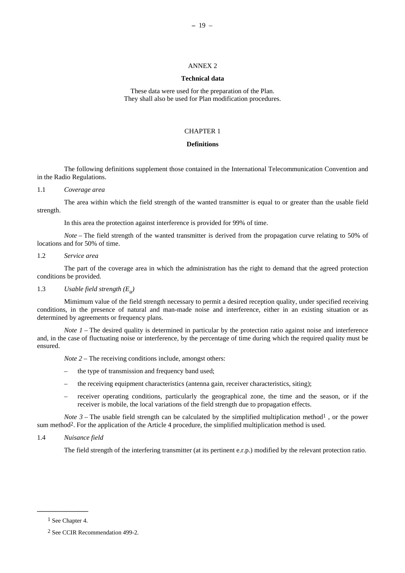#### ANNEX 2

#### **Technical data**

<span id="page-24-0"></span>These data were used for the preparation of the Plan. They shall also be used for Plan modification procedures.

# CHAPTER 1

# **Definitions**

The following definitions supplement those contained in the International Telecommunication Convention and in the Radio Regulations.

# 1.1 *Coverage area*

The area within which the field strength of the wanted transmitter is equal to or greater than the usable field strength.

In this area the protection against interference is provided for 99% of time.

*Note* – The field strength of the wanted transmitter is derived from the propagation curve relating to 50% of locations and for 50% of time.

#### 1.2 *Service area*

The part of the coverage area in which the administration has the right to demand that the agreed protection conditions be provided.

# 1.3 *Usable field strength (Eu)*

Mimimum value of the field strength necessary to permit a desired reception quality, under specified receiving conditions, in the presence of natural and man-made noise and interference, either in an existing situation or as determined by agreements or frequency plans.

*Note 1* – The desired quality is determined in particular by the protection ratio against noise and interference and, in the case of fluctuating noise or interference, by the percentage of time during which the required quality must be ensured.

*Note 2* – The receiving conditions include, amongst others:

- the type of transmission and frequency band used;
- the receiving equipment characteristics (antenna gain, receiver characteristics, siting);
- receiver operating conditions, particularly the geographical zone, the time and the season, or if the receiver is mobile, the local variations of the field strength due to propagation effects.

*Note 3* – The usable field strength can be calculated by the simplified multiplication method<sup>1</sup>, or the power sum method2. For the application of the Article 4 procedure, the simplified multiplication method is used.

# 1.4 *Nuisance field*

The field strength of the interfering transmitter (at its pertinent e.r.p.) modified by the relevant protection ratio.

**\_\_\_\_\_\_\_\_\_\_\_\_\_\_\_**

<sup>1</sup> See Chapter 4.

<sup>2</sup> See CCIR Recommendation 499-2.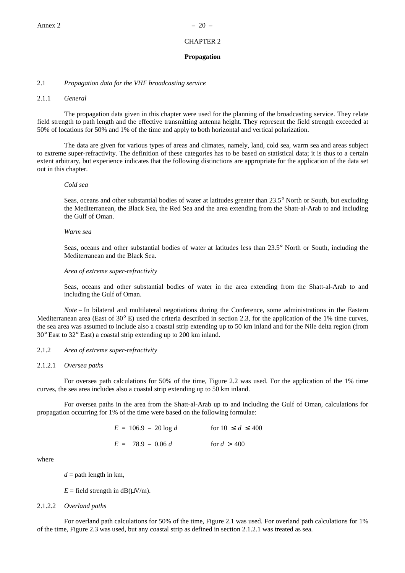# CHAPTER 2

#### **Propagation**

# <span id="page-25-0"></span>2.1 *Propagation data for the VHF broadcasting service*

#### 2.1.1 *General*

The propagation data given in this chapter were used for the planning of the broadcasting service. They relate field strength to path length and the effective transmitting antenna height. They represent the field strength exceeded at 50% of locations for 50% and 1% of the time and apply to both horizontal and vertical polarization.

The data are given for various types of areas and climates, namely, land, cold sea, warm sea and areas subject to extreme super-refractivity. The definition of these categories has to be based on statistical data; it is thus to a certain extent arbitrary, but experience indicates that the following distinctions are appropriate for the application of the data set out in this chapter.

#### *Cold sea*

Seas, oceans and other substantial bodies of water at latitudes greater than 23.5° North or South, but excluding the Mediterranean, the Black Sea, the Red Sea and the area extending from the Shatt-al-Arab to and including the Gulf of Oman.

#### *Warm sea*

Seas, oceans and other substantial bodies of water at latitudes less than 23.5° North or South, including the Mediterranean and the Black Sea.

# *Area of extreme super-refractivity*

Seas, oceans and other substantial bodies of water in the area extending from the Shatt-al-Arab to and including the Gulf of Oman.

*Note* – In bilateral and multilateral negotiations during the Conference, some administrations in the Eastern Mediterranean area (East of 30° E) used the criteria described in section 2.3, for the application of the 1% time curves, the sea area was assumed to include also a coastal strip extending up to 50 km inland and for the Nile delta region (from 30° East to 32° East) a coastal strip extending up to 200 km inland.

# 2.1.2 *Area of extreme super-refractivity*

# 2.1.2.1 *Oversea paths*

For oversea path calculations for 50% of the time, Figure 2.2 was used. For the application of the 1% time curves, the sea area includes also a coastal strip extending up to 50 km inland.

For oversea paths in the area from the Shatt-al-Arab up to and including the Gulf of Oman, calculations for propagation occurring for 1% of the time were based on the following formulae:

| $E = 106.9 - 20 \log d$ | for $10 \le d \le 400$ |
|-------------------------|------------------------|
| $E = 78.9 - 0.06 d$     | for $d > 400$          |

where

 $d =$  path length in km,

 $E =$  field strength in dB( $\mu$ V/m).

#### 2.1.2.2 *Overland paths*

For overland path calculations for 50% of the time, Figure 2.1 was used. For overland path calculations for 1% of the time, Figure 2.3 was used, but any coastal strip as defined in section 2.1.2.1 was treated as sea.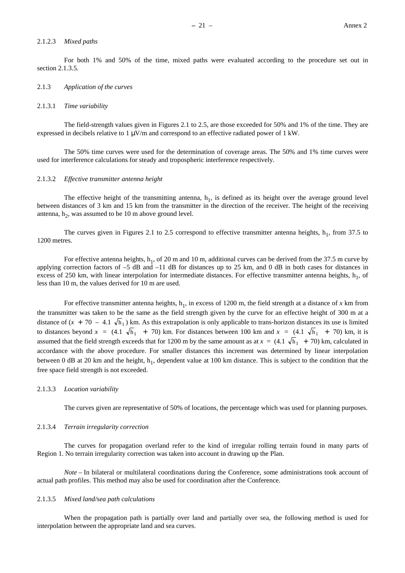#### 2.1.2.3 *Mixed paths*

For both 1% and 50% of the time, mixed paths were evaluated according to the procedure set out in section 2.1.3.5.

#### 2.1.3 *Application of the curves*

#### 2.1.3.1 *Time variability*

The field-strength values given in Figures 2.1 to 2.5, are those exceeded for 50% and 1% of the time. They are expressed in decibels relative to 1  $\mu$ V/m and correspond to an effective radiated power of 1 kW.

The 50% time curves were used for the determination of coverage areas. The 50% and 1% time curves were used for interference calculations for steady and tropospheric interference respectively.

#### 2.1.3.2 *Effective transmitter antenna height*

The effective height of the transmitting antenna,  $h_1$ , is defined as its height over the average ground level between distances of 3 km and 15 km from the transmitter in the direction of the receiver. The height of the receiving antenna,  $h_2$ , was assumed to be 10 m above ground level.

The curves given in Figures 2.1 to 2.5 correspond to effective transmitter antenna heights,  $h_1$ , from 37.5 to 1200 metres.

For effective antenna heights,  $h_1$ , of 20 m and 10 m, additional curves can be derived from the 37.5 m curve by applying correction factors of  $-5$  dB and  $-11$  dB for distances up to 25 km, and 0 dB in both cases for distances in excess of 250 km, with linear interpolation for intermediate distances. For effective transmitter antenna heights,  $h_1$ , of less than 10 m, the values derived for 10 m are used.

For effective transmitter antenna heights,  $h_1$ , in excess of 1200 m, the field strength at a distance of x km from the transmitter was taken to be the same as the field strength given by the curve for an effective height of 300 m at a distance of  $(x + 70 - 4.1 \sqrt{h_1})$  km. As this extrapolation is only applicable to trans-horizon distances its use is limited to distances beyond  $x = (4.1 \sqrt{h_1} + 70)$  km. For distances between 100 km and  $x = (4.1 \sqrt{h_1} + 70)$  km, it is assumed that the field strength exceeds that for 1200 m by the same amount as at  $x = (4.1 \sqrt{h_1} + 70)$  km, calculated in accordance with the above procedure. For smaller distances this increment was determined by linear interpolation between 0 dB at 20 km and the height,  $h_1$ , dependent value at 100 km distance. This is subject to the condition that the free space field strength is not exceeded.

#### 2.1.3.3 *Location variability*

The curves given are representative of 50% of locations, the percentage which was used for planning purposes.

#### 2.1.3.4 *Terrain irregularity correction*

The curves for propagation overland refer to the kind of irregular rolling terrain found in many parts of Region 1. No terrain irregularity correction was taken into account in drawing up the Plan.

*Note* – In bilateral or multilateral coordinations during the Conference, some administrations took account of actual path profiles. This method may also be used for coordination after the Conference.

#### 2.1.3.5 *Mixed land/sea path calculations*

When the propagation path is partially over land and partially over sea, the following method is used for interpolation between the appropriate land and sea curves.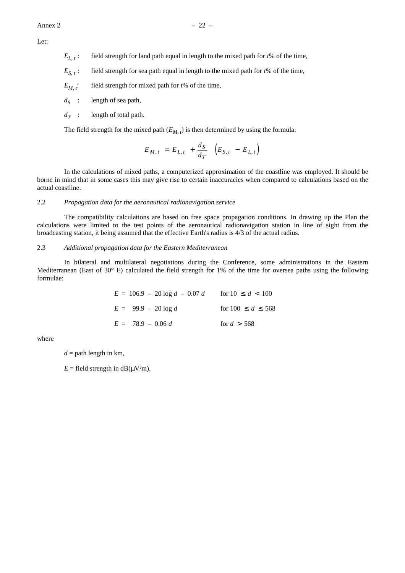Let:

- $E_{L}$ : field strength for land path equal in length to the mixed path for  $t\%$  of the time,
- $E_{S_t}$ : field strength for sea path equal in length to the mixed path for  $t\%$  of the time,
- $E_M$ <sup>*t*</sup>: field strength for mixed path for  $t\%$  of the time,
- $d_S$  : length of sea path,
- $d_T$  : length of total path.

The field strength for the mixed path  $(E_{M,t})$  is then determined by using the formula:

$$
E_{M,t} = E_{L,t} + \frac{d_S}{d_T} \left( E_{S,t} - E_{L,t} \right)
$$

In the calculations of mixed paths, a computerized approximation of the coastline was employed. It should be borne in mind that in some cases this may give rise to certain inaccuracies when compared to calculations based on the actual coastline.

#### 2.2 *Propagation data for the aeronautical radionavigation service*

The compatibility calculations are based on free space propagation conditions. In drawing up the Plan the calculations were limited to the test points of the aeronautical radionavigation station in line of sight from the broadcasting station, it being assumed that the effective Earth's radius is 4/3 of the actual radius.

#### 2.3 *Additional propagation data for the Eastern Mediterranean*

In bilateral and multilateral negotiations during the Conference, some administrations in the Eastern Mediterranean (East of 30° E) calculated the field strength for 1% of the time for oversea paths using the following formulae:

| $E = 106.9 - 20 \log d - 0.07 d$ | for $10 \le d < 100$    |
|----------------------------------|-------------------------|
| $E = 99.9 - 20 \log d$           | for $100 \le d \le 568$ |
| $E = 78.9 - 0.06 d$              | for $d > 568$           |

where

 $d =$  path length in km,

 $E =$  field strength in dB( $\mu$ V/m).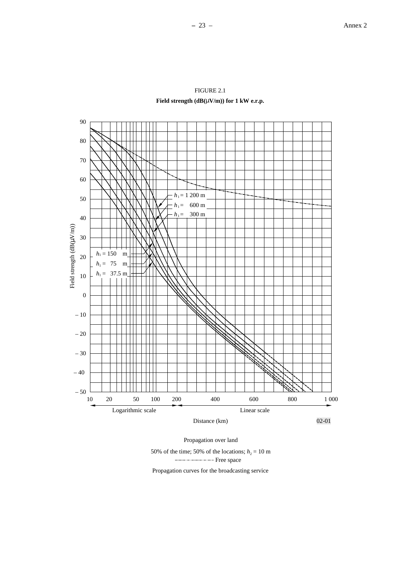

FIGURE 2.1 **Field strength (dB(**µ**V/m)) for 1 kW e.r.p.**

Propagation over land

50% of the time; 50% of the locations;  $h_2 = 10$  m ----------------- Free space

Propagation curves for the broadcasting service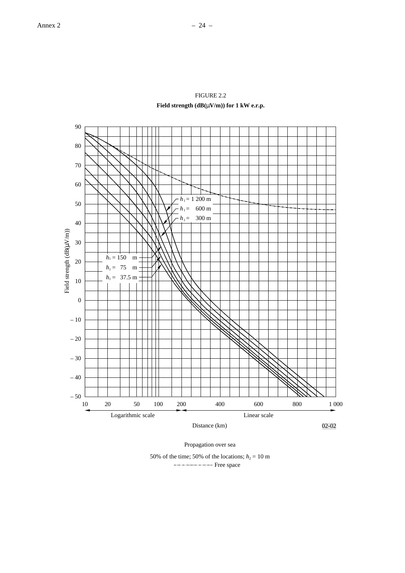

FIGURE 2.2 **Field strength (dB(**µ**V/m)) for 1 kW e.r.p.**

Propagation over sea

50% of the time; 50% of the locations;  $h_2 = 10$  m ---------------- Free space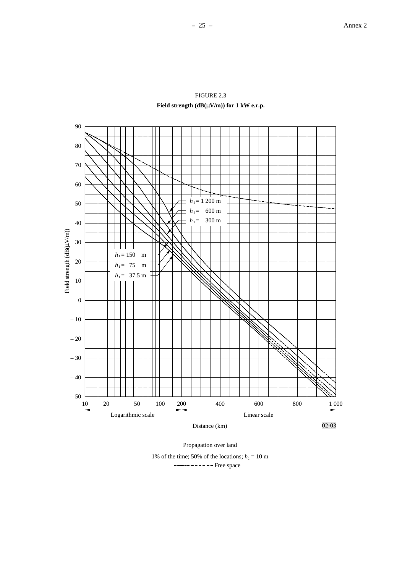



Propagation over land

1% of the time; 50% of the locations;  $h_2 = 10$  m ---------------- Free space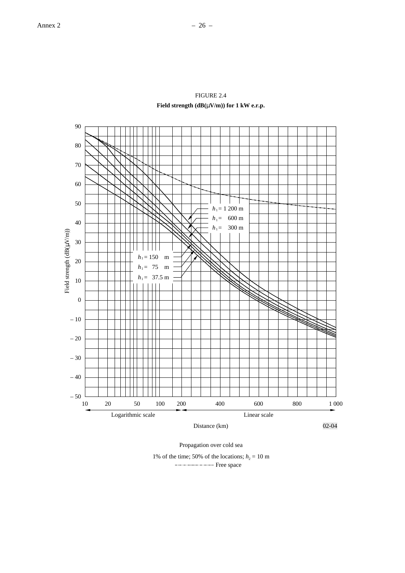

FIGURE 2.4 **Field strength (dB(**µ**V/m)) for 1 kW e.r.p.**

Propagation over cold sea

1% of the time; 50% of the locations;  $h_2 = 10$  m ----------------- Free space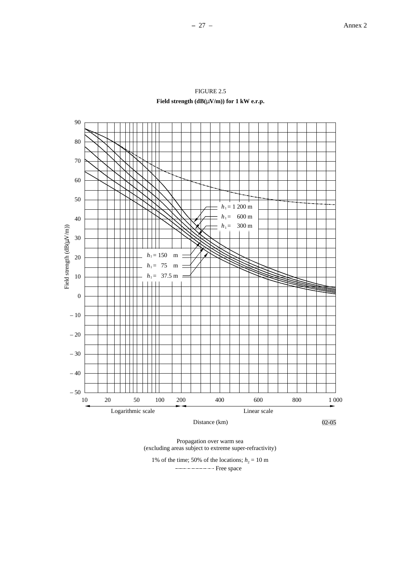02-05



90

80

70

60

50

40

30

20

10

Field strength (dB( Field strength  $(dB(\mu V/m))$ 

0

– 10

– 20

– 30

– 40

 $-50$   $\overline{\phantom{0}}$  10

Propagation over warm sea (excluding areas subject to extreme super-refractivity)

Distance (km)

10 20 50 100 200 400 600 800 1 000

Logarithmic scale Linear scale Linear scale

1% of the time; 50% of the locations;  $h_2 = 10$  m ----------------- Free space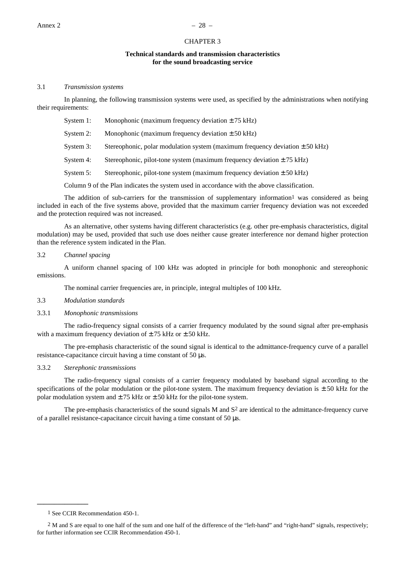# CHAPTER 3

#### **Technical standards and transmission characteristics for the sound broadcasting service**

#### <span id="page-33-0"></span>3.1 *Transmission systems*

In planning, the following transmission systems were used, as specified by the administrations when notifying their requirements:

| Monophonic (maximum frequency deviation $\pm$ 75 kHz)<br>System 1: |
|--------------------------------------------------------------------|
|--------------------------------------------------------------------|

System 2: Monophonic (maximum frequency deviation  $\pm 50$  kHz)

System 3: Stereophonic, polar modulation system (maximum frequency deviation  $\pm$  50 kHz)

- System 4: Stereophonic, pilot-tone system (maximum frequency deviation  $\pm$  75 kHz)
- System 5: Stereophonic, pilot-tone system (maximum frequency deviation  $\pm$  50 kHz)

Column 9 of the Plan indicates the system used in accordance with the above classification.

The addition of sub-carriers for the transmission of supplementary information<sup>1</sup> was considered as being included in each of the five systems above, provided that the maximum carrier frequency deviation was not exceeded and the protection required was not increased.

As an alternative, other systems having different characteristics (e.g. other pre-emphasis characteristics, digital modulation) may be used, provided that such use does neither cause greater interference nor demand higher protection than the reference system indicated in the Plan.

#### 3.2 *Channel spacing*

A uniform channel spacing of 100 kHz was adopted in principle for both monophonic and stereophonic emissions.

The nominal carrier frequencies are, in principle, integral multiples of 100 kHz.

#### 3.3 *Modulation standards*

#### 3.3.1 *Monophonic transmissions*

The radio-frequency signal consists of a carrier frequency modulated by the sound signal after pre-emphasis with a maximum frequency deviation of  $\pm$  75 kHz or  $\pm$  50 kHz.

The pre-emphasis characteristic of the sound signal is identical to the admittance-frequency curve of a parallel resistance-capacitance circuit having a time constant of 50 µs.

## 3.3.2 *Sterephonic transmissions*

The radio-frequency signal consists of a carrier frequency modulated by baseband signal according to the specifications of the polar modulation or the pilot-tone system. The maximum frequency deviation is  $\pm$  50 kHz for the polar modulation system and  $\pm$  75 kHz or  $\pm$  50 kHz for the pilot-tone system.

The pre-emphasis characteristics of the sound signals  $M$  and  $S<sup>2</sup>$  are identical to the admittance-frequency curve of a parallel resistance-capacitance circuit having a time constant of 50 µs.

**\_\_\_\_\_\_\_\_\_\_\_\_\_\_\_**

<sup>1</sup> See CCIR Recommendation 450-1.

<sup>2</sup> M and S are equal to one half of the sum and one half of the difference of the "left-hand" and "right-hand" signals, respectively; for further information see CCIR Recommendation 450-1.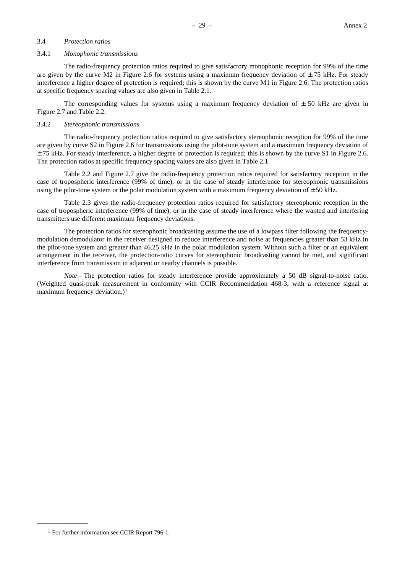# 3.4 *Protection ratios*

#### 3.4.1 *Monophonic transmissions*

The radio-frequency protection ratios required to give satisfactory monophonic reception for 99% of the time are given by the curve M2 in Figure 2.6 for systems using a maximum frequency deviation of  $\pm$  75 kHz. For steady interference a higher degree of protection is required; this is shown by the curve M1 in Figure 2.6. The protection ratios at specific frequency spacing values are also given in Table 2.1.

The corresponding values for systems using a maximum frequency deviation of  $\pm$  50 kHz are given in Figure 2.7 and Table 2.2.

# 3.4.2 *Stereophonic transmissions*

The radio-frequency protection ratios required to give satisfactory stereophonic reception for 99% of the time are given by curve S2 in Figure 2.6 for transmissions using the pilot-tone system and a maximum frequency deviation of  $\pm$  75 kHz. For steady interference, a higher degree of protection is required; this is shown by the curve S1 in Figure 2.6. The protection ratios at specific frequency spacing values are also given in Table 2.1.

Table 2.2 and Figure 2.7 give the radio-frequency protection ratios required for satisfactory reception in the case of tropospheric interference (99% of time), or in the case of steady interference for stereophonic transmissions using the pilot-tone system or the polar modulation system with a maximum frequency deviation of  $\pm 50$  kHz.

Table 2.3 gives the radio-frequency protection ratios required for satisfactory stereophonic reception in the case of tropospheric interference (99% of time), or in the case of steady interference where the wanted and interfering transmitters use different maximum frequency deviations.

The protection ratios for stereophonic broadcasting assume the use of a lowpass filter following the frequencymodulation demodulator in the receiver designed to reduce interference and noise at frequencies greater than 53 kHz in the pilot-tone system and greater than 46.25 kHz in the polar modulation system. Without such a filter or an equivalent arrangement in the receiver, the protection-ratio curves for stereophonic broadcasting cannot be met, and significant interference from transmission in adjacent or nearby channels is possible.

*Note* – The protection ratios for steady interference provide approximately a 50 dB signal-to-noise ratio. (Weighted quasi-peak measurement in conformity with CCIR Recommendation 468-3, with a reference signal at maximum frequency deviation.)1

**\_\_\_\_\_\_\_\_\_\_\_\_\_\_\_**

<sup>1</sup> For further information see CCIR Report 796-1.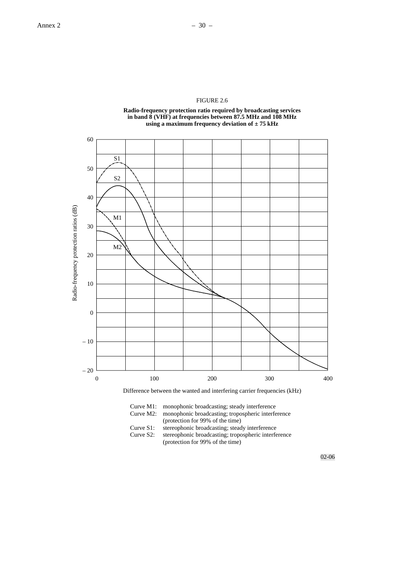# FIGURE 2.6

**Radio-frequency protection ratio required by broadcasting services in band 8 (VHF) at frequencies between 87.5 MHz and 108 MHz using a maximum frequency deviation of ± 75 kHz**





| Curve $M1$ : | monophonic broadcasting; steady interference         |
|--------------|------------------------------------------------------|
| Curve M2:    | monophonic broadcasting; tropospheric interference   |
|              | (protection for 99% of the time)                     |
| Curve $S1$ : | stereophonic broadcasting; steady interference       |
| Curve $S2$ : | stereophonic broadcasting; tropospheric interference |
|              | (protection for 99% of the time)                     |

02-06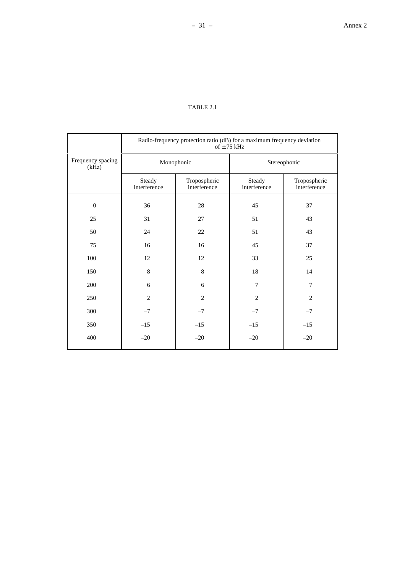# TABLE 2.1

|                            | Radio-frequency protection ratio (dB) for a maximum frequency deviation<br>of $\pm$ 75 kHz |                              |                        |                              |  |  |
|----------------------------|--------------------------------------------------------------------------------------------|------------------------------|------------------------|------------------------------|--|--|
| Frequency spacing<br>(kHz) | Monophonic                                                                                 |                              | Stereophonic           |                              |  |  |
|                            | Steady<br>interference                                                                     | Tropospheric<br>interference | Steady<br>interference | Tropospheric<br>interference |  |  |
| $\overline{0}$             | 36                                                                                         | 28                           | 45                     | 37                           |  |  |
| 25                         | 31                                                                                         | 27                           | 51                     | 43                           |  |  |
| 50                         | 24                                                                                         | 22                           | 51                     | 43                           |  |  |
| 75                         | 16                                                                                         | 16                           | 45                     | 37                           |  |  |
| 100                        | 12                                                                                         | 12                           | 33                     | 25                           |  |  |
| 150                        | $\,8\,$                                                                                    | $\,8\,$                      | 18                     | 14                           |  |  |
| 200                        | 6                                                                                          | 6                            | 7                      | $\overline{7}$               |  |  |
| 250                        | $\overline{2}$                                                                             | $\overline{2}$               | $\overline{2}$         | $\overline{2}$               |  |  |
| 300                        | $-7$                                                                                       | $-7$                         | $-7$                   | $-7$                         |  |  |
| 350                        | $-15$                                                                                      | $-15$                        | $-15$                  | $-15$                        |  |  |
| 400                        | $-20$                                                                                      | $-20$                        | $-20$                  | $-20$                        |  |  |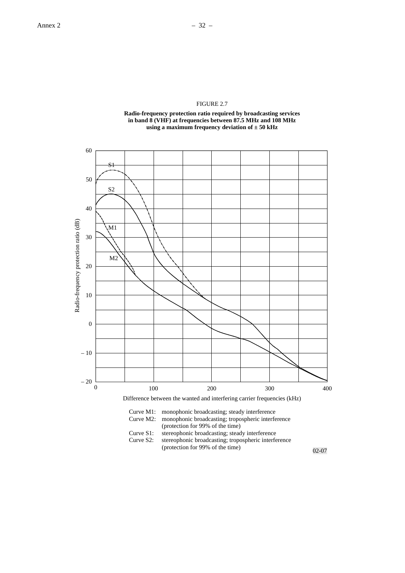



Curve M2: monophonic broadcasting; tropospheric interference (protection for 99% of the time)

- Curve S1: stereophonic broadcasting; steady interference<br>Curve S2: stereophonic broadcasting; tropospheric interfe
	- stereophonic broadcasting; tropospheric interference (protection for 99% of the time)

02-07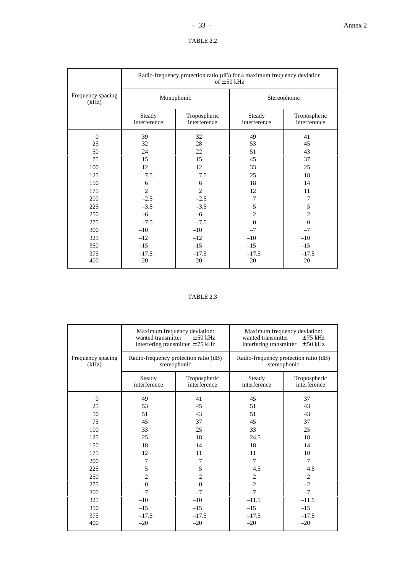| `ABLE |  |
|-------|--|
|-------|--|

|                            | Radio-frequency protection ratio (dB) for a maximum frequency deviation<br>of $\pm$ 50 kHz |                              |                        |                              |  |  |
|----------------------------|--------------------------------------------------------------------------------------------|------------------------------|------------------------|------------------------------|--|--|
| Frequency spacing<br>(kHz) |                                                                                            | Monophonic                   | Stereophonic           |                              |  |  |
|                            | Steady<br>interference                                                                     | Tropospheric<br>interference | Steady<br>interference | Tropospheric<br>interference |  |  |
| $\Omega$                   | 39                                                                                         | 32                           | 49                     | 41                           |  |  |
| 25                         | 32                                                                                         | 28                           | 53                     | 45                           |  |  |
| 50                         | 24                                                                                         | 22                           | 51                     | 43                           |  |  |
| 75                         | 15                                                                                         | 15                           | 45                     | 37                           |  |  |
| 100                        | 12                                                                                         | 12                           | 33                     | 25                           |  |  |
| 125                        | 7.5                                                                                        | 7.5                          | 25                     | 18                           |  |  |
| 150                        | 6                                                                                          | 6                            | 18                     | 14                           |  |  |
| 175                        | $\overline{2}$                                                                             | $\overline{2}$               | 12                     | 11                           |  |  |
| 200                        | $-2.5$                                                                                     | $-2.5$                       | 7                      | 7                            |  |  |
| 225                        | $-3.5$                                                                                     | $-3.5$                       | 5                      | 5                            |  |  |
| 250                        | $-6$                                                                                       | $-6$                         | $\overline{2}$         | $\overline{c}$               |  |  |
| 275                        | $-7.5$                                                                                     | $-7.5$                       | $\Omega$               | $\mathbf{0}$                 |  |  |
| 300                        | $-10$                                                                                      | $-10$                        | $-7$                   | $-7$                         |  |  |
| 325                        | $-12$                                                                                      | $-12$                        | $-10$                  | $-10$                        |  |  |
| 350                        | $-15$                                                                                      | $-15$                        | $-15$                  | $-15$                        |  |  |
| 375<br>400                 | $-17.5$<br>$-20$                                                                           | $-17.5$<br>$-20$             | $-17.5$<br>$-20$       | $-17.5$<br>$-20$             |  |  |

# TABLE 2.3

|                            | wanted transmitter     | Maximum frequency deviation:<br>$\pm$ 50 kHz<br>interfering transmitter $\pm$ 75 kHz | wanted transmitter     | Maximum frequency deviation:<br>$±75$ kHz<br>interfering transmitter $\pm 50$ kHz |
|----------------------------|------------------------|--------------------------------------------------------------------------------------|------------------------|-----------------------------------------------------------------------------------|
| Frequency spacing<br>(kHz) |                        | Radio-frequency protection ratio (dB)<br>stereophonic                                |                        | Radio-frequency protection ratio (dB)<br>stereophonic                             |
|                            | Steady<br>interference | Tropospheric<br>interference                                                         | Steady<br>interference | Tropospheric<br>interference                                                      |
| $\Omega$                   | 49                     | 41                                                                                   | 45                     | 37                                                                                |
| 25                         | 53                     | 45                                                                                   | 51                     | 43                                                                                |
| 50                         | 51                     | 43                                                                                   | 51                     | 43                                                                                |
| 75                         | 45                     | 37                                                                                   | 45                     | 37                                                                                |
| 100                        | 33                     | 25                                                                                   | 33                     | 25                                                                                |
| 125                        | 25                     | 18                                                                                   | 24.5                   | 18                                                                                |
| 150                        | 18                     | 14                                                                                   | 18                     | 14                                                                                |
| 175                        | 12                     | 11                                                                                   | 11                     | 10                                                                                |
| 200                        | 7                      | 7                                                                                    | 7                      | 7                                                                                 |
| 225                        | 5                      | 5                                                                                    | 4.5                    | 4.5                                                                               |
| 250                        | $\mathbf{2}$           | $\overline{c}$                                                                       | 2                      | 2                                                                                 |
| 275                        | $\theta$               | $\Omega$                                                                             | $-2$                   | $-2$                                                                              |
| 300                        | $-7$                   | $-7$                                                                                 | $-7$                   | $-7$                                                                              |
| 325                        | $-10$                  | $-10$                                                                                | $-11.5$                | $-11.5$                                                                           |
| 350                        | $-15$                  | $-15$                                                                                | $-15$                  | $-15$                                                                             |
| 375                        | $-17.5$                | $-17.5$                                                                              | $-17.5$                | $-17.5$                                                                           |
| 400                        | $-20$                  | $-20$                                                                                | $-20$                  | $-20$                                                                             |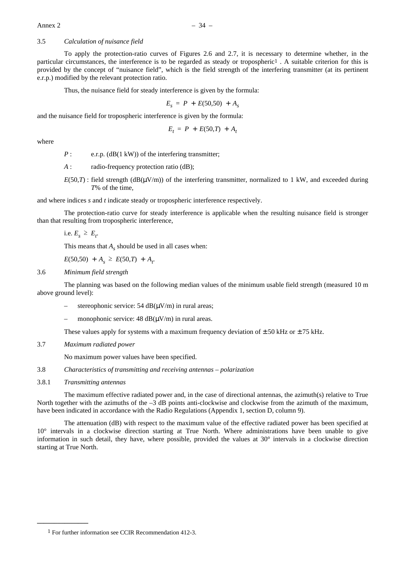# 3.5 *Calculation of nuisance field*

To apply the protection-ratio curves of Figures 2.6 and 2.7, it is necessary to determine whether, in the particular circumstances, the interference is to be regarded as steady or tropospheric1 . A suitable criterion for this is provided by the concept of "nuisance field", which is the field strength of the interfering transmitter (at its pertinent e.r.p.) modified by the relevant protection ratio.

Thus, the nuisance field for steady interference is given by the formula:

$$
E_{s} = P + E(50,50) + A_{s}
$$

and the nuisance field for tropospheric interference is given by the formula:

$$
E_t = P + E(50,T) + A_t
$$

where

*P* : e.r.p. (dB(1 kW)) of the interfering transmitter:

- *A* : radio-frequency protection ratio (dB);
- $E(50,T)$ : field strength (dB( $\mu$ V/m)) of the interfering transmitter, normalized to 1 kW, and exceeded during *T*% of the time,

and where indices *s* and *t* indicate steady or tropospheric interference respectively.

The protection-ratio curve for steady interference is applicable when the resulting nuisance field is stronger than that resulting from tropospheric interference,

i.e.  $E_s \geq E_t$ 

This means that  $A<sub>s</sub>$  should be used in all cases when:

 $E(50,50) + A_s \geq E(50,T) + A_t$ 

#### 3.6 *Minimum field strength*

The planning was based on the following median values of the minimum usable field strength (measured 10 m above ground level):

- stereophonic service: 54  $dB(\mu V/m)$  in rural areas;
- monophonic service:  $48 \text{ dB}(\mu\text{V/m})$  in rural areas.

These values apply for systems with a maximum frequency deviation of  $\pm$  50 kHz or  $\pm$  75 kHz.

3.7 *Maximum radiated power*

No maximum power values have been specified.

- 3.8 *Characteristics of transmitting and receiving antennas polarization*
- 3.8.1 *Transmitting antennas*

**\_\_\_\_\_\_\_\_\_\_\_\_\_\_\_**

The maximum effective radiated power and, in the case of directional antennas, the azimuth(s) relative to True North together with the azimuths of the  $-3$  dB points anti-clockwise and clockwise from the azimuth of the maximum, have been indicated in accordance with the Radio Regulations (Appendix 1, section D, column 9).

The attenuation (dB) with respect to the maximum value of the effective radiated power has been specified at 10° intervals in a clockwise direction starting at True North. Where administrations have been unable to give information in such detail, they have, where possible, provided the values at  $30^\circ$  intervals in a clockwise direction starting at True North.

<sup>1</sup> For further information see CCIR Recommendation 412-3.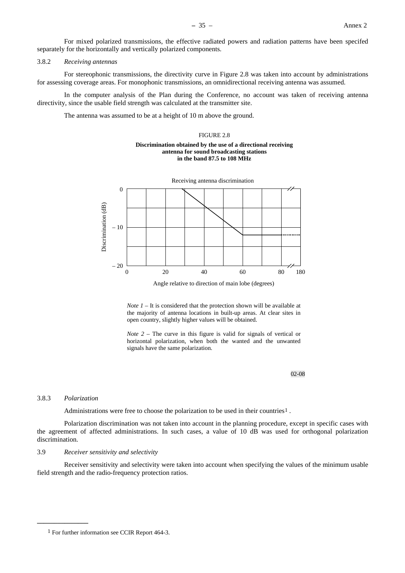For mixed polarized transmissions, the effective radiated powers and radiation patterns have been specifed separately for the horizontally and vertically polarized components.

#### 3.8.2 *Receiving antennas*

For stereophonic transmissions, the directivity curve in Figure 2.8 was taken into account by administrations for assessing coverage areas. For monophonic transmissions, an omnidirectional receiving antenna was assumed.

In the computer analysis of the Plan during the Conference, no account was taken of receiving antenna directivity, since the usable field strength was calculated at the transmitter site.

The antenna was assumed to be at a height of 10 m above the ground.

#### FIGURE 2.8

#### **Discrimination obtained by the use of a directional receiving antenna for sound broadcasting stations in the band 87.5 to 108 MHz**



Angle relative to direction of main lobe (degrees)

*Note 1* – It is considered that the protection shown will be available at the majority of antenna locations in built-up areas. At clear sites in open country, slightly higher values will be obtained.

*Note 2* – The curve in this figure is valid for signals of vertical or horizontal polarization, when both the wanted and the unwanted signals have the same polarization.

02-08

#### 3.8.3 *Polarization*

**\_\_\_\_\_\_\_\_\_\_\_\_\_\_\_**

Administrations were free to choose the polarization to be used in their countries<sup>1</sup>.

Polarization discrimination was not taken into account in the planning procedure, except in specific cases with the agreement of affected administrations. In such cases, a value of 10 dB was used for orthogonal polarization discrimination.

# 3.9 *Receiver sensitivity and selectivity*

Receiver sensitivity and selectivity were taken into account when specifying the values of the minimum usable field strength and the radio-frequency protection ratios.

<sup>1</sup> For further information see CCIR Report 464-3.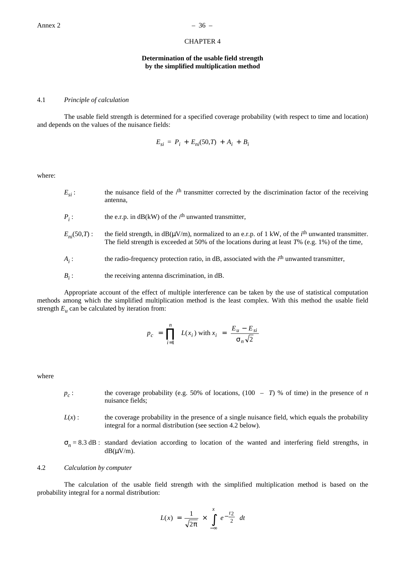# CHAPTER 4

## **Determination of the usable field strength by the simplified multiplication method**

## 4.1 *Principle of calculation*

The usable field strength is determined for a specified coverage probability (with respect to time and location) and depends on the values of the nuisance fields:

$$
E_{si} = P_i + E_{ni}(50, T) + A_i + B_i
$$

where:

- $E_{si}$ : the nuisance field of the *i*<sup>th</sup> transmitter corrected by the discrimination factor of the receiving antenna,
- $P_i$ : : the e.r.p. in dB(kW) of the *i*<sup>th</sup> unwanted transmitter,
- $E_n(50,T)$ : the field strength, in dB( $\mu$ V/m), normalized to an e.r.p. of 1 kW, of the *i*<sup>th</sup> unwanted transmitter. The field strength is exceeded at 50% of the locations during at least *T*% (e.g. 1%) of the time,
- *Ai* : the radio-frequency protection ratio, in dB, associated with the *i*th unwanted transmitter,
- $B_i$ : : the receiving antenna discrimination, in dB.

Appropriate account of the effect of multiple interference can be taken by the use of statistical computation methods among which the simplified multiplication method is the least complex. With this method the usable field strength  $E_u$  can be calculated by iteration from:

$$
p_c = \prod_{i=1}^{n} L(x_i) \text{ with } x_i = \frac{E_u - E_{si}}{\sigma_n \sqrt{2}}
$$

where

- $p_c$ : the coverage probability (e.g. 50% of locations, (100 *T*) % of time) in the presence of *n* nuisance fields;
- $L(x)$ : the coverage probability in the presence of a single nuisance field, which equals the probability integral for a normal distribution (see section 4.2 below).
- $\sigma_n = 8.3$  dB : standard deviation according to location of the wanted and interfering field strengths, in  $dB(\mu V/m)$ .

# 4.2 *Calculation by computer*

The calculation of the usable field strength with the simplified multiplication method is based on the probability integral for a normal distribution:

$$
L(x) = \frac{1}{\sqrt{2\pi}} \times \int_{-\infty}^{x} e^{-\frac{t_2}{2}} dt
$$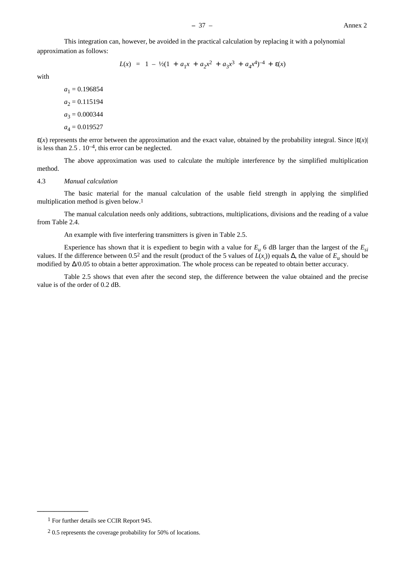This integration can, however, be avoided in the practical calculation by replacing it with a polynomial approximation as follows:

$$
L(x) = 1 - \frac{1}{2}(1 + a_1x + a_2x^2 + a_3x^3 + a_4x^4)^{-4} + \varepsilon(x)
$$

with

 $a_1 = 0.196854$  $a_2 = 0.115194$  $a_3 = 0.000344$  $a_4 = 0.019527$ 

 $\varepsilon(x)$  represents the error between the approximation and the exact value, obtained by the probability integral. Since  $|\varepsilon(x)|$ is less than  $2.5 \cdot 10^{-4}$ , this error can be neglected.

The above approximation was used to calculate the multiple interference by the simplified multiplication method.

#### 4.3 *Manual calculation*

The basic material for the manual calculation of the usable field strength in applying the simplified multiplication method is given below.1

The manual calculation needs only additions, subtractions, multiplications, divisions and the reading of a value from Table 2.4.

An example with five interfering transmitters is given in Table 2.5.

Experience has shown that it is expedient to begin with a value for  $E_u$  6 dB larger than the largest of the  $E_{si}$ values. If the difference between 0.52 and the result (product of the 5 values of *L*(*xi* )) equals ∆, the value of *Eu* should be modified by ∆/0.05 to obtain a better approximation. The whole process can be repeated to obtain better accuracy.

Table 2.5 shows that even after the second step, the difference between the value obtained and the precise value is of the order of 0.2 dB.

**\_\_\_\_\_\_\_\_\_\_\_\_\_\_\_**

<sup>1</sup> For further details see CCIR Report 945.

<sup>2 0.5</sup> represents the coverage probability for 50% of locations.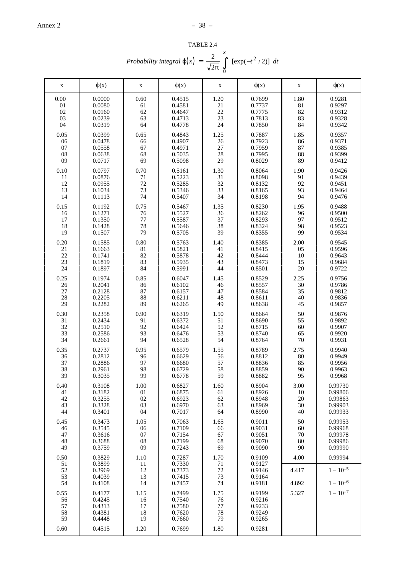| TABLE 2.4                                                                                     |  |
|-----------------------------------------------------------------------------------------------|--|
| Probability integral $\varphi(x) = \frac{2}{\sqrt{2\pi}} \int_{0}^{\infty} [\exp(-t^2/2)] dt$ |  |

| $\mathbf X$                  | $\varphi(x)$                                   | $\mathbf X$                  | $\varphi(x)$                                   | $\mathbf X$                  | $\varphi(x)$                                   | $\mathbf X$            | $\varphi(x)$                              |
|------------------------------|------------------------------------------------|------------------------------|------------------------------------------------|------------------------------|------------------------------------------------|------------------------|-------------------------------------------|
| 0.00                         | 0.0000                                         | 0.60                         | 0.4515                                         | 1.20                         | 0.7699                                         | 1.80                   | 0.9281                                    |
| 01                           | 0.0080                                         | 61                           | 0.4581                                         | 21                           | 0.7737                                         | 81                     | 0.9297                                    |
| 02                           | 0.0160                                         | 62                           | 0.4647                                         | 22                           | 0.7775                                         | 82                     | 0.9312                                    |
| 03                           | 0.0239                                         | 63                           | 0.4713                                         | 23                           | 0.7813                                         | 83                     | 0.9328                                    |
| 04                           | 0.0319                                         | 64                           | 0.4778                                         | 24                           | 0.7850                                         | 84                     | 0.9342                                    |
| 0.05                         | 0.0399                                         | 0.65                         | 0.4843                                         | 1.25                         | 0.7887                                         | 1.85                   | 0.9357                                    |
| 06                           | 0.0478                                         | 66                           | 0.4907                                         | 26                           | 0.7923                                         | 86                     | 0.9371                                    |
| 07                           | 0.0558                                         | 67                           | 0.4971                                         | 27                           | 0.7959                                         | 87                     | 0.9385                                    |
| 08                           | 0.0638                                         | 68                           | 0.5035                                         | 28                           | 0.7995                                         | 88                     | 0.9399                                    |
| 09                           | 0.0717                                         | 69                           | 0.5098                                         | 29                           | 0.8029                                         | 89                     | 0.9412                                    |
| 0.10                         | 0.0797                                         | 0.70                         | 0.5161                                         | 1.30                         | 0.8064                                         | 1.90                   | 0.9426                                    |
| 11                           | 0.0876                                         | 71                           | 0.5223                                         | 31                           | 0.8098                                         | 91                     | 0.9439                                    |
| 12                           | 0.0955                                         | 72                           | 0.5285                                         | 32                           | 0.8132                                         | 92                     | 0.9451                                    |
| 13                           | 0.1034                                         | 73                           | 0.5346                                         | 33                           | 0.8165                                         | 93                     | 0.9464                                    |
| 14                           | 0.1113                                         | 74                           | 0.5407                                         | 34                           | 0.8198                                         | 94                     | 0.9476                                    |
| 0.15                         | 0.1192                                         | 0.75                         | 0.5467                                         | 1.35                         | 0.8230                                         | 1.95                   | 0.9488                                    |
| 16                           | 0.1271                                         | 76                           | 0.5527                                         | 36                           | 0.8262                                         | 96                     | 0.9500                                    |
| 17                           | 0.1350                                         | 77                           | 0.5587                                         | 37                           | 0.8293                                         | 97                     | 0.9512                                    |
| 18                           | 0.1428                                         | 78                           | 0.5646                                         | 38                           | 0.8324                                         | 98                     | 0.9523                                    |
| 19                           | 0.1507                                         | 79                           | 0.5705                                         | 39                           | 0.8355                                         | 99                     | 0.9534                                    |
| 0.20                         | 0.1585                                         | 0.80                         | 0.5763                                         | 1.40                         | 0.8385                                         | 2.00                   | 0.9545                                    |
| 21                           | 0.1663                                         | 81                           | 0.5821                                         | 41                           | 0.8415                                         | 05                     | 0.9596                                    |
| 22                           | 0.1741                                         | 82                           | 0.5878                                         | 42                           | 0.8444                                         | 10                     | 0.9643                                    |
| 23                           | 0.1819                                         | 83                           | 0.5935                                         | 43                           | 0.8473                                         | 15                     | 0.9684                                    |
| 24                           | 0.1897                                         | 84                           | 0.5991                                         | 44                           | 0.8501                                         | 20                     | 0.9722                                    |
| 0.25                         | 0.1974                                         | 0.85                         | 0.6047                                         | 1.45                         | 0.8529                                         | 2.25                   | 0.9756                                    |
| 26                           | 0.2041                                         | 86                           | 0.6102                                         | 46                           | 0.8557                                         | 30                     | 0.9786                                    |
| 27                           | 0.2128                                         | 87                           | 0.6157                                         | 47                           | 0.8584                                         | 35                     | 0.9812                                    |
| 28                           | 0.2205                                         | 88                           | 0.6211                                         | 48                           | 0.8611                                         | 40                     | 0.9836                                    |
| 29                           | 0.2282                                         | 89                           | 0.6265                                         | 49                           | 0.8638                                         | 45                     | 0.9857                                    |
| 0.30                         | 0.2358                                         | 0.90                         | 0.6319                                         | 1.50                         | 0.8664                                         | 50                     | 0.9876                                    |
| 31                           | 0.2434                                         | 91                           | 0.6372                                         | 51                           | 0.8690                                         | 55                     | 0.9892                                    |
| 32                           | 0.2510                                         | 92                           | 0.6424                                         | 52                           | 0.8715                                         | 60                     | 0.9907                                    |
| 33                           | 0.2586                                         | 93                           | 0.6476                                         | 53                           | 0.8740                                         | 65                     | 0.9920                                    |
| 34                           | 0.2661                                         | 94                           | 0.6528                                         | 54                           | 0.8764                                         | 70                     | 0.9931                                    |
| 0.35                         | 0.2737                                         | 0.95                         | 0.6579                                         | 1.55                         | 0.8789                                         | 2.75                   | 0.9940                                    |
| 36                           | 0.2812                                         | 96                           | 0.6629                                         | 56                           | 0.8812                                         | 80                     | 0.9949                                    |
| 37                           | 0.2886                                         | 97                           | 0.6680                                         | 57                           | 0.8836                                         | 85                     | 0.9956                                    |
| 38                           | 0.2961                                         | 98                           | 0.6729                                         | 58                           | 0.8859                                         | 90                     | 0.9963                                    |
| 39                           | 0.3035                                         | 99                           | 0.6778                                         | 59                           | 0.8882                                         | 95                     | 0.9968                                    |
| 0.40                         | 0.3108                                         | 1.00                         | 0.6827                                         | 1.60                         | 0.8904                                         | 3.00                   | 0.99730                                   |
| 41                           | 0.3182                                         | 01                           | 0.6875                                         | 61                           | 0.8926                                         | 10                     | 0.99806                                   |
| 42                           | 0.3255                                         | 02                           | 0.6923                                         | 62                           | 0.8948                                         | 20                     | 0.99863                                   |
| 43                           | 0.3328                                         | 03                           | 0.6970                                         | 63                           | 0.8969                                         | 30                     | 0.99903                                   |
| 44                           | 0.3401                                         | 04                           | 0.7017                                         | 64                           | 0.8990                                         | 40                     | 0.99933                                   |
| 0.45                         | 0.3473                                         | 1.05                         | 0.7063                                         | 1.65                         | 0.9011                                         | 50                     | 0.99953                                   |
| 46                           | 0.3545                                         | 06                           | 0.7109                                         | 66                           | 0.9031                                         | 60                     | 0.99968                                   |
| 47                           | 0.3616                                         | 07                           | 0.7154                                         | 67                           | 0.9051                                         | 70                     | 0.99978                                   |
| 48                           | 0.3688                                         | 08                           | 0.7199                                         | 68                           | 0.9070                                         | 80                     | 0.99986                                   |
| 49                           | 0.3759                                         | 09                           | 0.7243                                         | 69                           | 0.9090                                         | 90                     | 0.99990                                   |
| 0.50<br>51<br>52<br>53<br>54 | 0.3829<br>0.3899<br>0.3969<br>0.4039<br>0.4108 | 1.10<br>11<br>12<br>13<br>14 | 0.7287<br>0.7330<br>0.7373<br>0.7415<br>0.7457 | 1.70<br>71<br>72<br>73<br>74 | 0.9109<br>0.9127<br>0.9146<br>0.9164<br>0.9181 | 4.00<br>4.417<br>4.892 | 0.99994<br>$1 - 10^{-5}$<br>$1 - 10^{-6}$ |
| 0.55<br>56<br>57<br>58<br>59 | 0.4177<br>0.4245<br>0.4313<br>0.4381<br>0.4448 | 1.15<br>16<br>17<br>18<br>19 | 0.7499<br>0.7540<br>0.7580<br>0.7620<br>0.7660 | 1.75<br>76<br>77<br>78<br>79 | 0.9199<br>0.9216<br>0.9233<br>0.9249<br>0.9265 | 5.327                  | $1 - 10^{-7}$                             |
| 0.60                         | 0.4515                                         | 1.20                         | 0.7699                                         | 1.80                         | 0.9281                                         |                        |                                           |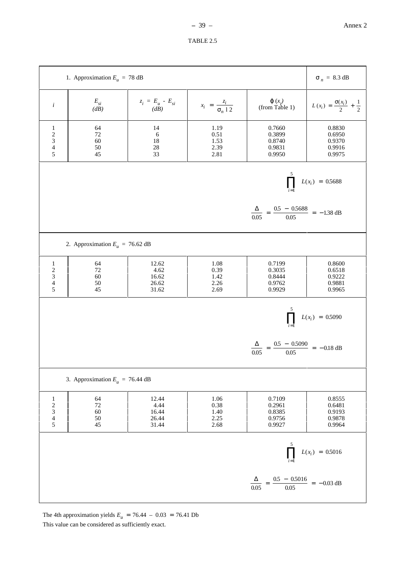

The 4th approximation yields  $E_u = 76.44 - 0.03 = 76.41$  Db This value can be considered as sufficiently exact.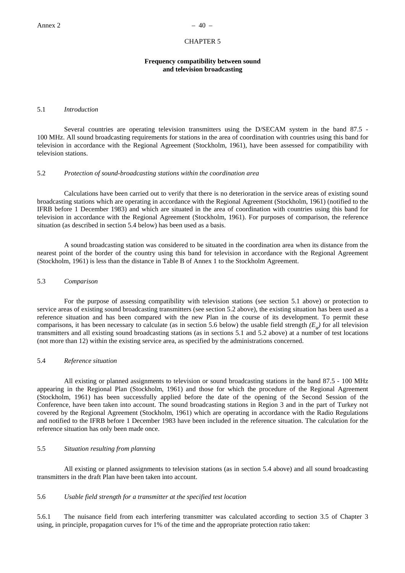#### CHAPTER 5

# **Frequency compatibility between sound and television broadcasting**

# 5.1 *Introduction*

Several countries are operating television transmitters using the D/SECAM system in the band 87.5 -100 MHz. All sound broadcasting requirements for stations in the area of coordination with countries using this band for television in accordance with the Regional Agreement (Stockholm, 1961), have been assessed for compatibility with television stations.

#### 5.2 *Protection of sound-broadcasting stations within the coordination area*

Calculations have been carried out to verify that there is no deterioration in the service areas of existing sound broadcasting stations which are operating in accordance with the Regional Agreement (Stockholm, 1961) (notified to the IFRB before 1 December 1983) and which are situated in the area of coordination with countries using this band for television in accordance with the Regional Agreement (Stockholm, 1961). For purposes of comparison, the reference situation (as described in section 5.4 below) has been used as a basis.

A sound broadcasting station was considered to be situated in the coordination area when its distance from the nearest point of the border of the country using this band for television in accordance with the Regional Agreement (Stockholm, 1961) is less than the distance in Table B of Annex 1 to the Stockholm Agreement.

## 5.3 *Comparison*

For the purpose of assessing compatibility with television stations (see section 5.1 above) or protection to service areas of existing sound broadcasting transmitters (see section 5.2 above), the existing situation has been used as a reference situation and has been compared with the new Plan in the course of its development. To permit these comparisons, it has been necessary to calculate (as in section 5.6 below) the usable field strength  $(E_u)$  for all television transmitters and all existing sound broadcasting stations (as in sections 5.1 and 5.2 above) at a number of test locations (not more than 12) within the existing service area, as specified by the administrations concerned.

# 5.4 *Reference situation*

All existing or planned assignments to television or sound broadcasting stations in the band 87.5 - 100 MHz appearing in the Regional Plan (Stockholm, 1961) and those for which the procedure of the Regional Agreement (Stockholm, 1961) has been successfully applied before the date of the opening of the Second Session of the Conference, have been taken into account. The sound broadcasting stations in Region 3 and in the part of Turkey not covered by the Regional Agreement (Stockholm, 1961) which are operating in accordance with the Radio Regulations and notified to the IFRB before 1 December 1983 have been included in the reference situation. The calculation for the reference situation has only been made once.

#### 5.5 *Situation resulting from planning*

All existing or planned assignments to television stations (as in section 5.4 above) and all sound broadcasting transmitters in the draft Plan have been taken into account.

# 5.6 *Usable field strength for a transmitter at the specified test location*

5.6.1 The nuisance field from each interfering transmitter was calculated according to section 3.5 of Chapter 3 using, in principle, propagation curves for 1% of the time and the appropriate protection ratio taken: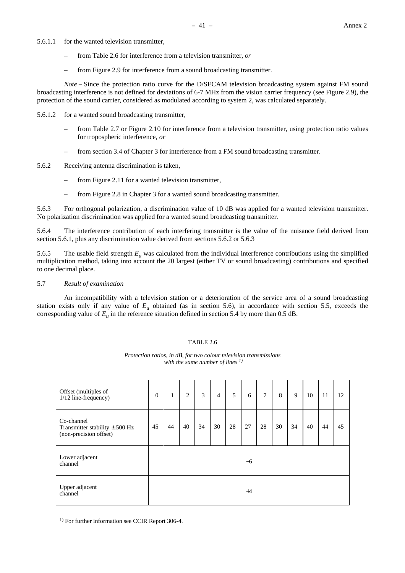- 5.6.1.1 for the wanted television transmitter,
	- from Table 2.6 for interference from a television transmitter, *or*
	- from Figure 2.9 for interference from a sound broadcasting transmitter.

*Note* – Since the protection ratio curve for the D/SECAM television broadcasting system against FM sound broadcasting interference is not defined for deviations of 6-7 MHz from the vision carrier frequency (see Figure 2.9), the protection of the sound carrier, considered as modulated according to system 2, was calculated separately.

- 5.6.1.2 for a wanted sound broadcasting transmitter,
	- from Table 2.7 or Figure 2.10 for interference from a television transmitter, using protection ratio values for tropospheric interference, *or*
	- from section 3.4 of Chapter 3 for interference from a FM sound broadcasting transmitter.
- 5.6.2 Receiving antenna discrimination is taken,
	- from Figure 2.11 for a wanted television transmitter,
	- from Figure 2.8 in Chapter 3 for a wanted sound broadcasting transmitter.

5.6.3 For orthogonal polarization, a discrimination value of 10 dB was applied for a wanted television transmitter. No polarization discrimination was applied for a wanted sound broadcasting transmitter.

5.6.4 The interference contribution of each interfering transmitter is the value of the nuisance field derived from section 5.6.1, plus any discrimination value derived from sections 5.6.2 or 5.6.3

5.6.5 The usable field strength  $E_\mu$  was calculated from the individual interference contributions using the simplified multiplication method, taking into account the 20 largest (either TV or sound broadcasting) contributions and specified to one decimal place.

## 5.7 *Result of examination*

An incompatibility with a television station or a deterioration of the service area of a sound broadcasting station exists only if any value of  $E_u$  obtained (as in section 5.6), in accordance with section 5.5, exceeds the corresponding value of  $E_u$  in the reference situation defined in section 5.4 by more than 0.5 dB.

#### TABLE 2.6

| Offset (multiples of<br>1/12 line-frequency)                               | $\mathbf{0}$ | $\mathbf{1}$ | $\overline{2}$ | 3  | $\overline{4}$ | 5  | 6    | $\tau$ | 8  | 9  | 10 | 11 | 12 |
|----------------------------------------------------------------------------|--------------|--------------|----------------|----|----------------|----|------|--------|----|----|----|----|----|
| Co-channel<br>Transmitter stability $\pm$ 500 Hz<br>(non-precision offset) | 45           | 44           | 40             | 34 | 30             | 28 | 27   | 28     | 30 | 34 | 40 | 44 | 45 |
| Lower adjacent<br>channel                                                  |              |              |                |    |                |    | $-6$ |        |    |    |    |    |    |
| Upper adjacent<br>channel                                                  |              |              |                |    |                |    | $+4$ |        |    |    |    |    |    |

*Protection ratios, in dB, for two colour television transmissions with the same number of lines 1)*

<sup>1)</sup> For further information see CCIR Report 306-4.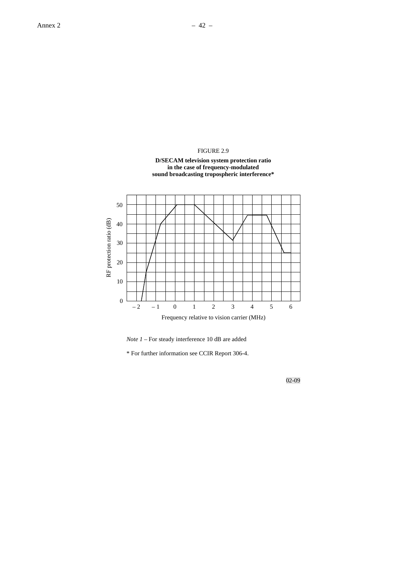







\* For further information see CCIR Report 306-4.

02-09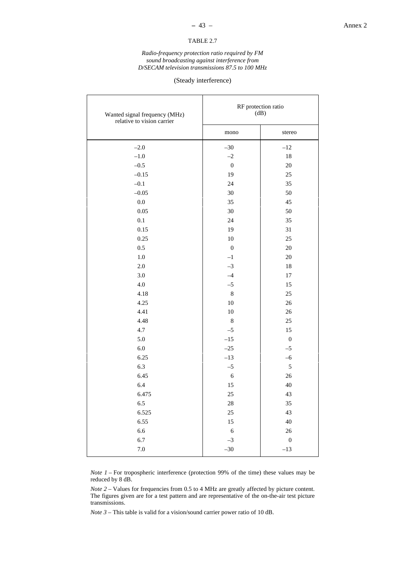# TABLE 2.7

#### *Radio-frequency protection ratio required by FM sound broadcasting against interference from D/SECAM television transmissions 87.5 to 100 MHz*

# (Steady interference)

| Wanted signal frequency (MHz)<br>relative to vision carrier | RF protection ratio<br>(dB) |                  |  |  |
|-------------------------------------------------------------|-----------------------------|------------------|--|--|
|                                                             | mono                        | stereo           |  |  |
| $-2.0$                                                      | $-30$                       | $-12$            |  |  |
| $-1.0$                                                      | $-2$                        | 18               |  |  |
| $-0.5$                                                      | $\boldsymbol{0}$            | 20               |  |  |
| $-0.15$                                                     | 19                          | $25\,$           |  |  |
| $-0.1$                                                      | 24                          | 35               |  |  |
| $-0.05$                                                     | 30                          | 50               |  |  |
| $0.0\,$                                                     | 35                          | 45               |  |  |
| 0.05                                                        | 30                          | 50               |  |  |
| 0.1                                                         | 24                          | 35               |  |  |
| 0.15                                                        | 19                          | 31               |  |  |
| 0.25                                                        | 10                          | 25               |  |  |
| 0.5                                                         | $\boldsymbol{0}$            | 20               |  |  |
| $1.0\,$                                                     | $^{-1}$                     | 20               |  |  |
| $2.0\,$                                                     | $-3$                        | 18               |  |  |
| 3.0                                                         | $-4$                        | $17\,$           |  |  |
| $4.0$                                                       | $-5$                        | 15               |  |  |
| 4.18                                                        | $\,8\,$                     | 25               |  |  |
| 4.25                                                        | $10\,$                      | $26\,$           |  |  |
| 4.41                                                        | 10                          | 26               |  |  |
| 4.48                                                        | $\,8\,$                     | 25               |  |  |
| 4.7                                                         | $-5$                        | 15               |  |  |
| 5.0                                                         | $-15$                       | $\boldsymbol{0}$ |  |  |
| $6.0\,$                                                     | $-25$                       | $-5$             |  |  |
| 6.25                                                        | $-13$                       | $-6$             |  |  |
| 6.3                                                         | $-5$                        | $\sqrt{5}$       |  |  |
| 6.45                                                        | $\sqrt{6}$                  | 26               |  |  |
| 6.4                                                         | 15                          | 40               |  |  |
| 6.475                                                       | 25                          | 43               |  |  |
| 6.5                                                         | $28\,$                      | 35               |  |  |
| 6.525                                                       | 25                          | 43               |  |  |
| 6.55                                                        | 15                          | 40               |  |  |
| 6.6                                                         | $\boldsymbol{6}$            | 26               |  |  |
| 6.7                                                         | $-3$                        | $\boldsymbol{0}$ |  |  |
| $7.0\,$                                                     | $-30$                       | $-13$            |  |  |

*Note 1* – For tropospheric interference (protection 99% of the time) these values may be reduced by 8 dB.

*Note 2* – Values for frequencies from 0.5 to 4 MHz are greatly affected by picture content. The figures given are for a test pattern and are representative of the on-the-air test picture transmissions.

*Note 3* – This table is valid for a vision/sound carrier power ratio of 10 dB.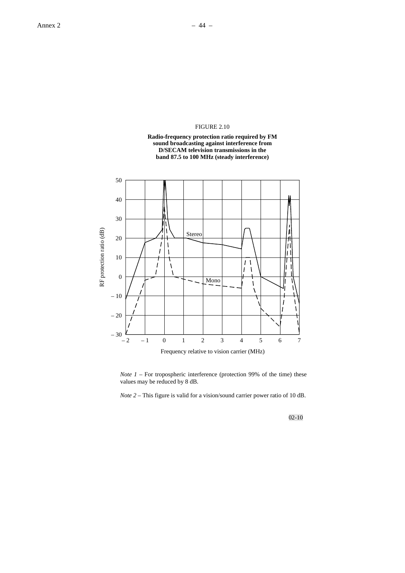# FIGURE 2.10





*Note 1* – For tropospheric interference (protection 99% of the time) these values may be reduced by 8 dB.

*Note 2* – This figure is valid for a vision/sound carrier power ratio of 10 dB.

02-10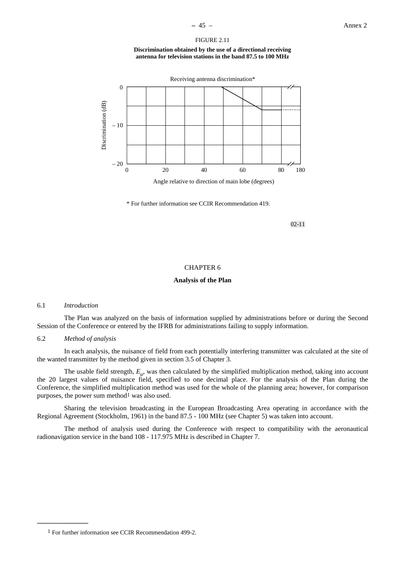#### FIGURE 2.11

**Discrimination obtained by the use of a directional receiving antenna for television stations in the band 87.5 to 100 MHz**



Angle relative to direction of main lobe (degrees)

\* For further information see CCIR Recommendation 419.

02-11

## CHAPTER 6

#### **Analysis of the Plan**

#### 6.1 *Introduction*

**\_\_\_\_\_\_\_\_\_\_\_\_\_\_\_**

The Plan was analyzed on the basis of information supplied by administrations before or during the Second Session of the Conference or entered by the IFRB for administrations failing to supply information.

# 6.2 *Method of analysis*

In each analysis, the nuisance of field from each potentially interfering transmitter was calculated at the site of the wanted transmitter by the method given in section 3.5 of Chapter 3.

The usable field strength,  $E_{\mu}$ , was then calculated by the simplified multiplication method, taking into account the 20 largest values of nuisance field, specified to one decimal place. For the analysis of the Plan during the Conference, the simplified multiplication method was used for the whole of the planning area; however, for comparison purposes, the power sum method<sup>1</sup> was also used.

Sharing the television broadcasting in the European Broadcasting Area operating in accordance with the Regional Agreement (Stockholm, 1961) in the band 87.5 - 100 MHz (see Chapter 5) was taken into account.

The method of analysis used during the Conference with respect to compatibility with the aeronautical radionavigation service in the band 108 - 117.975 MHz is described in Chapter 7.

<sup>1</sup> For further information see CCIR Recommendation 499-2.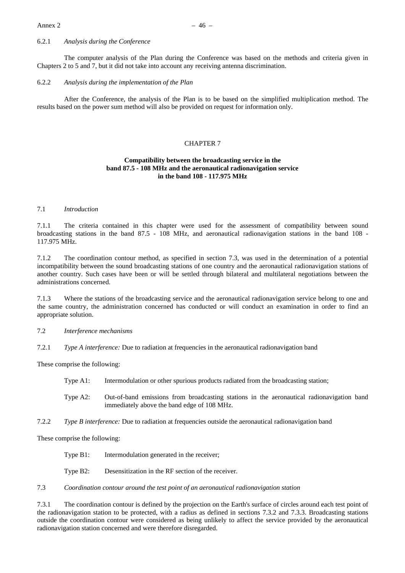# 6.2.1 *Analysis during the Conference*

The computer analysis of the Plan during the Conference was based on the methods and criteria given in Chapters 2 to 5 and 7, but it did not take into account any receiving antenna discrimination.

#### 6.2.2 *Analysis during the implementation of the Plan*

After the Conference, the analysis of the Plan is to be based on the simplified multiplication method. The results based on the power sum method will also be provided on request for information only.

#### CHAPTER 7

# **Compatibility between the broadcasting service in the band 87.5 - 108 MHz and the aeronautical radionavigation service in the band 108 - 117.975 MHz**

## 7.1 *Introduction*

7.1.1 The criteria contained in this chapter were used for the assessment of compatibility between sound broadcasting stations in the band 87.5 - 108 MHz, and aeronautical radionavigation stations in the band 108 - 117.975 MHz.

7.1.2 The coordination contour method, as specified in section 7.3, was used in the determination of a potential incompatibility between the sound broadcasting stations of one country and the aeronautical radionavigation stations of another country. Such cases have been or will be settled through bilateral and multilateral negotiations between the administrations concerned.

7.1.3 Where the stations of the broadcasting service and the aeronautical radionavigation service belong to one and the same country, the administration concerned has conducted or will conduct an examination in order to find an appropriate solution.

# 7.2 *Interference mechanisms*

7.2.1 *Type A interference:* Due to radiation at frequencies in the aeronautical radionavigation band

These comprise the following:

- Type A1: Intermodulation or other spurious products radiated from the broadcasting station;
- Type A2: Out-of-band emissions from broadcasting stations in the aeronautical radionavigation band immediately above the band edge of 108 MHz.
- 7.2.2 *Type B interference:* Due to radiation at frequencies outside the aeronautical radionavigation band

These comprise the following:

- Type B1: Intermodulation generated in the receiver;
- Type B2: Desensitization in the RF section of the receiver.

# 7.3 *Coordination contour around the test point of an aeronautical radionavigation station*

7.3.1 The coordination contour is defined by the projection on the Earth's surface of circles around each test point of the radionavigation station to be protected, with a radius as defined in sections 7.3.2 and 7.3.3. Broadcasting stations outside the coordination contour were considered as being unlikely to affect the service provided by the aeronautical radionavigation station concerned and were therefore disregarded.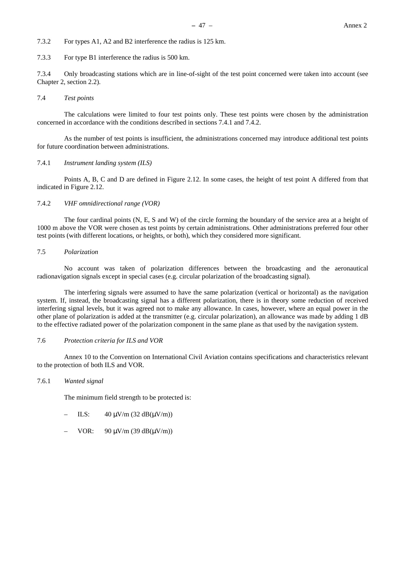7.3.2 For types A1, A2 and B2 interference the radius is 125 km.

7.3.3 For type B1 interference the radius is 500 km.

7.3.4 Only broadcasting stations which are in line-of-sight of the test point concerned were taken into account (see Chapter 2, section 2.2).

#### 7.4 *Test points*

The calculations were limited to four test points only. These test points were chosen by the administration concerned in accordance with the conditions described in sections 7.4.1 and 7.4.2.

As the number of test points is insufficient, the administrations concerned may introduce additional test points for future coordination between administrations.

# 7.4.1 *Instrument landing system (ILS)*

Points A, B, C and D are defined in Figure 2.12. In some cases, the height of test point A differed from that indicated in Figure 2.12.

# 7.4.2 *VHF omnidirectional range (VOR)*

The four cardinal points (N, E, S and W) of the circle forming the boundary of the service area at a height of 1000 m above the VOR were chosen as test points by certain administrations. Other administrations preferred four other test points (with different locations, or heights, or both), which they considered more significant.

# 7.5 *Polarization*

No account was taken of polarization differences between the broadcasting and the aeronautical radionavigation signals except in special cases (e.g. circular polarization of the broadcasting signal).

The interfering signals were assumed to have the same polarization (vertical or horizontal) as the navigation system. If, instead, the broadcasting signal has a different polarization, there is in theory some reduction of received interfering signal levels, but it was agreed not to make any allowance. In cases, however, where an equal power in the other plane of polarization is added at the transmitter (e.g. circular polarization), an allowance was made by adding 1 dB to the effective radiated power of the polarization component in the same plane as that used by the navigation system.

#### 7.6 *Protection criteria for ILS and VOR*

Annex 10 to the Convention on International Civil Aviation contains specifications and characteristics relevant to the protection of both ILS and VOR.

#### 7.6.1 *Wanted signal*

The minimum field strength to be protected is:

- ILS:  $40 \text{ uV/m}$  (32 dB( $\text{uV/m}$ ))
- VOR: 90  $\mu$ V/m (39 dB( $\mu$ V/m))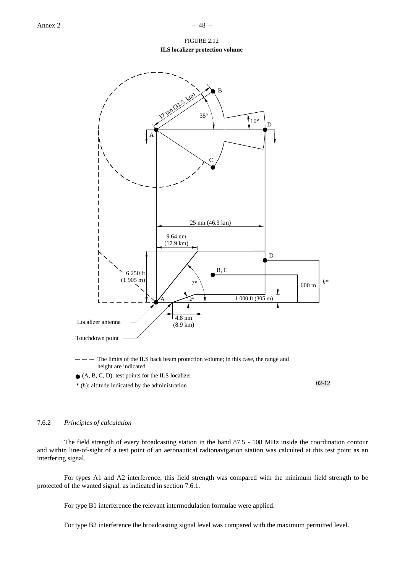FIGURE 2.12

**ILS localizer protection volume**



\* (*h*): altitude indicated by the administration

02-12

# 7.6.2 *Principles of calculation*

The field strength of every broadcasting station in the band 87.5 - 108 MHz inside the coordination contour and within line-of-sight of a test point of an aeronautical radionavigation station was calculted at this test point as an interfering signal.

For types A1 and A2 interference, this field strength was compared with the minimum field strength to be protected of the wanted signal, as indicated in section 7.6.1.

For type B1 interference the relevant intermodulation formulae were applied.

For type B2 interference the broadcasting signal level was compared with the maximum permitted level.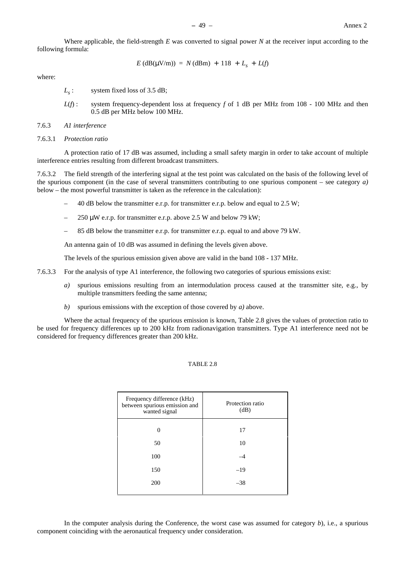Where applicable, the field-strength *E* was converted to signal power *N* at the receiver input according to the following formula:

$$
E (dB(\mu V/m)) = N (dBm) + 118 + Ls + L(f)
$$

where:

- *L<sub>s</sub>*: system fixed loss of 3.5 dB;
- *L*(*f*): system frequency-dependent loss at frequency *f* of 1 dB per MHz from 108 100 MHz and then 0.5 dB per MHz below 100 MHz.
- 7.6.3 *A1 interference*
- 7.6.3.1 *Protection ratio*

A protection ratio of 17 dB was assumed, including a small safety margin in order to take account of multiple interference entries resulting from different broadcast transmitters.

7.6.3.2 The field strength of the interfering signal at the test point was calculated on the basis of the following level of the spurious component (in the case of several transmitters contributing to one spurious component – see category *a)* below – the most powerful transmitter is taken as the reference in the calculation):

- 40 dB below the transmitter e.r.p. for transmitter e.r.p. below and equal to 2.5 W;
- 250  $\mu$ W e.r.p. for transmitter e.r.p. above 2.5 W and below 79 kW;
- 85 dB below the transmitter e.r.p. for transmitter e.r.p. equal to and above 79 kW.

An antenna gain of 10 dB was assumed in defining the levels given above.

The levels of the spurious emission given above are valid in the band 108 - 137 MHz.

- 7.6.3.3 For the analysis of type A1 interference, the following two categories of spurious emissions exist:
	- *a)* spurious emissions resulting from an intermodulation process caused at the transmitter site, e.g., by multiple transmitters feeding the same antenna;
	- *b)* spurious emissions with the exception of those covered by *a)* above.

Where the actual frequency of the spurious emission is known, Table 2.8 gives the values of protection ratio to be used for frequency differences up to 200 kHz from radionavigation transmitters. Type A1 interference need not be considered for frequency differences greater than 200 kHz.

# TABLE 2.8

| Frequency difference (kHz)<br>between spurious emission and<br>wanted signal | Protection ratio<br>(dB) |
|------------------------------------------------------------------------------|--------------------------|
| 0                                                                            | 17                       |
| 50                                                                           | 10                       |
| 100                                                                          |                          |
| 150                                                                          | $-19$                    |
| 200                                                                          | $-38$                    |
|                                                                              |                          |

In the computer analysis during the Conference, the worst case was assumed for category *b*), i.e., a spurious component coinciding with the aeronautical frequency under consideration.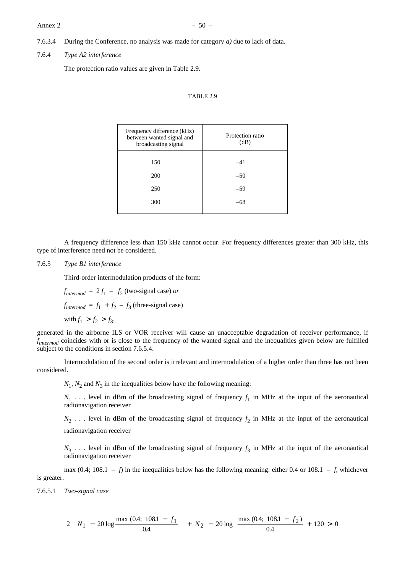#### Annex 2  $-50$  –

7.6.3.4 During the Conference, no analysis was made for category *a)* due to lack of data.

#### 7.6.4 *Type A2 interference*

The protection ratio values are given in Table 2.9.

# TABLE 2.9

| Frequency difference (kHz)<br>between wanted signal and<br>broadcasting signal | Protection ratio<br>(dB) |
|--------------------------------------------------------------------------------|--------------------------|
| 150                                                                            | $-41$                    |
| 200                                                                            | $-50$                    |
| 250                                                                            | $-59$                    |
| 300                                                                            | $-68$                    |
|                                                                                |                          |

A frequency difference less than 150 kHz cannot occur. For frequency differences greater than 300 kHz, this type of interference need not be considered.

# 7.6.5 *Type B1 interference*

Third-order intermodulation products of the form:

 $f_{\text{intermod}} = 2f_1 - f_2$  (two-signal case) *or* 

 $f_{\text{intermod}} = f_1 + f_2 - f_3$  (three-signal case)

with  $f_1 > f_2 > f_3$ ,

generated in the airborne ILS or VOR receiver will cause an unacceptable degradation of receiver performance, if *f intermod* coincides with or is close to the frequency of the wanted signal and the inequalities given below are fulfilled subject to the conditions in section 7.6.5.4.

Intermodulation of the second order is irrelevant and intermodulation of a higher order than three has not been considered.

 $N_1$ ,  $N_2$  and  $N_3$  in the inequalities below have the following meaning:

 $N_1$ ... level in dBm of the broadcasting signal of frequency  $f_1$  in MHz at the input of the aeronautical radionavigation receiver

 $N_2$ ... level in dBm of the broadcasting signal of frequency  $f_2$  in MHz at the input of the aeronautical radionavigation receiver

 $N_3$ ... level in dBm of the broadcasting signal of frequency  $f_3$  in MHz at the input of the aeronautical radionavigation receiver

max (0.4; 108.1 – *f*) in the inequalities below has the following meaning: either 0.4 or 108.1 – *f*, whichever is greater.

7.6.5.1 *Two-signal case*

$$
2\left(N_1 - 20\log\frac{\max(0.4; 108.1 - f_1}{0.4}\right) + N_2 - 20\log\frac{\max(0.4; 108.1 - f_2)}{0.4} + 120 > 0
$$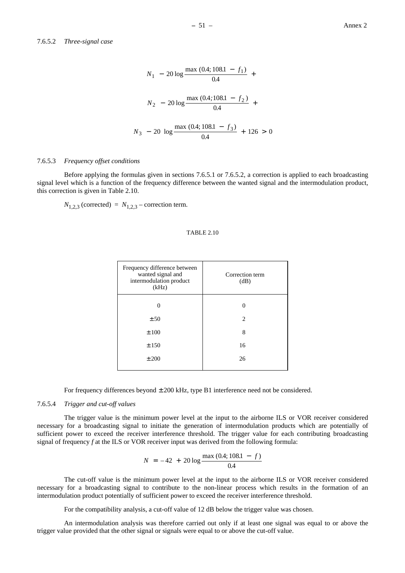# 7.6.5.2 *Three-signal case*

$$
N_1 - 20 \log \frac{\max (0.4; 108.1 - f_1)}{0.4} + N_2 - 20 \log \frac{\max (0.4; 108.1 - f_2)}{0.4} + N_3 - 20 \log \frac{\max (0.4; 108.1 - f_3)}{0.4} + 126 > 0
$$

## 7.6.5.3 *Frequency offset conditions*

Before applying the formulas given in sections 7.6.5.1 or 7.6.5.2, a correction is applied to each broadcasting signal level which is a function of the frequency difference between the wanted signal and the intermodulation product, this correction is given in Table 2.10.

 $N_{1,2,3}$  (corrected) =  $N_{1,2,3}$  – correction term.

#### TABLE 2.10

| Frequency difference between<br>wanted signal and<br>intermodulation product<br>(kHz) | Correction term<br>(dB)       |
|---------------------------------------------------------------------------------------|-------------------------------|
| 0                                                                                     |                               |
| ± 50                                                                                  | $\mathfrak{D}_{\mathfrak{p}}$ |
| ±100                                                                                  | 8                             |
| ±150                                                                                  | 16                            |
| ± 200                                                                                 | 26                            |
|                                                                                       |                               |

For frequency differences beyond ± 200 kHz, type B1 interference need not be considered.

## 7.6.5.4 *Trigger and cut-off values*

The trigger value is the minimum power level at the input to the airborne ILS or VOR receiver considered necessary for a broadcasting signal to initiate the generation of intermodulation products which are potentially of sufficient power to exceed the receiver interference threshold. The trigger value for each contributing broadcasting signal of frequency *f* at the ILS or VOR receiver input was derived from the following formula:

$$
N = -42 + 20 \log \frac{\max (0.4; 108.1 - f)}{0.4}
$$

The cut-off value is the minimum power level at the input to the airborne ILS or VOR receiver considered necessary for a broadcasting signal to contribute to the non-linear process which results in the formation of an intermodulation product potentially of sufficient power to exceed the receiver interference threshold.

For the compatibility analysis, a cut-off value of 12 dB below the trigger value was chosen.

An intermodulation analysis was therefore carried out only if at least one signal was equal to or above the trigger value provided that the other signal or signals were equal to or above the cut-off value.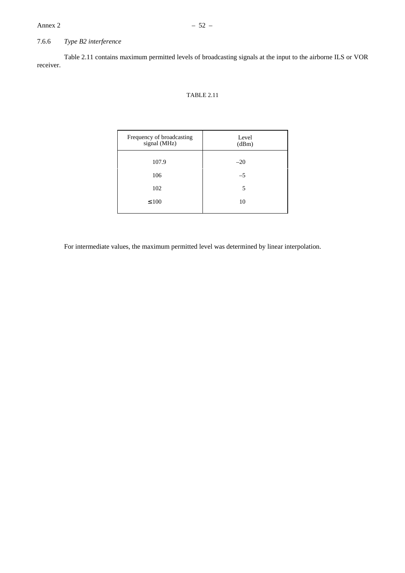# 7.6.6 *Type B2 interference*

Table 2.11 contains maximum permitted levels of broadcasting signals at the input to the airborne ILS or VOR receiver.

# TABLE 2.11

| Frequency of broadcasting<br>signal (MHz) | Level<br>(dBm) |
|-------------------------------------------|----------------|
| 107.9                                     | $-20$          |
| 106                                       | $-5$           |
| 102                                       | 5              |
| $\leq 100$                                | 10             |
|                                           |                |

For intermediate values, the maximum permitted level was determined by linear interpolation.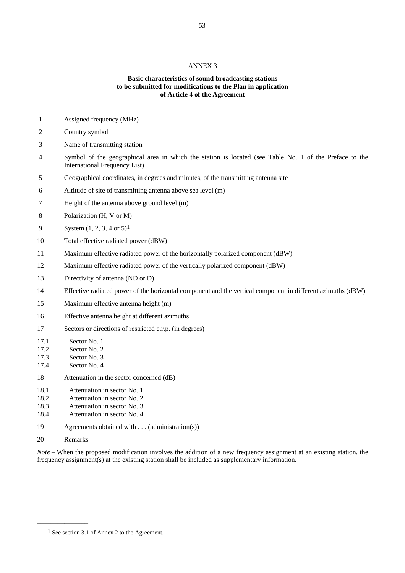## ANNEX 3

# **Basic characteristics of sound broadcasting stations to be submitted for modifications to the Plan in application of Article 4 of the Agreement**

- 1 Assigned frequency (MHz)
- 2 Country symbol
- 3 Name of transmitting station
- 4 Symbol of the geographical area in which the station is located (see Table No. 1 of the Preface to the International Frequency List)
- 5 Geographical coordinates, in degrees and minutes, of the transmitting antenna site
- 6 Altitude of site of transmitting antenna above sea level (m)
- 7 Height of the antenna above ground level (m)
- 8 Polarization (H, V or M)
- 9 System (1, 2, 3, 4 or 5)1
- 10 Total effective radiated power (dBW)
- 11 Maximum effective radiated power of the horizontally polarized component (dBW)
- 12 Maximum effective radiated power of the vertically polarized component (dBW)
- 13 Directivity of antenna (ND or D)
- 14 Effective radiated power of the horizontal component and the vertical component in different azimuths (dBW)
- 15 Maximum effective antenna height (m)
- 16 Effective antenna height at different azimuths
- 17 Sectors or directions of restricted e.r.p. (in degrees)
- 17.1 Sector No. 1
- 17.2 Sector No. 2
- 17.3 Sector No. 3
- 17.4 Sector No. 4
- 18 Attenuation in the sector concerned (dB)
- 18.1 Attenuation in sector No. 1
- 18.2 Attenuation in sector No. 2
- 18.3 Attenuation in sector No. 3
- 18.4 Attenuation in sector No. 4
- 19 Agreements obtained with . . . (administration(s))
- 20 Remarks

**\_\_\_\_\_\_\_\_\_\_\_\_\_\_\_**

*Note* – When the proposed modification involves the addition of a new frequency assignment at an existing station, the frequency assignment(s) at the existing station shall be included as supplementary information.

<sup>1</sup> See section 3.1 of Annex 2 to the Agreement.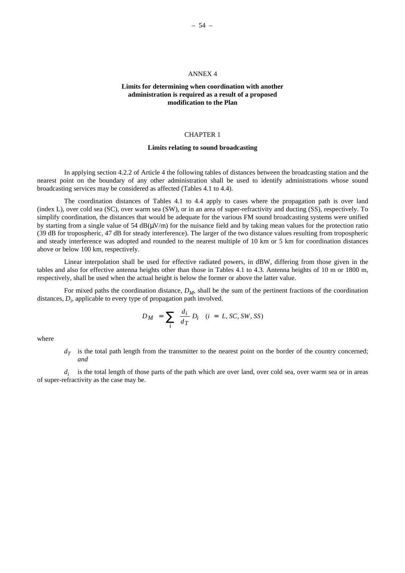# ANNEX 4

# **Limits for determining when coordination with another administration is required as a result of a proposed modification to the Plan**

#### CHAPTER 1

# **Limits relating to sound broadcasting**

In applying section 4.2.2 of Article 4 the following tables of distances between the broadcasting station and the nearest point on the boundary of any other administration shall be used to identify administrations whose sound broadcasting services may be considered as affected (Tables 4.1 to 4.4).

The coordination distances of Tables 4.1 to 4.4 apply to cases where the propagation path is over land (index L), over cold sea (SC), over warm sea (SW), or in an area of super-refractivity and ducting (SS), respectively. To simplify coordination, the distances that would be adequate for the various FM sound broadcasting systems were unified by starting from a single value of 54  $dB(UV/m)$  for the nuisance field and by taking mean values for the protection ratio (39 dB for tropospheric, 47 dB for steady interference). The larger of the two distance values resulting from tropospheric and steady interference was adopted and rounded to the nearest multiple of 10 km or 5 km for coordination distances above or below 100 km, respectively.

Linear interpolation shall be used for effective radiated powers, in dBW, differing from those given in the tables and also for effective antenna heights other than those in Tables 4.1 to 4.3. Antenna heights of 10 m or 1800 m, respectively, shall be used when the actual height is below the former or above the latter value.

For mixed paths the coordination distance,  $D_M$ , shall be the sum of the pertinent fractions of the coordination distances,  $D_i$ , applicable to every type of propagation path involved.

$$
D_M = \sum_{i} \frac{d_i}{d_T} D_i \quad (i = L, SC, SW, SS)
$$

where

 $d<sub>T</sub>$  is the total path length from the transmitter to the nearest point on the border of the country concerned; *and*

*d<sub>i</sub>* is the total length of those parts of the path which are over land, over cold sea, over warm sea or in areas of super-refractivity as the case may be.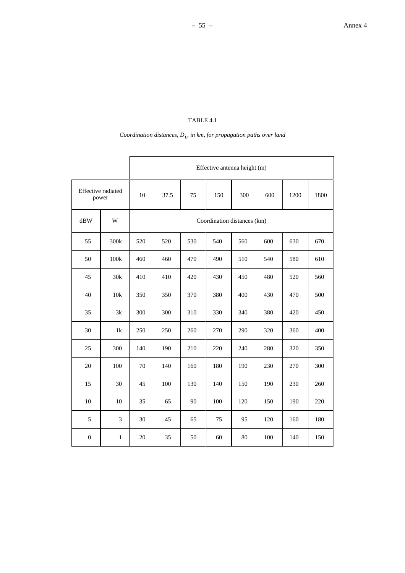# $\emph{Coordinate}$  distances,  $D_L$  in km, for propagation paths over land

|                             |      | Effective antenna height (m)                  |                             |     |     |     |     |     |     |  |  |
|-----------------------------|------|-----------------------------------------------|-----------------------------|-----|-----|-----|-----|-----|-----|--|--|
| Effective radiated<br>power |      | 10<br>37.5<br>75<br>150<br>300<br>600<br>1200 |                             |     |     |     |     |     |     |  |  |
| dBW                         | W    |                                               | Coordination distances (km) |     |     |     |     |     |     |  |  |
| 55                          | 300k | 520                                           | 520                         | 530 | 540 | 560 | 600 | 630 | 670 |  |  |
| 50                          | 100k | 460                                           | 460                         | 470 | 490 | 510 | 540 | 580 | 610 |  |  |
| 45                          | 30k  | 410                                           | 410                         | 420 | 430 | 450 | 480 | 520 | 560 |  |  |
| 40                          | 10k  | 350                                           | 350                         | 370 | 380 | 400 | 430 | 470 | 500 |  |  |
| 35                          | 3k   | 300                                           | 300                         | 310 | 330 | 340 | 380 | 420 | 450 |  |  |
| 30                          | 1k   | 250                                           | 250                         | 260 | 270 | 290 | 320 | 360 | 400 |  |  |
| 25                          | 300  | 140                                           | 190                         | 210 | 220 | 240 | 280 | 320 | 350 |  |  |
| 20                          | 100  | 70                                            | 140                         | 160 | 180 | 190 | 230 | 270 | 300 |  |  |
| 15                          | 30   | 45                                            | 100                         | 130 | 140 | 150 | 190 | 230 | 260 |  |  |
| 10                          | 10   | 35                                            | 65                          | 90  | 100 | 120 | 150 | 190 | 220 |  |  |
| 5                           | 3    | 30                                            | 45                          | 65  | 75  | 95  | 120 | 160 | 180 |  |  |
| $\boldsymbol{0}$            | 1    | 20                                            | 35                          | 50  | 60  | 80  | 100 | 140 | 150 |  |  |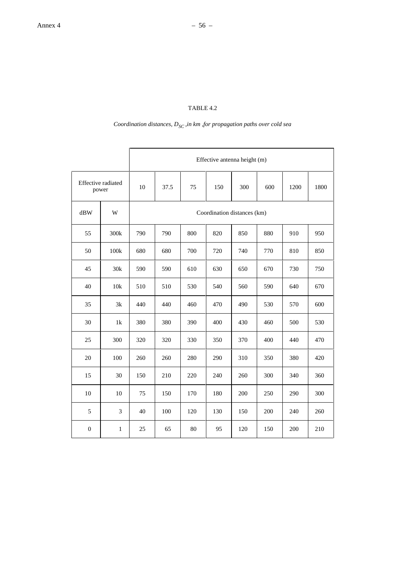# *Coordination distances,*  $D_{SC}$ *, in km ,for propagation paths over cold sea*

|                             |              | Effective antenna height (m)                  |                             |     |     |     |     |     |     |  |  |
|-----------------------------|--------------|-----------------------------------------------|-----------------------------|-----|-----|-----|-----|-----|-----|--|--|
| Effective radiated<br>power |              | 300<br>10<br>37.5<br>75<br>150<br>600<br>1200 |                             |     |     |     |     |     |     |  |  |
| dBW                         | W            |                                               | Coordination distances (km) |     |     |     |     |     |     |  |  |
| 55                          | 300k         | 790                                           | 790                         | 800 | 820 | 850 | 880 | 910 | 950 |  |  |
| 50                          | 100k         | 680                                           | 680                         | 700 | 720 | 740 | 770 | 810 | 850 |  |  |
| 45                          | 30k          | 590                                           | 590                         | 610 | 630 | 650 | 670 | 730 | 750 |  |  |
| 40                          | $10k$        | 510                                           | 510                         | 530 | 540 | 560 | 590 | 640 | 670 |  |  |
| 35                          | 3k           | 440                                           | 440                         | 460 | 470 | 490 | 530 | 570 | 600 |  |  |
| 30                          | 1k           | 380                                           | 380                         | 390 | 400 | 430 | 460 | 500 | 530 |  |  |
| 25                          | 300          | 320                                           | 320                         | 330 | 350 | 370 | 400 | 440 | 470 |  |  |
| 20                          | 100          | 260                                           | 260                         | 280 | 290 | 310 | 350 | 380 | 420 |  |  |
| 15                          | 30           | 150                                           | 210                         | 220 | 240 | 260 | 300 | 340 | 360 |  |  |
| 10                          | 10           | 75                                            | 150                         | 170 | 180 | 200 | 250 | 290 | 300 |  |  |
| $\sqrt{5}$                  | 3            | 40                                            | 100                         | 120 | 130 | 150 | 200 | 240 | 260 |  |  |
| $\boldsymbol{0}$            | $\mathbf{1}$ | 25                                            | 65                          | 80  | 95  | 120 | 150 | 200 | 210 |  |  |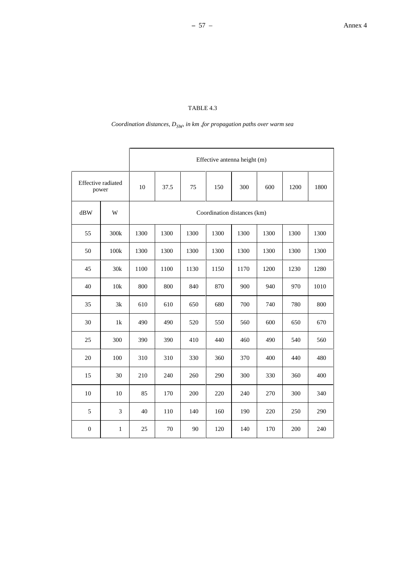# *Coordination distances,*  $D_{SW}$  *in km ,for propagation paths over warm sea*

|                    |               | Effective antenna height (m)                  |                             |      |      |      |      |      |      |  |  |
|--------------------|---------------|-----------------------------------------------|-----------------------------|------|------|------|------|------|------|--|--|
| Effective radiated | power         | 37.5<br>75<br>300<br>10<br>150<br>600<br>1200 |                             |      |      |      |      |      |      |  |  |
| dBW                | W             |                                               | Coordination distances (km) |      |      |      |      |      |      |  |  |
| 55                 | 300k          | 1300                                          | 1300                        | 1300 | 1300 | 1300 | 1300 | 1300 | 1300 |  |  |
| 50                 | 100k          | 1300                                          | 1300                        | 1300 | 1300 | 1300 | 1300 | 1300 | 1300 |  |  |
| 45                 | 30k           | 1100                                          | 1100                        | 1130 | 1150 | 1170 | 1200 | 1230 | 1280 |  |  |
| 40                 | $10k$         | 800                                           | 800                         | 840  |      | 900  | 940  | 970  | 1010 |  |  |
| 35                 | 3k            | 610                                           | 610                         | 650  | 680  | 700  | 740  | 780  | 800  |  |  |
| 30                 | $1\mathrm{k}$ | 490                                           | 490                         | 520  | 550  | 560  | 600  | 650  | 670  |  |  |
| 25                 | 300           | 390                                           | 390                         | 410  | 440  | 460  | 490  | 540  | 560  |  |  |
| 20                 | 100           | 310                                           | 310                         | 330  | 360  | 370  | 400  | 440  | 480  |  |  |
| 15                 | 30            | 210                                           | 240                         | 260  | 290  | 300  | 330  | 360  | 400  |  |  |
| 10                 | 10            | 85                                            | 170                         | 200  | 220  | 240  | 270  | 300  | 340  |  |  |
| 5                  | 3             | 40                                            | 110                         | 140  | 160  | 190  | 220  | 250  | 290  |  |  |
| $\boldsymbol{0}$   | $\mathbf{1}$  | 25                                            | 70                          | 90   | 120  | 140  | 170  | 200  | 240  |  |  |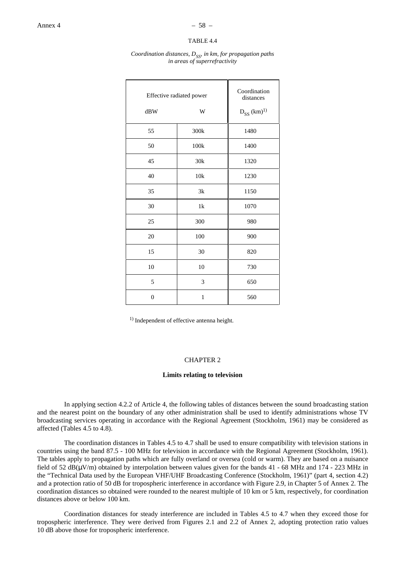#### *Coordination distances, D<sub>SS</sub>, in km, for propagation paths in areas of superrefractivity*

| Effective radiated power<br>dBW | W            | Coordination<br>distances<br>$D_{SS} (km)^{1}$ |
|---------------------------------|--------------|------------------------------------------------|
| 55                              | 300k         | 1480                                           |
| 50                              | 100k         | 1400                                           |
| 45                              | 30k          | 1320                                           |
| 40                              | 10k          | 1230                                           |
| 35                              | 3k           | 1150                                           |
| 30                              | 1k           | 1070                                           |
| 25                              | 300          | 980                                            |
| 20                              | 100          | 900                                            |
| 15                              | 30           | 820                                            |
| 10                              | 10           | 730                                            |
| 5                               | 3            | 650                                            |
| $\overline{0}$                  | $\mathbf{1}$ | 560                                            |

<sup>1)</sup> Independent of effective antenna height.

#### CHAPTER 2

#### **Limits relating to television**

In applying section 4.2.2 of Article 4, the following tables of distances between the sound broadcasting station and the nearest point on the boundary of any other administration shall be used to identify administrations whose TV broadcasting services operating in accordance with the Regional Agreement (Stockholm, 1961) may be considered as affected (Tables 4.5 to 4.8).

The coordination distances in Tables 4.5 to 4.7 shall be used to ensure compatibility with television stations in countries using the band 87.5 - 100 MHz for television in accordance with the Regional Agreement (Stockholm, 1961). The tables apply to propagation paths which are fully overland or oversea (cold or warm). They are based on a nuisance field of 52 dB( $\mu$ V/m) obtained by interpolation between values given for the bands 41 - 68 MHz and 174 - 223 MHz in the "Technical Data used by the European VHF/UHF Broadcasting Conference (Stockholm, 1961)" (part 4, section 4.2) and a protection ratio of 50 dB for tropospheric interference in accordance with Figure 2.9, in Chapter 5 of Annex 2. The coordination distances so obtained were rounded to the nearest multiple of 10 km or 5 km, respectively, for coordination distances above or below 100 km.

Coordination distances for steady interference are included in Tables 4.5 to 4.7 when they exceed those for tropospheric interference. They were derived from Figures 2.1 and 2.2 of Annex 2, adopting protection ratio values 10 dB above those for tropospheric interference.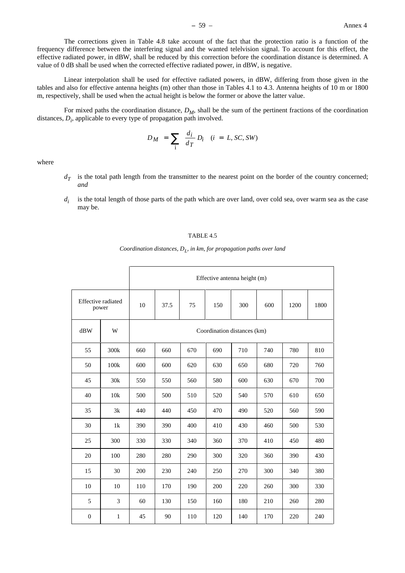The corrections given in Table 4.8 take account of the fact that the protection ratio is a function of the frequency difference between the interfering signal and the wanted telelvision signal. To account for this effect, the effective radiated power, in dBW, shall be reduced by this correction before the coordination distance is determined. A value of 0 dB shall be used when the corrected effective radiated power, in dBW, is negative.

Linear interpolation shall be used for effective radiated powers, in dBW, differing from those given in the tables and also for effective antenna heights (m) other than those in Tables 4.1 to 4.3. Antenna heights of 10 m or 1800 m, respectively, shall be used when the actual height is below the former or above the latter value.

For mixed paths the coordination distance,  $D_M$ , shall be the sum of the pertinent fractions of the coordination distances,  $D_i$ , applicable to every type of propagation path involved.

$$
D_M = \sum_{i} \frac{d_i}{d_T} D_i \quad (i = L, SC, SW)
$$

where

- $d<sub>T</sub>$  is the total path length from the transmitter to the nearest point on the border of the country concerned; *and*
- *d<sub>i</sub>* is the total length of those parts of the path which are over land, over cold sea, over warm sea as the case may be.

#### TABLE 4.5

*Coordination distances, D<sub>I</sub>, in km, for propagation paths over land* 

|                  |                                    | Effective antenna height (m)                  |                             |     |     |     |     |      |     |  |
|------------------|------------------------------------|-----------------------------------------------|-----------------------------|-----|-----|-----|-----|------|-----|--|
|                  | <b>Effective</b> radiated<br>power | 37.5<br>75<br>150<br>300<br>600<br>10<br>1200 |                             |     |     |     |     | 1800 |     |  |
| dBW              | W                                  |                                               | Coordination distances (km) |     |     |     |     |      |     |  |
| 55               | 300k                               | 660                                           | 660                         | 670 | 690 | 710 | 740 | 780  | 810 |  |
| 50               | 100k                               | 600                                           | 600                         | 620 | 630 | 650 | 680 | 720  | 760 |  |
| 45               | 30k                                | 550                                           | 550                         | 560 | 580 | 600 | 630 | 670  | 700 |  |
| 40               | 10k                                | 500                                           | 500                         | 510 | 520 | 540 | 570 | 610  | 650 |  |
| 35               | 3k                                 | 440                                           | 440                         | 450 | 470 | 490 | 520 | 560  | 590 |  |
| 30               | 1k                                 | 390                                           | 390                         | 400 | 410 | 430 | 460 | 500  | 530 |  |
| 25               | 300                                | 330                                           | 330                         | 340 | 360 | 370 | 410 | 450  | 480 |  |
| 20               | 100                                | 280                                           | 280                         | 290 | 300 | 320 | 360 | 390  | 430 |  |
| 15               | 30                                 | 200                                           | 230                         | 240 | 250 | 270 | 300 | 340  | 380 |  |
| 10               | 10                                 | 110                                           | 170                         | 190 | 200 | 220 | 260 | 300  | 330 |  |
| 5                | 3                                  | 60                                            | 130                         | 150 | 160 | 180 | 210 | 260  | 280 |  |
| $\boldsymbol{0}$ | $\mathbf{1}$                       | 45                                            | 90                          | 110 | 120 | 140 | 170 | 220  | 240 |  |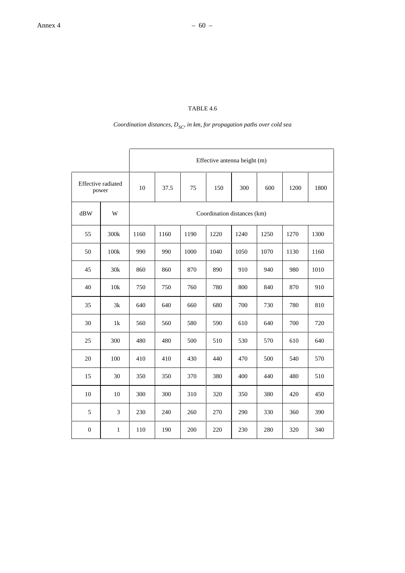# *Coordination distances,*  $D_{SC}$  *in km, for propagation paths over cold sea*

|                             |             | Effective antenna height (m)                  |                             |      |      |      |      |      |      |  |
|-----------------------------|-------------|-----------------------------------------------|-----------------------------|------|------|------|------|------|------|--|
| Effective radiated<br>power |             | 10<br>37.5<br>75<br>150<br>300<br>600<br>1200 |                             |      |      |      |      |      | 1800 |  |
| dBW                         | W           |                                               | Coordination distances (km) |      |      |      |      |      |      |  |
| 55                          | 300k        | 1160                                          | 1160                        | 1190 | 1220 | 1240 | 1250 | 1270 | 1300 |  |
| 50                          | 100k        | 990                                           | 990                         | 1000 | 1040 | 1050 | 1070 | 1130 | 1160 |  |
| 45                          | 30k         | 860                                           | 860                         | 870  | 890  | 910  | 940  | 980  | 1010 |  |
| 40                          | 10k         | 750                                           | 750<br>760                  |      | 780  | 800  | 840  | 870  | 910  |  |
| 35                          | 3k          | 640                                           | 640                         | 660  | 680  | 700  | 730  | 780  | 810  |  |
| 30                          | 1k          | 560                                           | 560                         | 580  | 590  | 610  | 640  | 700  | 720  |  |
| 25                          | 300         | 480                                           | 480                         | 500  | 510  | 530  | 570  | 610  | 640  |  |
| 20                          | 100         | 410                                           | 410                         | 430  | 440  | 470  | 500  | 540  | 570  |  |
| 15                          | 30          | 350                                           | 350                         | 370  | 380  | 400  | 440  | 480  | 510  |  |
| 10                          | 10          | 300                                           | 300                         | 310  | 320  | 350  | 380  | 420  | 450  |  |
| 5                           | 3           | 230                                           | 240                         | 260  | 270  | 290  | 330  | 360  | 390  |  |
| $\boldsymbol{0}$            | $\mathbf 1$ | 110                                           | 190                         | 200  | 220  | 230  | 280  | 320  | 340  |  |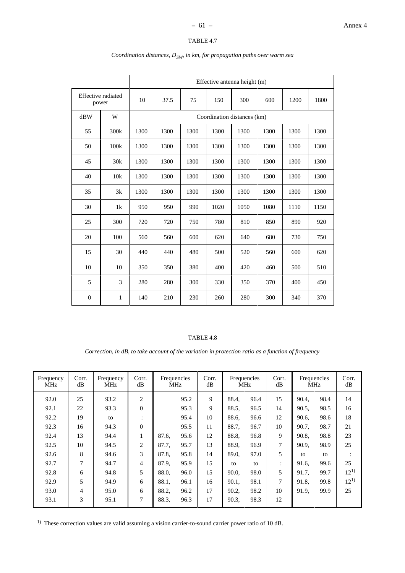|                                                                              |      | Effective antenna height (m) |                             |      |      |      |      |      |      |  |  |
|------------------------------------------------------------------------------|------|------------------------------|-----------------------------|------|------|------|------|------|------|--|--|
| Effective radiated<br>300<br>10<br>37.5<br>75<br>150<br>600<br>1200<br>power |      |                              |                             |      |      |      | 1800 |      |      |  |  |
| dBW                                                                          | W    |                              | Coordination distances (km) |      |      |      |      |      |      |  |  |
| 55                                                                           | 300k | 1300                         | 1300                        | 1300 | 1300 | 1300 | 1300 | 1300 | 1300 |  |  |
| 50                                                                           | 100k | 1300                         | 1300                        | 1300 | 1300 | 1300 | 1300 | 1300 | 1300 |  |  |
| 45                                                                           | 30k  | 1300                         | 1300                        | 1300 | 1300 | 1300 | 1300 | 1300 | 1300 |  |  |
| 40                                                                           | 10k  | 1300                         | 1300                        | 1300 | 1300 | 1300 | 1300 | 1300 | 1300 |  |  |
| 35                                                                           | 3k   | 1300                         | 1300                        | 1300 | 1300 | 1300 | 1300 | 1300 | 1300 |  |  |
| 30                                                                           | 1k   | 950                          | 950                         | 990  | 1020 | 1050 | 1080 | 1110 | 1150 |  |  |
| 25                                                                           | 300  | 720                          | 720                         | 750  | 780  | 810  | 850  | 890  | 920  |  |  |
| 20                                                                           | 100  | 560                          | 560                         | 600  | 620  | 640  | 680  | 730  | 750  |  |  |
| 15                                                                           | 30   | 440                          | 440                         | 480  | 500  | 520  | 560  | 600  | 620  |  |  |
| 10                                                                           | 10   | 350                          | 350                         | 380  | 400  | 420  | 460  | 500  | 510  |  |  |
| 5                                                                            | 3    | 280                          | 280                         | 300  | 330  | 350  | 370  | 400  | 450  |  |  |
| $\boldsymbol{0}$                                                             | 1    | 140                          | 210                         | 230  | 260  | 280  | 300  | 340  | 370  |  |  |

# *Coordination distances,*  $D_{SW}$  *in km, for propagation paths over warm sea*

# TABLE 4.8

*Correction, in dB, to take account of the variation in protection ratio as a function of frequency*

| Frequency<br>MHz | Corr.<br>dB | Frequency<br><b>MHz</b> | Corr.<br>dB    | Frequencies<br><b>MHz</b> |      | Corr.<br>dB | Frequencies<br><b>MHz</b> |      |                |       | Corr.<br>dB | Frequencies<br>MHz |  | Corr.<br>dB |
|------------------|-------------|-------------------------|----------------|---------------------------|------|-------------|---------------------------|------|----------------|-------|-------------|--------------------|--|-------------|
| 92.0             | 25          | 93.2                    | $\overline{2}$ |                           | 95.2 | 9           | 88.4.                     | 96.4 | 15             | 90.4, | 98.4        | 14                 |  |             |
| 92.1             | 22          | 93.3                    | $\theta$       |                           | 95.3 | 9           | 88.5.                     | 96.5 | 14             | 90.5, | 98.5        | 16                 |  |             |
| 92.2             | 19          | to                      | $\bullet$      |                           | 95.4 | 10          | 88.6.                     | 96.6 | 12             | 90.6, | 98.6        | 18                 |  |             |
| 92.3             | 16          | 94.3                    | $\theta$       |                           | 95.5 | 11          | 88.7.                     | 96.7 | 10             | 90.7, | 98.7        | 21                 |  |             |
| 92.4             | 13          | 94.4                    | 1              | 87.6.                     | 95.6 | 12          | 88.8,                     | 96.8 | 9              | 90.8, | 98.8        | 23                 |  |             |
| 92.5             | 10          | 94.5                    | 2              | 87.7.                     | 95.7 | 13          | 88.9.                     | 96.9 | $\tau$         | 90.9, | 98.9        | 25                 |  |             |
| 92.6             | 8           | 94.6                    | 3              | 87.8,                     | 95.8 | 14          | 89.0,                     | 97.0 | 5              | to    | to          | $\ddot{\cdot}$     |  |             |
| 92.7             | 7           | 94.7                    | $\overline{4}$ | 87.9,                     | 95.9 | 15          | to                        | to   | $\ddot{\cdot}$ | 91.6. | 99.6        | 25                 |  |             |
| 92.8             | 6           | 94.8                    | 5              | 88.0.                     | 96.0 | 15          | 90.0,                     | 98.0 | 5              | 91.7, | 99.7        | $12^{1}$           |  |             |
| 92.9             | 5           | 94.9                    | 6              | 88.1.                     | 96.1 | 16          | 90.1,                     | 98.1 | 7              | 91.8. | 99.8        | $12^{1}$           |  |             |
| 93.0             | 4           | 95.0                    | 6              | 88.2,                     | 96.2 | 17          | 90.2.                     | 98.2 | 10             | 91.9, | 99.9        | 25                 |  |             |
| 93.1             | 3           | 95.1                    | $\overline{7}$ | 88.3.                     | 96.3 | 17          | 90.3,                     | 98.3 | 12             |       |             |                    |  |             |

<sup>1)</sup> These correction values are valid assuming a vision carrier-to-sound carrier power ratio of 10 dB.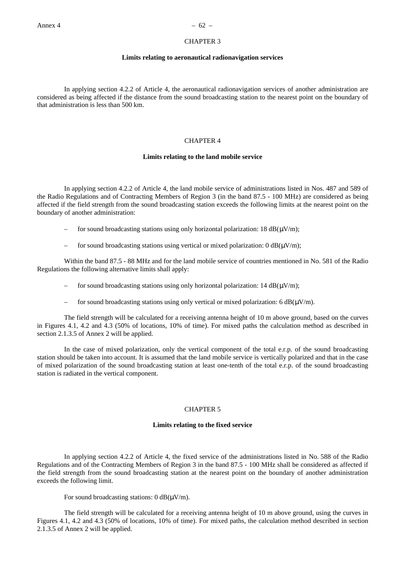#### CHAPTER 3

## **Limits relating to aeronautical radionavigation services**

In applying section 4.2.2 of Article 4, the aeronautical radionavigation services of another administration are considered as being affected if the distance from the sound broadcasting station to the nearest point on the boundary of that administration is less than 500 km.

# CHAPTER 4

## **Limits relating to the land mobile service**

In applying section 4.2.2 of Article 4, the land mobile service of administrations listed in Nos. 487 and 589 of the Radio Regulations and of Contracting Members of Region 3 (in the band 87.5 - 100 MHz) are considered as being affected if the field strength from the sound broadcasting station exceeds the following limits at the nearest point on the boundary of another administration:

- for sound broadcasting stations using only horizontal polarization:  $18 \text{ dB}(\mu\text{V/m})$ ;
- for sound broadcasting stations using vertical or mixed polarization:  $0 dB(\mu V/m)$ ;

Within the band 87.5 - 88 MHz and for the land mobile service of countries mentioned in No. 581 of the Radio Regulations the following alternative limits shall apply:

- for sound broadcasting stations using only horizontal polarization:  $14 \text{ dB}(\mu\text{V/m})$ ;
- for sound broadcasting stations using only vertical or mixed polarization: 6  $dB(\mu V/m)$ .

The field strength will be calculated for a receiving antenna height of 10 m above ground, based on the curves in Figures 4.1, 4.2 and 4.3 (50% of locations, 10% of time). For mixed paths the calculation method as described in section 2.1.3.5 of Annex 2 will be applied.

In the case of mixed polarization, only the vertical component of the total e.r.p. of the sound broadcasting station should be taken into account. It is assumed that the land mobile service is vertically polarized and that in the case of mixed polarization of the sound broadcasting station at least one-tenth of the total e.r.p. of the sound broadcasting station is radiated in the vertical component.

# CHAPTER 5

#### **Limits relating to the fixed service**

In applying section 4.2.2 of Article 4, the fixed service of the administrations listed in No. 588 of the Radio Regulations and of the Contracting Members of Region 3 in the band 87.5 - 100 MHz shall be considered as affected if the field strength from the sound broadcasting station at the nearest point on the boundary of another administration exceeds the following limit.

For sound broadcasting stations:  $0 \text{ dB}(\mu V/m)$ .

The field strength will be calculated for a receiving antenna height of 10 m above ground, using the curves in Figures 4.1, 4.2 and 4.3 (50% of locations, 10% of time). For mixed paths, the calculation method described in section 2.1.3.5 of Annex 2 will be applied.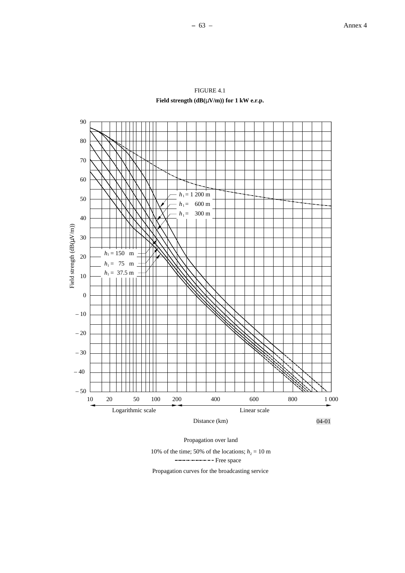



10% of the time; 50% of the locations;  $h_2 = 10$  m

------------------ Free space

Propagation curves for the broadcasting service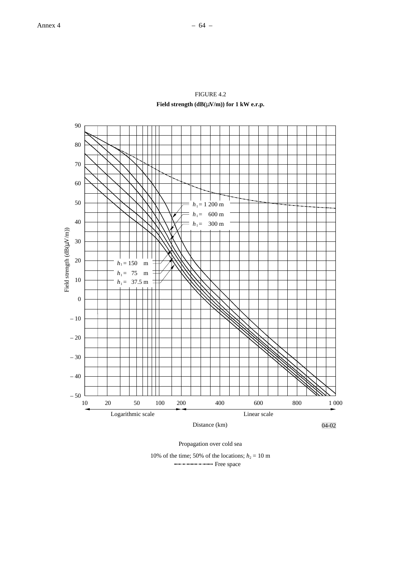

FIGURE 4.2 **Field strength (dB(**µ**V/m)) for 1 kW e.r.p.**

Propagation over cold sea

10% of the time; 50% of the locations;  $h_2 = 10$  m ----------------- Free space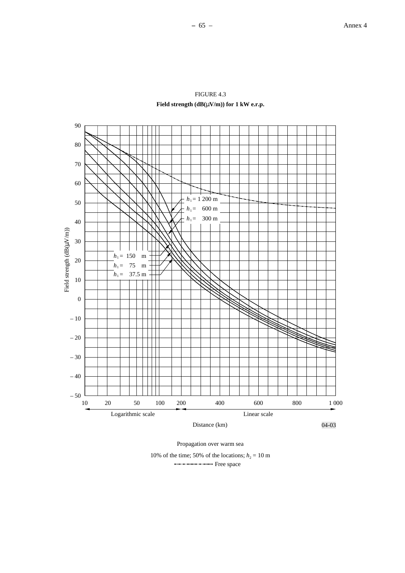



Propagation over warm sea

10% of the time; 50% of the locations;  $h_2 = 10$  m ----------------- Free space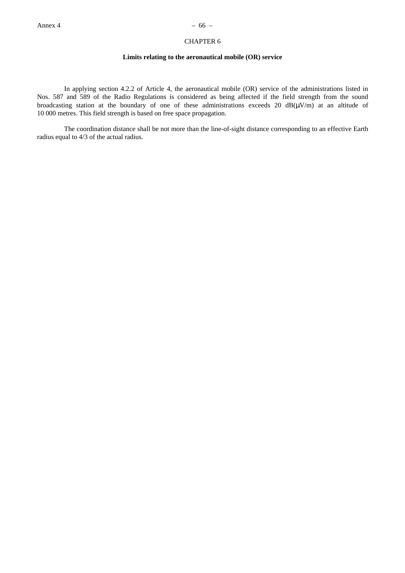# CHAPTER 6

# **Limits relating to the aeronautical mobile (OR) service**

In applying section 4.2.2 of Article 4, the aeronautical mobile (OR) service of the administrations listed in Nos. 587 and 589 of the Radio Regulations is considered as being affected if the field strength from the sound broadcasting station at the boundary of one of these administrations exceeds 20  $dB(\mu V/m)$  at an altitude of 10 000 metres. This field strength is based on free space propagation.

The coordination distance shall be not more than the line-of-sight distance corresponding to an effective Earth radius equal to 4/3 of the actual radius.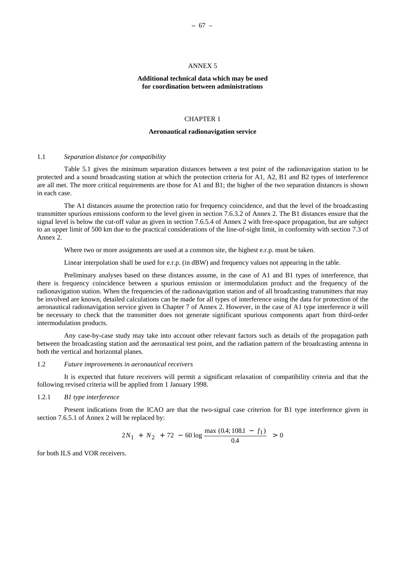# ANNEX 5

# **Additional technical data which may be used for coordination between administrations**

#### CHAPTER 1

#### **Aeronautical radionavigation service**

#### 1.1 *Separation distance for compatibility*

Table 5.1 gives the minimum separation distances between a test point of the radionavigation station to be protected and a sound broadcasting station at which the protection criteria for A1, A2, B1 and B2 types of interference are all met. The more critical requirements are those for A1 and B1; the higher of the two separation distances is shown in each case.

The A1 distances assume the protection ratio for frequency coincidence, and that the level of the broadcasting transmitter spurious emissions conform to the level given in section 7.6.3.2 of Annex 2. The B1 distances ensure that the signal level is below the cut-off value as given in section 7.6.5.4 of Annex 2 with free-space propagation, but are subject to an upper limit of 500 km due to the practical considerations of the line-of-sight limit, in conformity with section 7.3 of Annex 2.

Where two or more assignments are used at a common site, the highest e.r.p. must be taken.

Linear interpolation shall be used for e.r.p. (in dBW) and frequency values not appearing in the table.

Preliminary analyses based on these distances assume, in the case of A1 and B1 types of interference, that there is frequency coincidence between a spurious emission or intermodulation product and the frequency of the radionavigation station. When the frequencies of the radionavigation station and of all broadcasting transmitters that may be involved are known, detailed calculations can be made for all types of interference using the data for protection of the aeronautical radionavigation service given in Chapter 7 of Annex 2. However, in the case of A1 type interference it will be necessary to check that the transmitter does not generate significant spurious components apart from third-order intermodulation products.

Any case-by-case study may take into account other relevant factors such as details of the propagation path between the broadcasting station and the aeronautical test point, and the radiation pattern of the broadcasting antenna in both the vertical and horizontal planes.

# 1.2 *Future improvements in aeronautical receivers*

It is expected that future receivers will permit a significant relaxation of compatibility criteria and that the following revised criteria will be applied from 1 January 1998.

# 1.2.1 *B1 type interference*

Present indications from the ICAO are that the two-signal case criterion for B1 type interference given in section 7.6.5.1 of Annex 2 will be replaced by:

$$
2N_1 + N_2 + 72 - 60 \log \frac{\max (0.4; 108.1 - f_1)}{0.4} > 0
$$

for both ILS and VOR receivers.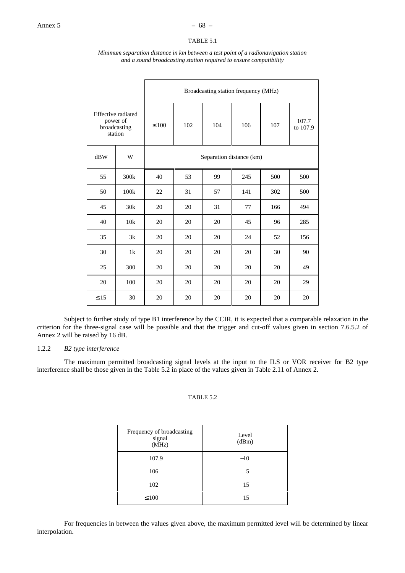# TABLE 5.1

#### *Minimum separation distance in km between a test point of a radionavigation station and a sound broadcasting station required to ensure compatibility*

|                                                                  |                  | Broadcasting station frequency (MHz) |     |     |     |     |                   |
|------------------------------------------------------------------|------------------|--------------------------------------|-----|-----|-----|-----|-------------------|
| <b>Effective</b> radiated<br>power of<br>broadcasting<br>station |                  | $\leq 100$                           | 102 | 104 | 106 | 107 | 107.7<br>to 107.9 |
| dBW                                                              | W                | Separation distance (km)             |     |     |     |     |                   |
| 55                                                               | 300 <sub>k</sub> | 40                                   | 53  | 99  | 245 | 500 | 500               |
| 50                                                               | 100k             | 22                                   | 31  | 57  | 141 | 302 | 500               |
| 45                                                               | 30k              | 20                                   | 20  | 31  | 77  | 166 | 494               |
| 40                                                               | 10k              | 20                                   | 20  | 20  | 45  | 96  | 285               |
| 35                                                               | 3k               | 20                                   | 20  | 20  | 24  | 52  | 156               |
| 30                                                               | 1k               | 20                                   | 20  | 20  | 20  | 30  | 90                |
| 25                                                               | 300              | 20                                   | 20  | 20  | 20  | 20  | 49                |
| 20                                                               | 100              | 20                                   | 20  | 20  | 20  | 20  | 29                |
| $\leq 15$                                                        | 30               | 20                                   | 20  | 20  | 20  | 20  | 20                |

Subject to further study of type B1 interference by the CCIR, it is expected that a comparable relaxation in the criterion for the three-signal case will be possible and that the trigger and cut-off values given in section 7.6.5.2 of Annex 2 will be raised by 16 dB.

# 1.2.2 *B2 type interference*

The maximum permitted broadcasting signal levels at the input to the ILS or VOR receiver for B2 type interference shall be those given in the Table 5.2 in place of the values given in Table 2.11 of Annex 2.

# TABLE 5.2

| Frequency of broadcasting<br>signal<br>(MHz) | Level<br>(dBm) |
|----------------------------------------------|----------------|
| 107.9                                        | $-10$          |
| 106                                          | 5              |
| 102                                          | 15             |
| $\leq 100$                                   | 15             |

For frequencies in between the values given above, the maximum permitted level will be determined by linear interpolation.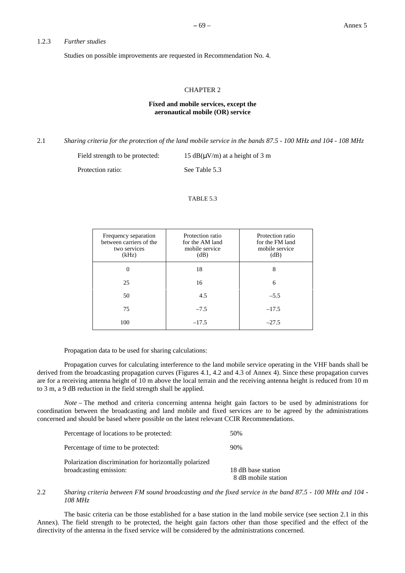# 1.2.3 *Further studies*

Studies on possible improvements are requested in Recommendation No. 4.

# CHAPTER 2

# **Fixed and mobile services, except the aeronautical mobile (OR) service**

2.1 *Sharing criteria for the protection of the land mobile service in the bands 87.5 - 100 MHz and 104 - 108 MHz*

Field strength to be protected:  $15 \text{ dB}(\mu\text{V/m})$  at a height of 3 m Protection ratio: See Table 5.3

TABLE 5.3

| Frequency separation<br>between carriers of the<br>two services<br>(kHz) | Protection ratio<br>for the AM land<br>mobile service<br>(dB) | Protection ratio<br>for the FM land<br>mobile service<br>(dB) |
|--------------------------------------------------------------------------|---------------------------------------------------------------|---------------------------------------------------------------|
| $\theta$                                                                 | 18                                                            | 8                                                             |
| 25                                                                       | 16                                                            | 6                                                             |
| 50                                                                       | 4.5                                                           | $-5.5$                                                        |
| 75                                                                       | $-7.5$                                                        | $-17.5$                                                       |
| 100                                                                      | $-17.5$                                                       | $-27.5$                                                       |

Propagation data to be used for sharing calculations:

Propagation curves for calculating interference to the land mobile service operating in the VHF bands shall be derived from the broadcasting propagation curves (Figures 4.1, 4.2 and 4.3 of Annex 4). Since these propagation curves are for a receiving antenna height of 10 m above the local terrain and the receiving antenna height is reduced from 10 m to 3 m, a 9 dB reduction in the field strength shall be applied.

*Note* – The method and criteria concerning antenna height gain factors to be used by administrations for coordination between the broadcasting and land mobile and fixed services are to be agreed by the administrations concerned and should be based where possible on the latest relevant CCIR Recommendations.

| Percentage of locations to be protected:               | 50%                 |
|--------------------------------------------------------|---------------------|
| Percentage of time to be protected:                    | 90%                 |
| Polarization discrimination for horizontally polarized |                     |
| broadcasting emission:                                 | 18 dB base station  |
|                                                        | 8 dB mobile station |

# 2.2 *Sharing criteria between FM sound broadcasting and the fixed service in the band 87.5 - 100 MHz and 104 - 108 MHz*

The basic criteria can be those established for a base station in the land mobile service (see section 2.1 in this Annex). The field strength to be protected, the height gain factors other than those specified and the effect of the directivity of the antenna in the fixed service will be considered by the administrations concerned.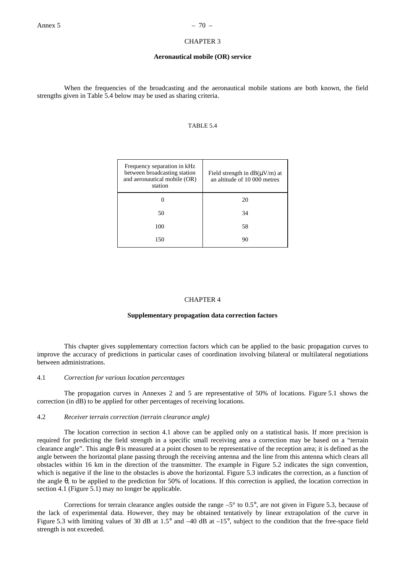# CHAPTER 3

#### **Aeronautical mobile (OR) service**

When the frequencies of the broadcasting and the aeronautical mobile stations are both known, the field strengths given in Table 5.4 below may be used as sharing criteria.

#### TABLE 5.4

| Frequency separation in kHz<br>between broadcasting station<br>and aeronautical mobile (OR)<br>station | Field strength in $dB(\mu V/m)$ at<br>an altitude of 10 000 metres |
|--------------------------------------------------------------------------------------------------------|--------------------------------------------------------------------|
|                                                                                                        | 20                                                                 |
| 50                                                                                                     | 34                                                                 |
| 100                                                                                                    | 58                                                                 |
| 150                                                                                                    | 90                                                                 |

#### CHAPTER 4

# **Supplementary propagation data correction factors**

This chapter gives supplementary correction factors which can be applied to the basic propagation curves to improve the accuracy of predictions in particular cases of coordination involving bilateral or multilateral negotiations between administrations.

# 4.1 *Correction for various location percentages*

The propagation curves in Annexes 2 and 5 are representative of 50% of locations. Figure 5.1 shows the correction (in dB) to be applied for other percentages of receiving locations.

# 4.2 *Receiver terrain correction (terrain clearance angle)*

The location correction in section 4.1 above can be applied only on a statistical basis. If more precision is required for predicting the field strength in a specific small receiving area a correction may be based on a "terrain clearance angle". This angle  $\theta$  is measured at a point chosen to be representative of the reception area; it is defined as the angle between the horizontal plane passing through the receiving antenna and the line from this antenna which clears all obstacles within 16 km in the direction of the transmitter. The example in Figure 5.2 indicates the sign convention, which is negative if the line to the obstacles is above the horizontal. Figure 5.3 indicates the correction, as a function of the angle θ, to be applied to the prediction for 50% of locations. If this correction is applied, the location correction in section 4.1 (Figure 5.1) may no longer be applicable.

Corrections for terrain clearance angles outside the range –5° to 0.5°, are not given in Figure 5.3, because of the lack of experimental data. However, they may be obtained tentatively by linear extrapolation of the curve in Figure 5.3 with limiting values of 30 dB at 1.5° and –40 dB at –15°, subject to the condition that the free-space field strength is not exceeded.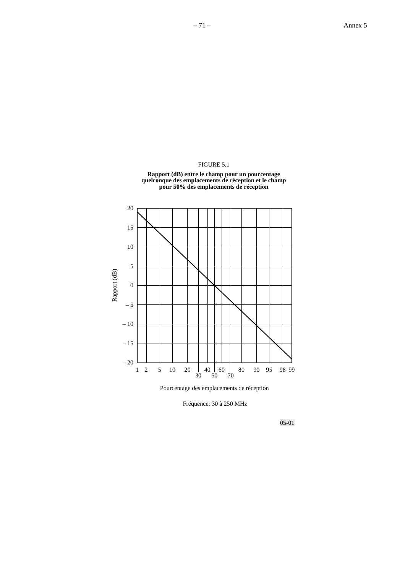# FIGURE 5.1





Pourcentage des emplacements de réception

Fréquence: 30 à 250 MHz

05-01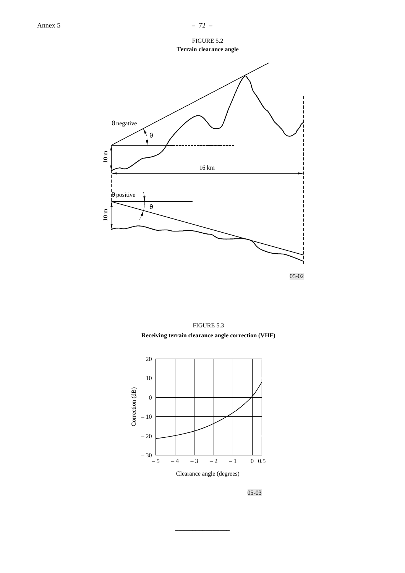FIGURE 5.2 **Terrain clearance angle**







**\_\_\_\_\_\_\_\_\_\_\_\_\_\_\_\_**

05-03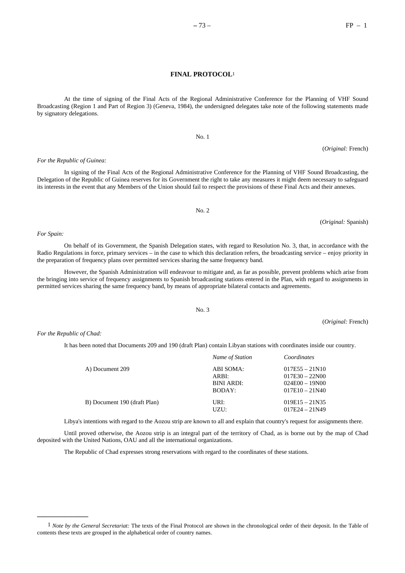At the time of signing of the Final Acts of the Regional Administrative Conference for the Planning of VHF Sound Broadcasting (Region 1 and Part of Region 3) (Geneva, 1984), the undersigned delegates take note of the following statements made by signatory delegations.

No. 1

# *For the Republic of Guinea:*

*For Spain:*

In signing of the Final Acts of the Regional Administrative Conference for the Planning of VHF Sound Broadcasting, the Delegation of the Republic of Guinea reserves for its Government the right to take any measures it might deem necessary to safeguard its interests in the event that any Members of the Union should fail to respect the provisions of these Final Acts and their annexes.

(*Original:* Spanish)

(*Original:* French)

On behalf of its Government, the Spanish Delegation states, with regard to Resolution No. 3, that, in accordance with the Radio Regulations in force, primary services – in the case to which this declaration refers, the broadcasting service – enjoy priority in the preparation of frequency plans over permitted services sharing the same frequency band.

However, the Spanish Administration will endeavour to mitigate and, as far as possible, prevent problems which arise from the bringing into service of frequency assignments to Spanish broadcasting stations entered in the Plan, with regard to assignments in permitted services sharing the same frequency band, by means of appropriate bilateral contacts and agreements.

# No. 3

*For the Republic of Chad:*

**\_\_\_\_\_\_\_\_\_\_\_\_\_\_\_**

It has been noted that Documents 209 and 190 (draft Plan) contain Libyan stations with coordinates inside our country.

|                              | Name of Station                            | Coordinates                                                                  |
|------------------------------|--------------------------------------------|------------------------------------------------------------------------------|
| A) Document 209              | ABI SOMA:<br>ARBI:<br>BINI ARDI:<br>BODAY: | $017E55 - 21N10$<br>$017E30 - 22N00$<br>$024E00 - 19N00$<br>$017E10 - 21N40$ |
| B) Document 190 (draft Plan) | URI:<br>UZU:                               | $019E15 - 21N35$<br>$017E24 - 21N49$                                         |

Libya's intentions with regard to the Aozou strip are known to all and explain that country's request for assignments there.

Until proved otherwise, the Aozou strip is an integral part of the territory of Chad, as is borne out by the map of Chad deposited with the United Nations, OAU and all the international organizations.

The Republic of Chad expresses strong reservations with regard to the coordinates of these stations.

(*Original:* French)

No. 2

<sup>1</sup> *Note by the General Secretariat:* The texts of the Final Protocol are shown in the chronological order of their deposit. In the Table of contents these texts are grouped in the alphabetical order of country names.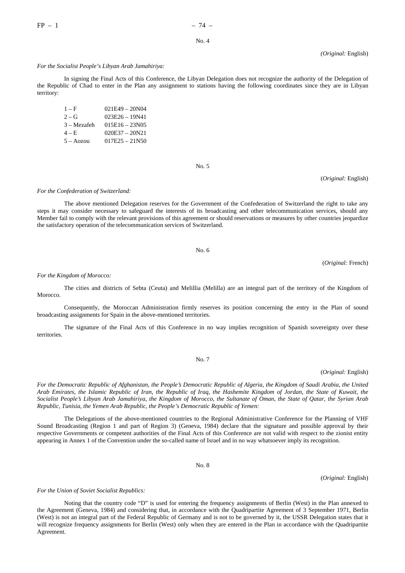*(Original:* English)

#### *For the Socialist People's Libyan Arab Jamahiriya:*

In signing the Final Acts of this Conference, the Libyan Delegation does not recognize the authority of the Delegation of the Republic of Chad to enter in the Plan any assignment to stations having the following coordinates since they are in Libyan territory:

| $1-F$          | $021E49 - 20N04$ |
|----------------|------------------|
| $2 - G$        | $023E26 - 19N41$ |
| $3 - Mez$ afeh | $015E16 - 23N05$ |
| $4 - E$        | $020E37 - 20N21$ |
| $5 - Aozou$    | $017E25 - 21N50$ |

No. 5

(*Original:* English)

#### *For the Confederation of Switzerland:*

The above mentioned Delegation reserves for the Government of the Confederation of Switzerland the right to take any steps it may consider necessary to safeguard the interests of its broadcasting and other telecommunication services, should any Member fail to comply with the relevant provisions of this agreement or should reservations or measures by other countries jeopardize the satisfactory operation of the telecommunication services of Switzerland.

No. 6

(*Original:* French)

#### *For the Kingdom of Morocco:*

The cities and districts of Sebta (Ceuta) and Melillia (Melilla) are an integral part of the territory of the Kingdom of **Morocco** 

Consequently, the Moroccan Administration firmly reserves its position concerning the entry in the Plan of sound broadcasting assignments for Spain in the above-mentioned territories.

The signature of the Final Acts of this Conference in no way implies recognition of Spanish sovereignty over these territories.

(*Original:* English)

*For the Democratic Republic of Afghanistan, the People's Democratic Republic of Algeria, the Kingdom of Saudi Arabia, the United Arab Emirates, the Islamic Republic of Iran, the Republic of Iraq, the Hashemite Kingdom of Jordan, the State of Kuwait, the Socialist People's Libyan Arab Jamahiriya, the Kingdom of Morocco, the Sultanate of Oman, the State of Qatar, the Syrian Arab Republic, Tunisia, the Yemen Arab Republic, the People's Democratic Republic of Yemen:*

The Delegations of the above-mentioned countries to the Regional Administrative Conference for the Planning of VHF Sound Broadcasting (Region 1 and part of Region 3) (Geneva, 1984) declare that the signature and possible approval by their respective Governments or competent authorities of the Final Acts of this Conference are not valid with respect to the zionist entity appearing in Annex 1 of the Convention under the so-called name of Israel and in no way whatsoever imply its recognition.

No. 8

(*Original:* English)

*For the Union of Soviet Socialist Republics:*

Noting that the country code "D" is used for entering the frequency assignments of Berlin (West) in the Plan annexed to the Agreement (Geneva, 1984) and considering that, in accordance with the Quadripartite Agreement of 3 September 1971, Berlin (West) is not an integral part of the Federal Republic of Germany and is not to be governed by it, the USSR Delegation states that it will recognize frequency assignments for Berlin (West) only when they are entered in the Plan in accordance with the Quadripartite Agreement.

# No. 7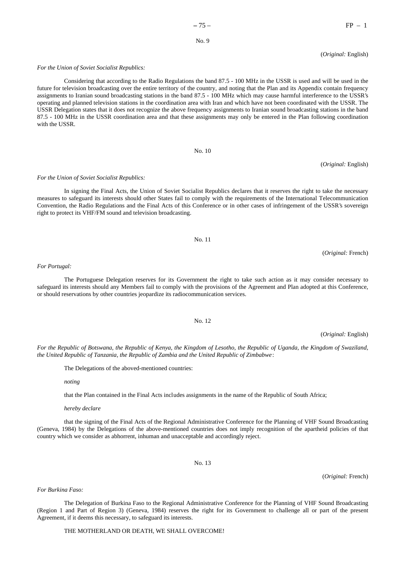future for television broadcasting over the entire territory of the country, and noting that the Plan and its Appendix contain frequency assignments to Iranian sound broadcasting stations in the band 87.5 - 100 MHz which may cause harmful interference to the USSR's operating and planned television stations in the coordination area with Iran and which have not been coordinated with the USSR. The USSR Delegation states that it does not recognize the above frequency assignments to Iranian sound broadcasting stations in the band

Considering that according to the Radio Regulations the band 87.5 - 100 MHz in the USSR is used and will be used in the

(*Original:* English)

#### *For the Union of Soviet Socialist Republics:*

*For the Union of Soviet Socialist Republics:*

right to protect its VHF/FM sound and television broadcasting.

# 87.5 - 100 MHz in the USSR coordination area and that these assignments may only be entered in the Plan following coordination

No. 10

measures to safeguard its interests should other States fail to comply with the requirements of the International Telecommunication Convention, the Radio Regulations and the Final Acts of this Conference or in other cases of infringement of the USSR's sovereign

No. 11

In signing the Final Acts, the Union of Soviet Socialist Republics declares that it reserves the right to take the necessary

(*Original:* English)

(*Original:* French)

#### *For Portugal:*

with the USSR.

The Portuguese Delegation reserves for its Government the right to take such action as it may consider necessary to safeguard its interests should any Members fail to comply with the provisions of the Agreement and Plan adopted at this Conference, or should reservations by other countries jeopardize its radiocommunication services.

*For the Republic of Botswana, the Republic of Kenya, the Kingdom of Lesotho, the Republic of Uganda, the Kingdom of Swaziland, the United Republic of Tanzania, the Republic of Zambia and the United Republic of Zimbabwe*:

The Delegations of the aboved-mentioned countries:

*noting*

that the Plan contained in the Final Acts includes assignments in the name of the Republic of South Africa;

*hereby declare*

that the signing of the Final Acts of the Regional Administrative Conference for the Planning of VHF Sound Broadcasting (Geneva, 1984) by the Delegations of the above-mentioned countries does not imply recognition of the apartheid policies of that country which we consider as abhorrent, inhuman and unacceptable and accordingly reject.

No. 13

(*Original:* French)

*For Burkina Faso:*

The Delegation of Burkina Faso to the Regional Administrative Conference for the Planning of VHF Sound Broadcasting (Region 1 and Part of Region 3) (Geneva, 1984) reserves the right for its Government to challenge all or part of the present Agreement, if it deems this necessary, to safeguard its interests.

THE MOTHERLAND OR DEATH, WE SHALL OVERCOME!

No. 12

(*Original:* English)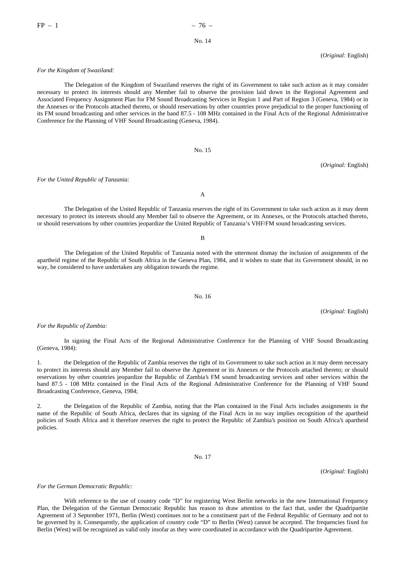(*Original:* English)

#### *For the Kingdom of Swaziland:*

The Delegation of the Kingdom of Swaziland reserves the right of its Government to take such action as it may consider necessary to protect its interests should any Member fail to observe the provision laid down in the Regional Agreement and Associated Frequency Assignment Plan for FM Sound Broadcasting Services in Region 1 and Part of Region 3 (Geneva, 1984) or in the Annexes or the Protocols attached thereto, or should reservations by other countries prove prejudicial to the proper functioning of its FM sound broadcasting and other services in the band 87.5 - 108 MHz contained in the Final Acts of the Regional Administrative Conference for the Planning of VHF Sound Broadcasting (Geneva, 1984).

No. 15

(*Original:* English)

*For the United Republic of Tanzania:*

The Delegation of the United Republic of Tanzania reserves the right of its Government to take such action as it may deem necessary to protect its interests should any Member fail to observe the Agreement, or its Annexes, or the Protocols attached thereto, or should reservations by other countries jeopardize the United Republic of Tanzania's VHF/FM sound broadcasting services.

B

A

The Delegation of the United Republic of Tanzania noted with the uttermost dismay the inclusion of assignments of the apartheid regime of the Republic of South Africa in the Geneva Plan, 1984, and it wishes to state that its Government should, in no way, be considered to have undertaken any obligation towards the regime.

No. 16

(*Original:* English)

#### *For the Republic of Zambia:*

In signing the Final Acts of the Regional Administrative Conference for the Planning of VHF Sound Broadcasting (Geneva, 1984):

the Delegation of the Republic of Zambia reserves the right of its Government to take such action as it may deem necessary to protect its interests should any Member fail to observe the Agreement or its Annexes or the Protocols attached thereto; or should reservations by other countries jeopardize the Republic of Zambia's FM sound broadcasting services and other services within the band 87.5 - 108 MHz contained in the Final Acts of the Regional Administrative Conference for the Planning of VHF Sound Broadcasting Conference, Geneva, 1984;

2. the Delegation of the Republic of Zambia, noting that the Plan contained in the Final Acts includes assignments in the name of the Republic of South Africa, declares that its signing of the Final Acts in no way implies recognition of the apartheid policies of South Africa and it therefore reserves the right to protect the Republic of Zambia's position on South Africa's apartheid policies.

No. 17

(*Original:* English)

*For the German Democratic Republic:*

With reference to the use of country code "D" for registering West Berlin networks in the new International Frequency Plan, the Delegation of the German Democratic Republic has reason to draw attention to the fact that, under the Quadripartite Agreement of 3 September 1971, Berlin (West) continues not to be a constituent part of the Federal Republic of Germany and not to be governed by it. Consequently, the application of country code "D" to Berlin (West) cannot be accepted. The frequencies fixed for Berlin (West) will be recognized as valid only insofar as they were coordinated in accordance with the Quadripartite Agreement.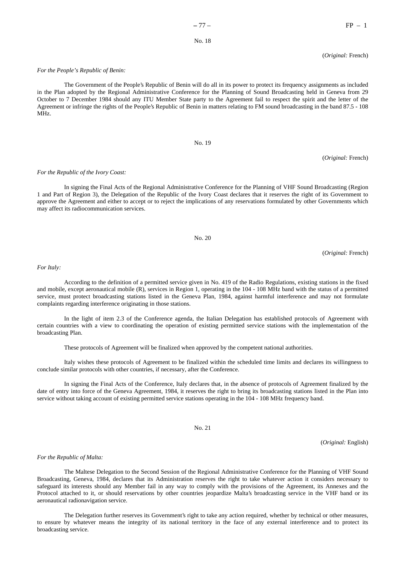#### (*Original:* French)

#### *For the People's Republic of Benin:*

The Government of the People's Republic of Benin will do all in its power to protect its frequency assignments as included in the Plan adopted by the Regional Administrative Conference for the Planning of Sound Broadcasting held in Geneva from 29 October to 7 December 1984 should any ITU Member State party to the Agreement fail to respect the spirit and the letter of the Agreement or infringe the rights of the People's Republic of Benin in matters relating to FM sound broadcasting in the band 87.5 - 108 MHz.

#### No. 19

(*Original:* French)

#### *For the Republic of the Ivory Coast:*

In signing the Final Acts of the Regional Administrative Conference for the Planning of VHF Sound Broadcasting (Region 1 and Part of Region 3), the Delegation of the Republic of the Ivory Coast declares that it reserves the right of its Government to approve the Agreement and either to accept or to reject the implications of any reservations formulated by other Governments which may affect its radiocommunication services.

No. 20

(*Original:* French)

*For Italy:*

According to the definition of a permitted service given in No. 419 of the Radio Regulations, existing stations in the fixed and mobile, except aeronautical mobile (R), services in Region 1, operating in the 104 - 108 MHz band with the status of a permitted service, must protect broadcasting stations listed in the Geneva Plan, 1984, against harmful interference and may not formulate complaints regarding interference originating in those stations.

In the light of item 2.3 of the Conference agenda, the Italian Delegation has established protocols of Agreement with certain countries with a view to coordinating the operation of existing permitted service stations with the implementation of the broadcasting Plan.

These protocols of Agreement will be finalized when approved by the competent national authorities.

Italy wishes these protocols of Agreement to be finalized within the scheduled time limits and declares its willingness to conclude similar protocols with other countries, if necessary, after the Conference.

In signing the Final Acts of the Conference, Italy declares that, in the absence of protocols of Agreement finalized by the date of entry into force of the Geneva Agreement, 1984, it reserves the right to bring its broadcasting stations listed in the Plan into service without taking account of existing permitted service stations operating in the 104 - 108 MHz frequency band.

No. 21

(*Original:* English)

# *For the Republic of Malta:*

The Maltese Delegation to the Second Session of the Regional Administrative Conference for the Planning of VHF Sound Broadcasting, Geneva, 1984, declares that its Administration reserves the right to take whatever action it considers necessary to safeguard its interests should any Member fail in any way to comply with the provisions of the Agreement, its Annexes and the Protocol attached to it, or should reservations by other countries jeopardize Malta's broadcasting service in the VHF band or its aeronautical radionavigation service.

The Delegation further reserves its Government's right to take any action required, whether by technical or other measures, to ensure by whatever means the integrity of its national territory in the face of any external interference and to protect its broadcasting service.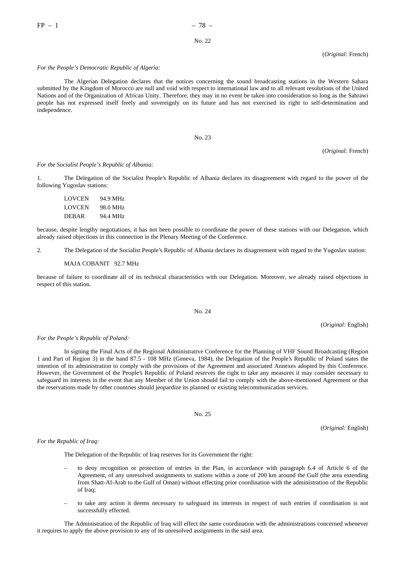(*Original:* French)

#### *For the People's Democratic Republic of Algeria:*

The Algerian Delegation declares that the notices concerning the sound broadcasting stations in the Western Sahara submitted by the Kingdom of Morocco are null and void with respect to international law and to all relevant resolutions of the United Nations and of the Organization of African Unity. Therefore, they may in no event be taken into consideration so long as the Sahrawi people has not expressed itself freely and sovereignly on its future and has not exercised its right to self-determination and independence.

No. 23

(*Original:* French)

#### *For the Socialist People's Republic of Albania:*

1. The Delegation of the Socialist People's Republic of Albania declares its disagreement with regard to the power of the following Yugoslav stations:

| <b>LOVCEN</b> | 94.9 MHz |
|---------------|----------|
| LOVCEN        | 98.0 MHz |
| <b>DEBAR</b>  | 94.4 MHz |

because, despite lengthy negotiations, it has not been possible to coordinate the power of these stations with our Delegation, which already raised objections in this connection in the Plenary Meeting of the Conference.

2. The Delegation of the Socialist People's Republic of Albania declares its disagreement with regard to the Yugoslav station:

#### MAJA COBANIT 92.7 MHz

because of failure to coordinate all of its technical characteristics with our Delegation. Moreover, we already raised objections in respect of this station.

#### No. 24

(*Original:* English)

#### *For the People's Republic of Poland:*

In signing the Final Acts of the Regional Administrative Conference for the Planning of VHF Sound Broadcasting (Region 1 and Part of Region 3) in the band 87.5 - 108 MHz (Geneva, 1984), the Delegation of the People's Republic of Poland states the intention of its administration to comply with the provisions of the Agreement and associated Annexes adopted by this Conference. However, the Government of the People's Republic of Poland reserves the right to take any measures it may consider necessary to safeguard its interests in the event that any Member of the Union should fail to comply with the above-mentioned Agreement or that the reservations made by other countries should jeopardize its planned or existing telecommunication services.

No. 25

(*Original:* English)

#### *For the Republic of Iraq:*

The Delegation of the Republic of Iraq reserves for its Government the right:

- to deny recognition or protection of entries in the Plan, in accordance with paragraph 6.4 of Article 6 of the Agreement, of any unresolved assignments to stations within a zone of 200 km around the Gulf (the area extending from Shatt-Al-Arab to the Gulf of Oman) without effecting prior coordination with the administration of the Republic of Iraq;
- to take any action it deems necessary to safeguard its interests in respect of such entries if coordination is not successfully effected.

The Administration of the Republic of Iraq will effect the same coordination with the administrations concerned whenever it requires to apply the above provision to any of its unresolved assignments in the said area.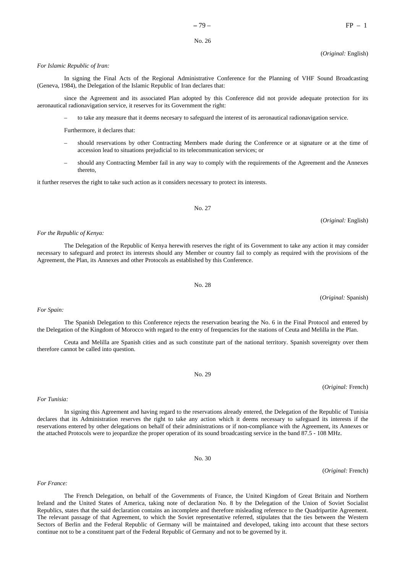#### (*Original:* English)

#### *For Islamic Republic of Iran:*

In signing the Final Acts of the Regional Administrative Conference for the Planning of VHF Sound Broadcasting (Geneva, 1984), the Delegation of the Islamic Republic of Iran declares that:

since the Agreement and its associated Plan adopted by this Conference did not provide adequate protection for its aeronautical radionavigation service, it reserves for its Government the right:

– to take any measure that it deems necesary to safeguard the interest of its aeronautical radionavigation service.

Furthermore, it declares that:

- should reservations by other Contracting Members made during the Conference or at signature or at the time of accession lead to situations prejudicial to its telecommunication services; or
- should any Contracting Member fail in any way to comply with the requirements of the Agreement and the Annexes thereto,

it further reserves the right to take such action as it considers necessary to protect its interests.

No. 27

#### *For the Republic of Kenya:*

The Delegation of the Republic of Kenya herewith reserves the right of its Government to take any action it may consider necessary to safeguard and protect its interests should any Member or country fail to comply as required with the provisions of the Agreement, the Plan, its Annexes and other Protocols as established by this Conference.

No. 28

(*Original:* Spanish)

(*Original:* English)

The Spanish Delegation to this Conference rejects the reservation bearing the No. 6 in the Final Protocol and entered by the Delegation of the Kingdom of Morocco with regard to the entry of frequencies for the stations of Ceuta and Melilla in the Plan.

Ceuta and Melilla are Spanish cities and as such constitute part of the national territory. Spanish sovereignty over them therefore cannot be called into question.

No. 29

In signing this Agreement and having regard to the reservations already entered, the Delegation of the Republic of Tunisia

(*Original:* French)

(*Original:* French)

*For France:*

*For Tunisia:*

The French Delegation, on behalf of the Governments of France, the United Kingdom of Great Britain and Northern Ireland and the United States of America, taking note of declaration No. 8 by the Delegation of the Union of Soviet Socialist Republics, states that the said declaration contains an incomplete and therefore misleading reference to the Quadripartite Agreement. The relevant passage of that Agreement, to which the Soviet representative referred, stipulates that the ties between the Western Sectors of Berlin and the Federal Republic of Germany will be maintained and developed, taking into account that these sectors continue not to be a constituent part of the Federal Republic of Germany and not to be governed by it.

#### *For Spain:*

declares that its Administration reserves the right to take any action which it deems necessary to safeguard its interests if the reservations entered by other delegations on behalf of their administrations or if non-compliance with the Agreement, its Annexes or

No. 30

the attached Protocols were to jeopardize the proper operation of its sound broadcasting service in the band 87.5 - 108 MHz.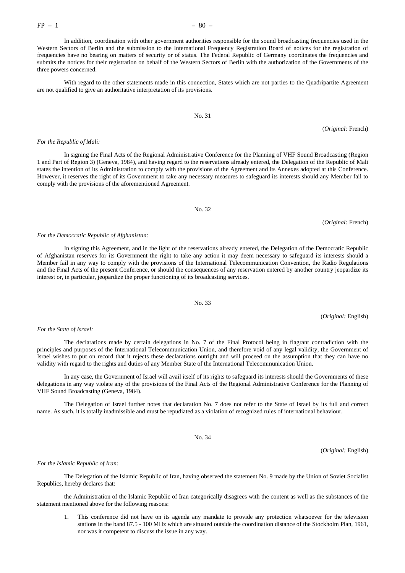In addition, coordination with other government authorities responsible for the sound broadcasting frequencies used in the Western Sectors of Berlin and the submission to the International Frequency Registration Board of notices for the registration of frequencies have no bearing on matters of security or of status. The Federal Republic of Germany coordinates the frequencies and submits the notices for their registration on behalf of the Western Sectors of Berlin with the authorization of the Governments of the three powers concerned.

With regard to the other statements made in this connection, States which are not parties to the Quadripartite Agreement are not qualified to give an authoritative interpretation of its provisions.

# No. 31

#### *For the Republic of Mali:*

In signing the Final Acts of the Regional Administrative Conference for the Planning of VHF Sound Broadcasting (Region 1 and Part of Region 3) (Geneva, 1984), and having regard to the reservations already entered, the Delegation of the Republic of Mali states the intention of its Administration to comply with the provisions of the Agreement and its Annexes adopted at this Conference. However, it reserves the right of its Government to take any necessary measures to safeguard its interests should any Member fail to comply with the provisions of the aforementioned Agreement.

No. 32

(*Original:* French)

#### *For the Democratic Republic of Afghanistan:*

In signing this Agreement, and in the light of the reservations already entered, the Delegation of the Democratic Republic of Afghanistan reserves for its Government the right to take any action it may deem necessary to safeguard its interests should a Member fail in any way to comply with the provisions of the International Telecommunication Convention, the Radio Regulations and the Final Acts of the present Conference, or should the consequences of any reservation entered by another country jeopardize its interest or, in particular, jeopardize the proper functioning of its broadcasting services.

No. 33

(*Original:* English)

#### *For the State of Israel:*

The declarations made by certain delegations in No. 7 of the Final Protocol being in flagrant contradiction with the principles and purposes of the International Telecommunication Union, and therefore void of any legal validity, the Government of Israel wishes to put on record that it rejects these declarations outright and will proceed on the assumption that they can have no validity with regard to the rights and duties of any Member State of the International Telecommunication Union.

In any case, the Government of Israel will avail itself of its rights to safeguard its interests should the Governments of these delegations in any way violate any of the provisions of the Final Acts of the Regional Administrative Conference for the Planning of VHF Sound Broadcasting (Geneva, 1984).

The Delegation of Israel further notes that declaration No. 7 does not refer to the State of Israel by its full and correct name. As such, it is totally inadmissible and must be repudiated as a violation of recognized rules of international behaviour.

No. 34

(*Original:* English)

#### *For the Islamic Republic of Iran:*

The Delegation of the Islamic Republic of Iran, having observed the statement No. 9 made by the Union of Soviet Socialist Republics, hereby declares that:

the Administration of the Islamic Republic of Iran categorically disagrees with the content as well as the substances of the statement mentioned above for the following reasons:

1. This conference did not have on its agenda any mandate to provide any protection whatsoever for the television stations in the band 87.5 - 100 MHz which are situated outside the coordination distance of the Stockholm Plan, 1961, nor was it competent to discuss the issue in any way.

(*Original:* French)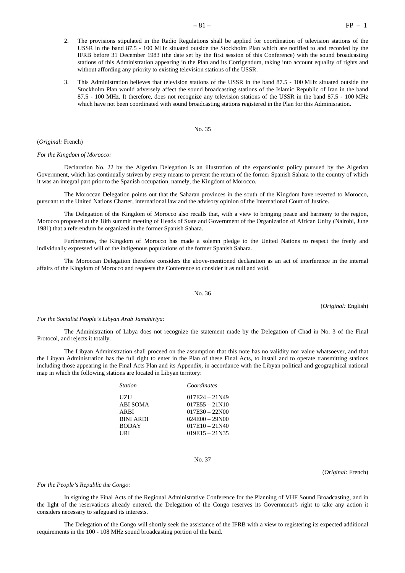- 2. The provisions stipulated in the Radio Regulations shall be applied for coordination of television stations of the USSR in the band 87.5 - 100 MHz situated outside the Stockholm Plan which are notified to and recorded by the IFRB before 31 December 1983 (the date set by the first session of this Conference) with the sound broadcasting stations of this Administration appearing in the Plan and its Corrigendum, taking into account equality of rights and without affording any priority to existing television stations of the USSR.
- 3. This Administration believes that television stations of the USSR in the band 87.5 100 MHz situated outside the Stockholm Plan would adversely affect the sound broadcasting stations of the Islamic Republic of Iran in the band 87.5 - 100 MHz. It therefore, does not recognize any television stations of the USSR in the band 87.5 - 100 MHz which have not been coordinated with sound broadcasting stations registered in the Plan for this Adminisration.

#### (*Original:* French)

### *For the Kingdom of Morocco:*

Declaration No. 22 by the Algerian Delegation is an illustration of the expansionist policy pursued by the Algerian Government, which has continually striven by every means to prevent the return of the former Spanish Sahara to the country of which it was an integral part prior to the Spanish occupation, namely, the Kingdom of Morocco.

The Moroccan Delegation points out that the Saharan provinces in the south of the Kingdom have reverted to Morocco, pursuant to the United Nations Charter, international law and the advisory opinion of the International Court of Justice.

The Delegation of the Kingdom of Morocco also recalls that, with a view to bringing peace and harmony to the region, Morocco proposed at the 18th summit meeting of Heads of State and Government of the Organization of African Unity (Nairobi, June 1981) that a referendum be organized in the former Spanish Sahara.

Furthermore, the Kingdom of Morocco has made a solemn pledge to the United Nations to respect the freely and individually expressed will of the indigenous populations of the former Spanish Sahara.

The Moroccan Delegation therefore considers the above-mentioned declaration as an act of interference in the internal affairs of the Kingdom of Morocco and requests the Conference to consider it as null and void.

#### No. 36

(*Original:* English)

#### *For the Socialist People's Libyan Arab Jamahiriya:*

The Administration of Libya does not recognize the statement made by the Delegation of Chad in No. 3 of the Final Protocol, and rejects it totally.

The Libyan Administration shall proceed on the assumption that this note has no validity nor value whatsoever, and that the Libyan Administration has the full right to enter in the Plan of these Final Acts, to install and to operate transmitting stations including those appearing in the Final Acts Plan and its Appendix, in accordance with the Libyan political and geographical national map in which the following stations are located in Libyan territory:

| <b>Station</b>   | Coordinates      |
|------------------|------------------|
| UZU              | $017E24 - 21N49$ |
| ABI SOMA         | $017E55 - 21N10$ |
| ARBI             | $017E30 - 22N00$ |
| <b>BINI ARDI</b> | $024E00 - 29N00$ |
| <b>BODAY</b>     | $017E10 - 21N40$ |
| URI              | $019E15 - 21N35$ |
|                  |                  |

No. 37

(*Original:* French)

#### *For the People's Republic the Congo:*

In signing the Final Acts of the Regional Administrative Conference for the Planning of VHF Sound Broadcasting, and in the light of the reservations already entered, the Delegation of the Congo reserves its Government's right to take any action it considers necessary to safeguard its interests.

The Delegation of the Congo will shortly seek the assistance of the IFRB with a view to registering its expected additional requirements in the 100 - 108 MHz sound broadcasting portion of the band.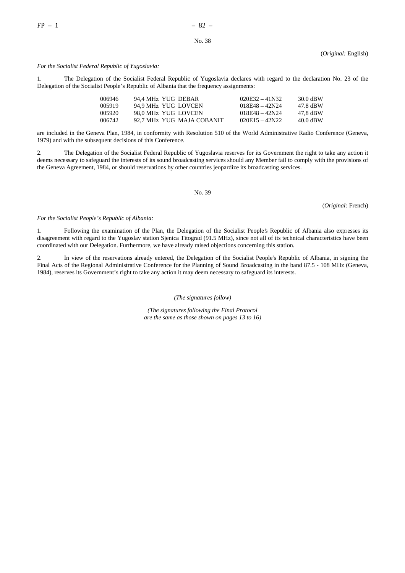(*Original:* English)

# *For the Socialist Federal Republic of Yugoslavia:*

1. The Delegation of the Socialist Federal Republic of Yugoslavia declares with regard to the declaration No. 23 of the Delegation of the Socialist People's Republic of Albania that the frequency assignments:

| 006946 | 94.4 MHz YUG DEBAR        | $020E32 - 41N32$ | 30.0 dBW |
|--------|---------------------------|------------------|----------|
| 005919 | 94.9 MHz YUG LOVCEN       | $018F48 - 42N24$ | 47.8 dBW |
| 005920 | 98.0 MHz YUG LOVCEN       | $018E48 - 42N24$ | 47.8 dBW |
| 006742 | 92.7 MHz YUG MAJA COBANIT | $020E15 - 42N22$ | 40.0 dBW |

are included in the Geneva Plan, 1984, in conformity with Resolution 510 of the World Administrative Radio Conference (Geneva, 1979) and with the subsequent decisions of this Conference.

2. The Delegation of the Socialist Federal Republic of Yugoslavia reserves for its Government the right to take any action it deems necessary to safeguard the interests of its sound broadcasting services should any Member fail to comply with the provisions of the Geneva Agreement, 1984, or should reservations by other countries jeopardize its broadcasting services.

No. 39

(*Original:* French)

*For the Socialist People's Republic of Albania:*

1. Following the examination of the Plan, the Delegation of the Socialist People's Republic of Albania also expresses its disagreement with regard to the Yugoslav station Sjenica Titograd (91.5 MHz), since not all of its technical characteristics have been coordinated with our Delegation. Furthermore, we have already raised objections concerning this station.

2. In view of the reservations already entered, the Delegation of the Socialist People's Republic of Albania, in signing the Final Acts of the Regional Administrative Conference for the Planning of Sound Broadcasting in the band 87.5 - 108 MHz (Geneva, 1984), reserves its Government's right to take any action it may deem necessary to safeguard its interests.

#### *(The signatures follow)*

*(The signatures following the Final Protocol are the same as those shown on pages 13 to 16)*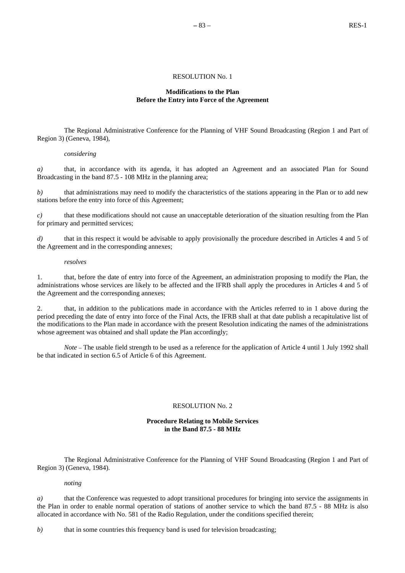# RESOLUTION No. 1

# **Modifications to the Plan Before the Entry into Force of the Agreement**

The Regional Administrative Conference for the Planning of VHF Sound Broadcasting (Region 1 and Part of Region 3) (Geneva, 1984),

# *considering*

*a)* that, in accordance with its agenda, it has adopted an Agreement and an associated Plan for Sound Broadcasting in the band 87.5 - 108 MHz in the planning area;

*b*) that administrations may need to modify the characteristics of the stations appearing in the Plan or to add new stations before the entry into force of this Agreement;

*c)* that these modifications should not cause an unacceptable deterioration of the situation resulting from the Plan for primary and permitted services;

*d)* that in this respect it would be advisable to apply provisionally the procedure described in Articles 4 and 5 of the Agreement and in the corresponding annexes;

#### *resolves*

1. that, before the date of entry into force of the Agreement, an administration proposing to modify the Plan, the administrations whose services are likely to be affected and the IFRB shall apply the procedures in Articles 4 and 5 of the Agreement and the corresponding annexes;

2. that, in addition to the publications made in accordance with the Articles referred to in 1 above during the period preceding the date of entry into force of the Final Acts, the IFRB shall at that date publish a recapitulative list of the modifications to the Plan made in accordance with the present Resolution indicating the names of the administrations whose agreement was obtained and shall update the Plan accordingly;

*Note* – The usable field strength to be used as a reference for the application of Article 4 until 1 July 1992 shall be that indicated in section 6.5 of Article 6 of this Agreement.

# RESOLUTION No. 2

# **Procedure Relating to Mobile Services in the Band 87.5 - 88 MHz**

The Regional Administrative Conference for the Planning of VHF Sound Broadcasting (Region 1 and Part of Region 3) (Geneva, 1984).

# *noting*

*a)* that the Conference was requested to adopt transitional procedures for bringing into service the assignments in the Plan in order to enable normal operation of stations of another service to which the band 87.5 - 88 MHz is also allocated in accordance with No. 581 of the Radio Regulation, under the conditions specified therein;

*b*) that in some countries this frequency band is used for television broadcasting;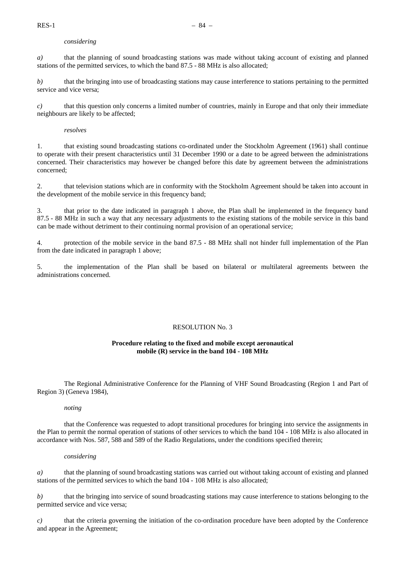# *considering*

*a)* that the planning of sound broadcasting stations was made without taking account of existing and planned stations of the permitted services, to which the band 87.5 - 88 MHz is also allocated;

*b)* that the bringing into use of broadcasting stations may cause interference to stations pertaining to the permitted service and vice versa;

*c)* that this question only concerns a limited number of countries, mainly in Europe and that only their immediate neighbours are likely to be affected;

*resolves*

1. that existing sound broadcasting stations co-ordinated under the Stockholm Agreement (1961) shall continue to operate with their present characteristics until 31 December 1990 or a date to be agreed between the administrations concerned. Their characteristics may however be changed before this date by agreement between the administrations concerned;

2. that television stations which are in conformity with the Stockholm Agreement should be taken into account in the development of the mobile service in this frequency band;

3. that prior to the date indicated in paragraph 1 above, the Plan shall be implemented in the frequency band 87.5 - 88 MHz in such a way that any necessary adjustments to the existing stations of the mobile service in this band can be made without detriment to their continuing normal provision of an operational service;

4. protection of the mobile service in the band 87.5 - 88 MHz shall not hinder full implementation of the Plan from the date indicated in paragraph 1 above;

5. the implementation of the Plan shall be based on bilateral or multilateral agreements between the administrations concerned.

# RESOLUTION No. 3

# **Procedure relating to the fixed and mobile except aeronautical mobile (R) service in the band 104 - 108 MHz**

The Regional Administrative Conference for the Planning of VHF Sound Broadcasting (Region 1 and Part of Region 3) (Geneva 1984),

# *noting*

that the Conference was requested to adopt transitional procedures for bringing into service the assignments in the Plan to permit the normal operation of stations of other services to which the band 104 - 108 MHz is also allocated in accordance with Nos. 587, 588 and 589 of the Radio Regulations, under the conditions specified therein;

# *considering*

*a)* that the planning of sound broadcasting stations was carried out without taking account of existing and planned stations of the permitted services to which the band 104 - 108 MHz is also allocated;

*b)* that the bringing into service of sound broadcasting stations may cause interference to stations belonging to the permitted service and vice versa;

*c)* that the criteria governing the initiation of the co-ordination procedure have been adopted by the Conference and appear in the Agreement;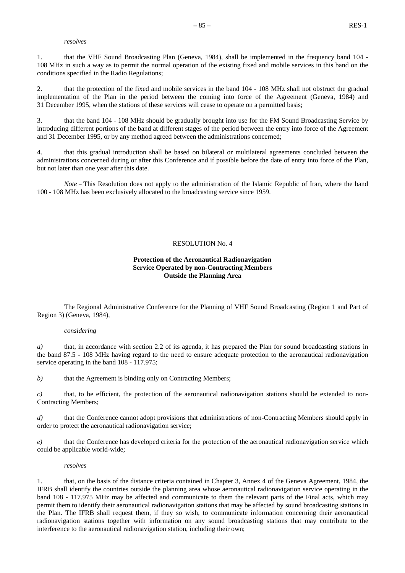#### *resolves*

1. that the VHF Sound Broadcasting Plan (Geneva, 1984), shall be implemented in the frequency band 104 - 108 MHz in such a way as to permit the normal operation of the existing fixed and mobile services in this band on the conditions specified in the Radio Regulations;

2. that the protection of the fixed and mobile services in the band 104 - 108 MHz shall not obstruct the gradual implementation of the Plan in the period between the coming into force of the Agreement (Geneva, 1984) and 31 December 1995, when the stations of these services will cease to operate on a permitted basis;

3. that the band 104 - 108 MHz should be gradually brought into use for the FM Sound Broadcasting Service by introducing different portions of the band at different stages of the period between the entry into force of the Agreement and 31 December 1995, or by any method agreed between the administrations concerned;

4. that this gradual introduction shall be based on bilateral or multilateral agreements concluded between the administrations concerned during or after this Conference and if possible before the date of entry into force of the Plan, but not later than one year after this date.

*Note* – This Resolution does not apply to the administration of the Islamic Republic of Iran, where the band 100 - 108 MHz has been exclusively allocated to the broadcasting service since 1959.

# RESOLUTION No. 4

# **Protection of the Aeronautical Radionavigation Service Operated by non-Contracting Members Outside the Planning Area**

The Regional Administrative Conference for the Planning of VHF Sound Broadcasting (Region 1 and Part of Region 3) (Geneva, 1984),

# *considering*

*a*) that, in accordance with section 2.2 of its agenda, it has prepared the Plan for sound broadcasting stations in the band 87.5 - 108 MHz having regard to the need to ensure adequate protection to the aeronautical radionavigation service operating in the band  $108 - 117.975$ ;

*b*) that the Agreement is binding only on Contracting Members;

*c*) that, to be efficient, the protection of the aeronautical radionavigation stations should be extended to non-Contracting Members;

*d*) that the Conference cannot adopt provisions that administrations of non-Contracting Members should apply in order to protect the aeronautical radionavigation service;

*e)* that the Conference has developed criteria for the protection of the aeronautical radionavigation service which could be applicable world-wide;

# *resolves*

1. that, on the basis of the distance criteria contained in Chapter 3, Annex 4 of the Geneva Agreement, 1984, the IFRB shall identify the countries outside the planning area whose aeronautical radionavigation service operating in the band 108 - 117.975 MHz may be affected and communicate to them the relevant parts of the Final acts, which may permit them to identify their aeronautical radionavigation stations that may be affected by sound broadcasting stations in the Plan. The IFRB shall request them, if they so wish, to communicate information concerning their aeronautical radionavigation stations together with information on any sound broadcasting stations that may contribute to the interference to the aeronautical radionavigation station, including their own;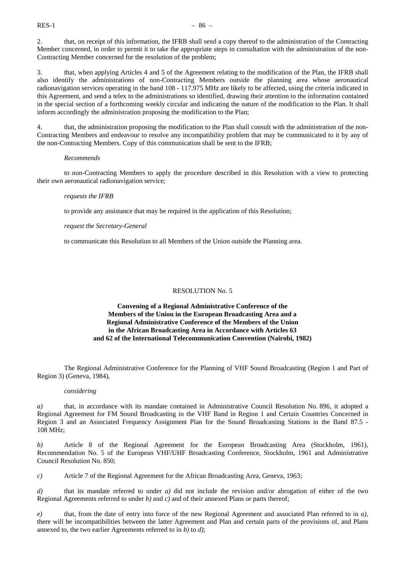2. that, on receipt of this information, the IFRB shall send a copy thereof to the administration of the Contracting Member concerned, in order to permit it to take the appropriate steps in consultation with the administration of the non-Contracting Member concerned for the resolution of the problem;

3. that, when applying Articles 4 and 5 of the Agreement relating to the modification of the Plan, the IFRB shall also identify the administrations of non-Contracting Members outside the planning area whose aeronautical radionavigation services operating in the band 108 - 117.975 MHz are likely to be affected, using the criteria indicated in this Agreement, and send a telex to the administrations so identified, drawing their attention to the information contained in the special section of a forthcoming weekly circular and indicating the nature of the modification to the Plan. It shall inform accordingly the administration proposing the modification to the Plan;

4. that, the administration proposing the modification to the Plan shall consult with the administration of the non-Contracting Members and endeavour to resolve any incompatibility problem that may be communicated to it by any of the non-Contracting Members. Copy of this communication shall be sent to the IFRB;

#### *Recommends*

to non-Contracting Members to apply the procedure described in this Resolution with a view to protecting their own aeronautical radionavigation service;

#### *requests the IFRB*

to provide any assistance that may be required in the application of this Resolution;

*request the Secretary-General*

to communicate this Resolution to all Members of the Union outside the Planning area.

#### RESOLUTION No. 5

# **Convening of a Regional Administrative Conference of the Members of the Union in the European Broadcasting Area and a Regional Administrative Conference of the Members of the Union in the African Broadcasting Area in Accordance with Articles 63 and 62 of the International Telecommunication Convention (Nairobi, 1982)**

The Regional Administrative Conference for the Planning of VHF Sound Broadcasting (Region 1 and Part of Region 3) (Geneva, 1984),

#### *considering*

*a)* that, in accordance with its mandate contained in Administrative Council Resolution No. 896, it adopted a Regional Agreement for FM Sound Broadcasting in the VHF Band in Region 1 and Certain Countries Concerned in Region 3 and an Associated Frequency Assignment Plan for the Sound Broadcasting Stations in the Band 87.5 - 108 MHz;

*b)* Article 8 of the Regional Agreement for the European Broadcasting Area (Stockholm, 1961), Recommendation No. 5 of the European VHF/UHF Broadcasting Conference, Stockholm, 1961 and Administrative Council Resolution No. 850;

*c)* Article 7 of the Regional Agreement for the African Broadcasting Area, Geneva, 1963;

*d)* that its mandate referred to under *a)* did not include the revision and/or abrogation of either of the two Regional Agreements referred to under *b)* and *c)* and of their annexed Plans or parts thereof;

*e)* that, from the date of entry into force of the new Regional Agreement and associated Plan referred to in *a)*, there will be incompatibilities between the latter Agreement and Plan and certain parts of the provisions of, and Plans annexed to, the two earlier Agreements referred to in *b)* to *d)*;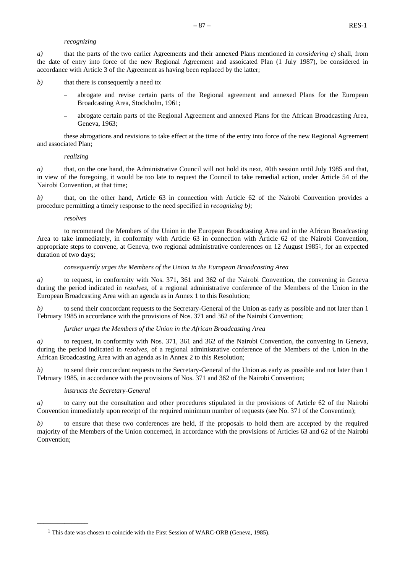# *recognizing*

*a)* that the parts of the two earlier Agreements and their annexed Plans mentioned in *considering e)* shall, from the date of entry into force of the new Regional Agreement and assoicated Plan (1 July 1987), be considered in accordance with Article 3 of the Agreement as having been replaced by the latter;

- *b*) that there is consequently a need to:
	- abrogate and revise certain parts of the Regional agreement and annexed Plans for the European Broadcasting Area, Stockholm, 1961;
	- abrogate certain parts of the Regional Agreement and annexed Plans for the African Broadcasting Area, Geneva, 1963;

these abrogations and revisions to take effect at the time of the entry into force of the new Regional Agreement and associated Plan;

#### *realizing*

*a*) that, on the one hand, the Administrative Council will not hold its next, 40th session until July 1985 and that, in view of the foregoing, it would be too late to request the Council to take remedial action, under Article 54 of the Nairobi Convention, at that time;

*b)* that, on the other hand, Article 63 in connection with Article 62 of the Nairobi Convention provides a procedure permitting a timely response to the need specified in *recognizing b)*;

#### *resolves*

to recommend the Members of the Union in the European Broadcasting Area and in the African Broadcasting Area to take immediately, in conformity with Article 63 in connection with Article 62 of the Nairobi Convention, appropriate steps to convene, at Geneva, two regional administrative conferences on 12 August 19851, for an expected duration of two days;

#### *consequently urges the Members of the Union in the European Broadcasting Area*

*a)* to request, in conformity with Nos. 371, 361 and 362 of the Nairobi Convention, the convening in Geneva during the period indicated in *resolves*, of a regional administrative conference of the Members of the Union in the European Broadcasting Area with an agenda as in Annex 1 to this Resolution;

*b*) to send their concordant requests to the Secretary-General of the Union as early as possible and not later than 1 February 1985 in accordance with the provisions of Nos. 371 and 362 of the Nairobi Convention;

# *further urges the Members of the Union in the African Broadcasting Area*

*a)* to request, in conformity with Nos. 371, 361 and 362 of the Nairobi Convention, the convening in Geneva, during the period indicated in *resolves*, of a regional administrative conference of the Members of the Union in the African Broadcasting Area with an agenda as in Annex 2 to this Resolution;

*b*) to send their concordant requests to the Secretary-General of the Union as early as possible and not later than 1 February 1985, in accordance with the provisions of Nos. 371 and 362 of the Nairobi Convention;

# *instructs the Secretary-General*

**\_\_\_\_\_\_\_\_\_\_\_\_\_\_\_**

*a)* to carry out the consultation and other procedures stipulated in the provisions of Article 62 of the Nairobi Convention immediately upon receipt of the required minimum number of requests (see No. 371 of the Convention);

*b)* to ensure that these two conferences are held, if the proposals to hold them are accepted by the required majority of the Members of the Union concerned, in accordance with the provisions of Articles 63 and 62 of the Nairobi Convention;

<sup>1</sup> This date was chosen to coincide with the First Session of WARC-ORB (Geneva, 1985).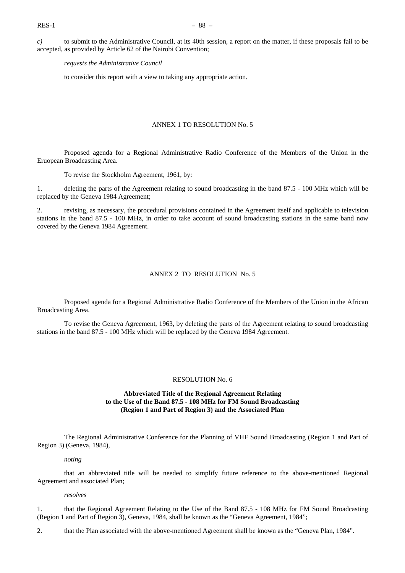*c)* to submit to the Administrative Council, at its 40th session, a report on the matter, if these proposals fail to be accepted, as provided by Article 62 of the Nairobi Convention;

*requests the Administrative Council*

to consider this report with a view to taking any appropriate action.

# ANNEX 1 TO RESOLUTION No. 5

Proposed agenda for a Regional Administrative Radio Conference of the Members of the Union in the Eruopean Broadcasting Area.

To revise the Stockholm Agreement, 1961, by:

1. deleting the parts of the Agreement relating to sound broadcasting in the band 87.5 - 100 MHz which will be replaced by the Geneva 1984 Agreement;

2. revising, as necessary, the procedural provisions contained in the Agreement itself and applicable to television stations in the band 87.5 - 100 MHz, in order to take account of sound broadcasting stations in the same band now covered by the Geneva 1984 Agreement.

# ANNEX 2 TO RESOLUTION No. 5

Proposed agenda for a Regional Administrative Radio Conference of the Members of the Union in the African Broadcasting Area.

To revise the Geneva Agreement, 1963, by deleting the parts of the Agreement relating to sound broadcasting stations in the band 87.5 - 100 MHz which will be replaced by the Geneva 1984 Agreement.

# RESOLUTION No. 6

# **Abbreviated Title of the Regional Agreement Relating to the Use of the Band 87.5 - 108 MHz for FM Sound Broadcasting (Region 1 and Part of Region 3) and the Associated Plan**

The Regional Administrative Conference for the Planning of VHF Sound Broadcasting (Region 1 and Part of Region 3) (Geneva, 1984),

#### *noting*

that an abbreviated title will be needed to simplify future reference to the above-mentioned Regional Agreement and associated Plan;

# *resolves*

1. that the Regional Agreement Relating to the Use of the Band 87.5 - 108 MHz for FM Sound Broadcasting (Region 1 and Part of Region 3), Geneva, 1984, shall be known as the "Geneva Agreement, 1984";

2. that the Plan associated with the above-mentioned Agreement shall be known as the "Geneva Plan, 1984".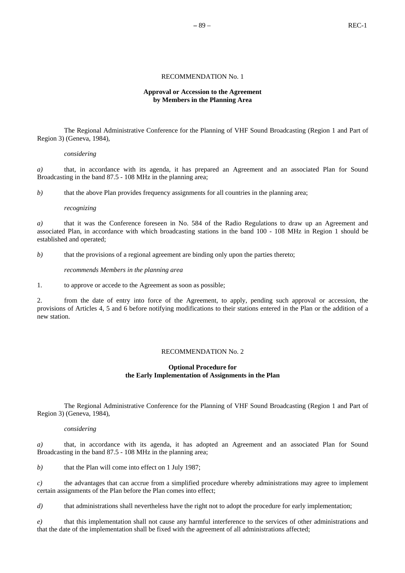# **–** 89 – REC-1

#### RECOMMENDATION No. 1

# **Approval or Accession to the Agreement by Members in the Planning Area**

The Regional Administrative Conference for the Planning of VHF Sound Broadcasting (Region 1 and Part of Region 3) (Geneva, 1984),

#### *considering*

*a)* that, in accordance with its agenda, it has prepared an Agreement and an associated Plan for Sound Broadcasting in the band 87.5 - 108 MHz in the planning area;

*b*) that the above Plan provides frequency assignments for all countries in the planning area;

#### *recognizing*

*a)* that it was the Conference foreseen in No. 584 of the Radio Regulations to draw up an Agreement and associated Plan, in accordance with which broadcasting stations in the band 100 - 108 MHz in Region 1 should be established and operated;

*b*) that the provisions of a regional agreement are binding only upon the parties thereto;

#### *recommends Members in the planning area*

1. to approve or accede to the Agreement as soon as possible;

2. from the date of entry into force of the Agreement, to apply, pending such approval or accession, the provisions of Articles 4, 5 and 6 before notifying modifications to their stations entered in the Plan or the addition of a new station.

# RECOMMENDATION No. 2

# **Optional Procedure for the Early Implementation of Assignments in the Plan**

The Regional Administrative Conference for the Planning of VHF Sound Broadcasting (Region 1 and Part of Region 3) (Geneva, 1984),

#### *considering*

*a)* that, in accordance with its agenda, it has adopted an Agreement and an associated Plan for Sound Broadcasting in the band 87.5 - 108 MHz in the planning area;

*b)* that the Plan will come into effect on 1 July 1987;

*c)* the advantages that can accrue from a simplified procedure whereby administrations may agree to implement certain assignments of the Plan before the Plan comes into effect;

*d*) that administrations shall nevertheless have the right not to adopt the procedure for early implementation;

*e)* that this implementation shall not cause any harmful interference to the services of other administrations and that the date of the implementation shall be fixed with the agreement of all administrations affected;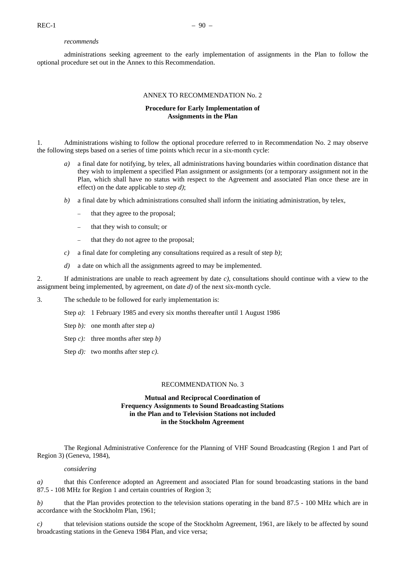#### *recommends*

administrations seeking agreement to the early implementation of assignments in the Plan to follow the optional procedure set out in the Annex to this Recommendation.

# ANNEX TO RECOMMENDATION No. 2

# **Procedure for Early Implementation of Assignments in the Plan**

1. Administrations wishing to follow the optional procedure referred to in Recommendation No. 2 may observe the following steps based on a series of time points which recur in a six-month cycle:

- *a)* a final date for notifying, by telex, all administrations having boundaries within coordination distance that they wish to implement a specified Plan assignment or assignments (or a temporary assignment not in the Plan, which shall have no status with respect to the Agreement and associated Plan once these are in effect) on the date applicable to step *d)*;
- *b*) a final date by which administrations consulted shall inform the initiating administration, by telex,
	- that they agree to the proposal;
	- that they wish to consult; or
	- that they do not agree to the proposal;
- *c)* a final date for completing any consultations required as a result of step *b)*;
- *d)* a date on which all the assignments agreed to may be implemented.

2. If administrations are unable to reach agreement by date *c)*, consultations should continue with a view to the assignment being implemented, by agreement, on date *d)* of the next six-month cycle.

3. The schedule to be followed for early implementation is:

- Step *a)*: 1 February 1985 and every six months thereafter until 1 August 1986
- Step *b):* one month after step *a)*
- Step *c):* three months after step *b)*
- Step *d):* two months after step *c)*.

# RECOMMENDATION No. 3

# **Mutual and Reciprocal Coordination of Frequency Assignments to Sound Broadcasting Stations in the Plan and to Television Stations not included in the Stockholm Agreement**

The Regional Administrative Conference for the Planning of VHF Sound Broadcasting (Region 1 and Part of Region 3) (Geneva, 1984),

# *considering*

*a)* that this Conference adopted an Agreement and associated Plan for sound broadcasting stations in the band 87.5 - 108 MHz for Region 1 and certain countries of Region 3;

*b)* that the Plan provides protection to the television stations operating in the band 87.5 - 100 MHz which are in accordance with the Stockholm Plan, 1961;

*c)* that television stations outside the scope of the Stockholm Agreement, 1961, are likely to be affected by sound broadcasting stations in the Geneva 1984 Plan, and vice versa;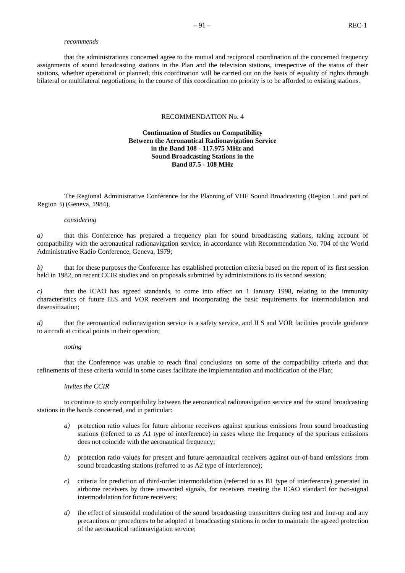#### *recommends*

that the administrations concerned agree to the mutual and reciprocal coordination of the concerned frequency assignments of sound broadcasting stations in the Plan and the television stations, irrespective of the status of their stations, whether operational or planned; this coordination will be carried out on the basis of equality of rights through bilateral or multilateral negotiations; in the course of this coordination no priority is to be afforded to existing stations.

# RECOMMENDATION No. 4

# **Continuation of Studies on Compatibility Between the Aeronautical Radionavigation Service in the Band 108 - 117.975 MHz and Sound Broadcasting Stations in the Band 87.5 - 108 MHz**

The Regional Administrative Conference for the Planning of VHF Sound Broadcasting (Region 1 and part of Region 3) (Geneva, 1984),

# *considering*

*a*) that this Conference has prepared a frequency plan for sound broadcasting stations, taking account of compatibility with the aeronautical radionavigation service, in accordance with Recommendation No. 704 of the World Administrative Radio Conference, Geneva, 1979;

*b*) that for these purposes the Conference has established protection criteria based on the report of its first session held in 1982, on recent CCIR studies and on proposals submitted by administrations to its second session;

*c)* that the ICAO has agreed standards, to come into effect on 1 January 1998, relating to the immunity characteristics of future ILS and VOR receivers and incorporating the basic requirements for intermodulation and desensitization;

*d*) that the aeronautical radionavigation service is a safety service, and ILS and VOR facilities provide guidance to aircraft at critical points in their operation;

### *noting*

that the Conference was unable to reach final conclusions on some of the compatibility criteria and that refinements of these criteria would in some cases facilitate the implementation and modification of the Plan;

# *invites the CCIR*

to continue to study compatibility between the aeronautical radionavigation service and the sound broadcasting stations in the bands concerned, and in particular:

- *a)* protection ratio values for future airborne receivers against spurious emissions from sound broadcasting stations (referred to as A1 type of interference) in cases where the frequency of the spurious emissions does not coincide with the aeronautical frequency;
- *b)* protection ratio values for present and future aeronautical receivers against out-of-band emissions from sound broadcasting stations (referred to as A2 type of interference);
- *c)* criteria for prediction of third-order intermodulation (referred to as B1 type of interference) generated in airborne receivers by three unwanted signals, for receivers meeting the ICAO standard for two-signal intermodulation for future receivers;
- *d*) the effect of sinusoidal modulation of the sound broadcasting transmitters during test and line-up and any precautions or procedures to be adopted at broadcasting stations in order to maintain the agreed protection of the aeronautical radionavigation service;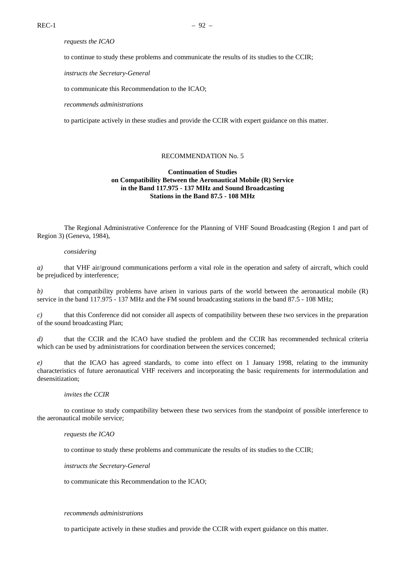# *requests the ICAO*

to continue to study these problems and communicate the results of its studies to the CCIR;

*instructs the Secretary-General*

to communicate this Recommendation to the ICAO;

*recommends administrations*

to participate actively in these studies and provide the CCIR with expert guidance on this matter.

#### RECOMMENDATION No. 5

# **Continuation of Studies on Compatibility Between the Aeronautical Mobile (R) Service in the Band 117.975 - 137 MHz and Sound Broadcasting Stations in the Band 87.5 - 108 MHz**

The Regional Administrative Conference for the Planning of VHF Sound Broadcasting (Region 1 and part of Region 3) (Geneva, 1984),

# *considering*

*a)* that VHF air/ground communications perform a vital role in the operation and safety of aircraft, which could be prejudiced by interference;

*b*) that compatibility problems have arisen in various parts of the world between the aeronautical mobile (R) service in the band 117.975 - 137 MHz and the FM sound broadcasting stations in the band 87.5 - 108 MHz;

*c)* that this Conference did not consider all aspects of compatibility between these two services in the preparation of the sound broadcasting Plan;

*d*) that the CCIR and the ICAO have studied the problem and the CCIR has recommended technical criteria which can be used by administrations for coordination between the services concerned;

*e)* that the ICAO has agreed standards, to come into effect on 1 January 1998, relating to the immunity characteristics of future aeronautical VHF receivers and incorporating the basic requirements for intermodulation and desensitization;

#### *invites the CCIR*

to continue to study compatibility between these two services from the standpoint of possible interference to the aeronautical mobile service;

#### *requests the ICAO*

to continue to study these problems and communicate the results of its studies to the CCIR;

*instructs the Secretary-General*

to communicate this Recommendation to the ICAO;

#### *recommends administrations*

to participate actively in these studies and provide the CCIR with expert guidance on this matter.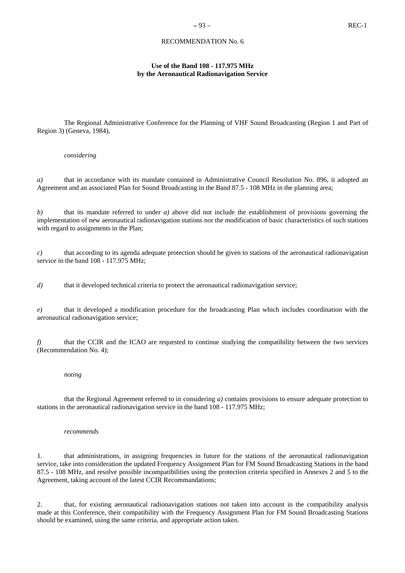# RECOMMENDATION No. 6

# **Use of the Band 108 - 117.975 MHz by the Aeronautical Radionavigation Service**

The Regional Administrative Conference for the Planning of VHF Sound Broadcasting (Region 1 and Part of Region 3) (Geneva, 1984),

### *considering*

*a)* that in accordance with its mandate contained in Administrative Council Resolution No. 896, it adopted an Agreement and an associated Plan for Sound Broadcasting in the Band 87.5 - 108 MHz in the planning area;

*b)* that its mandate referred to under *a)* above did not include the establishment of provisions governing the implementation of new aeronautical radionavigation stations nor the modification of basic characteristics of such stations with regard to assignments in the Plan;

*c)* that according to its agenda adequate protection should be given to stations of the aeronautical radionavigation service in the band 108 - 117.975 MHz;

*d*) that it developed technical criteria to protect the aeronautical radionavigation service;

*e)* that it developed a modification procedure for the broadcasting Plan which includes coordination with the aeronautical radionavigation service;

*f*) that the CCIR and the ICAO are requested to continue studying the compatibility between the two services (Recommendation No. 4);

#### *noting*

that the Regional Agreement referred to in considering *a)* contains provisions to ensure adequate protection to stations in the aeronautical radionavigation service in the band 108 - 117.975 MHz;

#### *recommends*

1. that administrations, in assigning frequencies in future for the stations of the aeronautical radionavigation service, take into consideration the updated Frequency Assignment Plan for FM Sound Broadcasting Stations in the band 87.5 - 108 MHz, and resolve possible incompatibilities using the protection criteria specified in Annexes 2 and 5 to the Agreement, taking account of the latest CCIR Recommandations;

2. that, for existing aeronautical radionavigation stations not taken into account in the compatibility analysis made at this Conference, their compatibility with the Frequency Assignment Plan for FM Sound Broadcasting Stations should be examined, using the same criteria, and appropriate action taken.